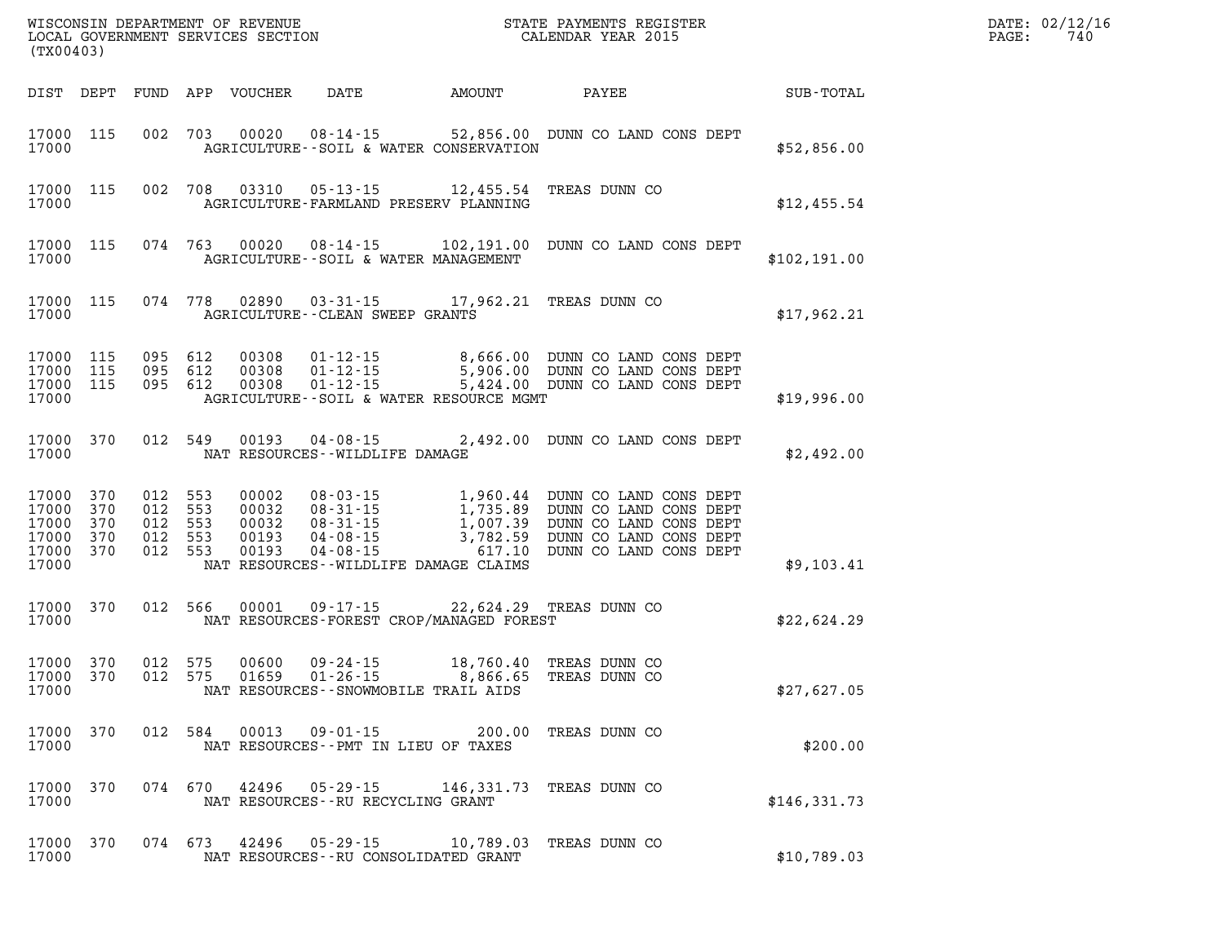| (TX00403)                                          |                                 |                                             |            | WISCONSIN DEPARTMENT OF REVENUE<br>LOCAL GOVERNMENT SERVICES SECTION |                                                                                                                            |                                                              | STATE PAYMENTS REGISTER<br>CALENDAR YEAR 2015                                                                                           |               | DATE: 02/12/16<br>PAGE:<br>740 |
|----------------------------------------------------|---------------------------------|---------------------------------------------|------------|----------------------------------------------------------------------|----------------------------------------------------------------------------------------------------------------------------|--------------------------------------------------------------|-----------------------------------------------------------------------------------------------------------------------------------------|---------------|--------------------------------|
| DIST DEPT                                          |                                 |                                             |            | FUND APP VOUCHER                                                     | DATE                                                                                                                       | AMOUNT                                                       | PAYEE                                                                                                                                   | SUB-TOTAL     |                                |
| 17000 115<br>17000                                 |                                 | 002 703                                     |            | 00020                                                                | AGRICULTURE -- SOIL & WATER CONSERVATION                                                                                   |                                                              | 08-14-15 52,856.00 DUNN CO LAND CONS DEPT                                                                                               | \$52,856.00   |                                |
| 17000 115<br>17000                                 |                                 | 002 708                                     |            | 03310                                                                | $05 - 13 - 15$ 12,455.54<br>AGRICULTURE-FARMLAND PRESERV PLANNING                                                          |                                                              | TREAS DUNN CO                                                                                                                           | \$12,455.54   |                                |
| 17000 115<br>17000                                 |                                 | 074 763                                     |            | 00020                                                                | AGRICULTURE--SOIL & WATER MANAGEMENT                                                                                       |                                                              | 08-14-15 102,191.00 DUNN CO LAND CONS DEPT                                                                                              | \$102, 191.00 |                                |
| 17000 115<br>17000                                 |                                 | 074 778                                     |            | 02890                                                                | AGRICULTURE -- CLEAN SWEEP GRANTS                                                                                          |                                                              | 03-31-15 17,962.21 TREAS DUNN CO                                                                                                        | \$17,962.21   |                                |
| 17000<br>17000<br>17000 115<br>17000               | 115<br>115                      | 095 612<br>095 612<br>095 612               |            | 00308<br>00308<br>00308                                              | $01 - 12 - 15$<br>$01 - 12 - 15$<br>$01 - 12 - 15$<br>AGRICULTURE--SOIL & WATER RESOURCE MGMT                              | 8,666.00                                                     | DUNN CO LAND CONS DEPT<br>5,906.00 DUNN CO LAND CONS DEPT<br>5,424.00 DUNN CO LAND CONS DEPT                                            | \$19,996.00   |                                |
| 17000<br>17000                                     | 370                             | 012 549                                     |            | 00193                                                                | $04 - 08 - 15$<br>NAT RESOURCES - - WILDLIFE DAMAGE                                                                        |                                                              | 2,492.00 DUNN CO LAND CONS DEPT                                                                                                         | \$2,492.00    |                                |
| 17000<br>17000<br>17000<br>17000<br>17000<br>17000 | 370<br>370<br>370<br>370<br>370 | 012 553<br>012<br>012 553<br>012<br>012 553 | 553<br>553 | 00002<br>00032<br>00032<br>00193<br>00193                            | 08-03-15<br>$08 - 31 - 15$<br>$08 - 31 - 15$<br>$04 - 08 - 15$<br>$04 - 08 - 15$<br>NAT RESOURCES - WILDLIFE DAMAGE CLAIMS | 1,735.89<br>$1, 007.39$<br>$7, 007.39$<br>3,782.59<br>617.10 | 1,960.44 DUNN CO LAND CONS DEPT<br>DUNN CO LAND CONS DEPT<br>DUNN CO LAND CONS DEPT<br>DUNN CO LAND CONS DEPT<br>DUNN CO LAND CONS DEPT | \$9,103.41    |                                |
| 17000<br>17000                                     | 370                             | 012 566                                     |            | 00001                                                                | 09-17-15<br>NAT RESOURCES-FOREST CROP/MANAGED FOREST                                                                       |                                                              | 22,624.29 TREAS DUNN CO                                                                                                                 | \$22,624.29   |                                |
| 17000<br>17000<br>17000                            | 370<br>370                      | 012 575<br>012 575                          |            | 00600<br>01659                                                       | 09-24-15<br>$01 - 26 - 15$<br>NAT RESOURCES - - SNOWMOBILE TRAIL AIDS                                                      | 18,760.40<br>8,866.65                                        | TREAS DUNN CO<br>TREAS DUNN CO                                                                                                          | \$27,627.05   |                                |
| 17000 370<br>17000                                 |                                 |                                             | 012 584    |                                                                      | 00013 09-01-15 200.00<br>NAT RESOURCES -- PMT IN LIEU OF TAXES                                                             |                                                              | TREAS DUNN CO                                                                                                                           | \$200.00      |                                |
| 17000<br>17000                                     | 370                             | 074 670                                     |            |                                                                      | $42496$ $05 - 29 - 15$<br>NAT RESOURCES - - RU RECYCLING GRANT                                                             | 146,331.73                                                   | TREAS DUNN CO                                                                                                                           | \$146,331.73  |                                |
| 17000<br>17000                                     | 370                             | 074 673                                     |            |                                                                      | 42496 05-29-15<br>NAT RESOURCES - - RU CONSOLIDATED GRANT                                                                  | 10,789.03                                                    | TREAS DUNN CO                                                                                                                           | \$10,789.03   |                                |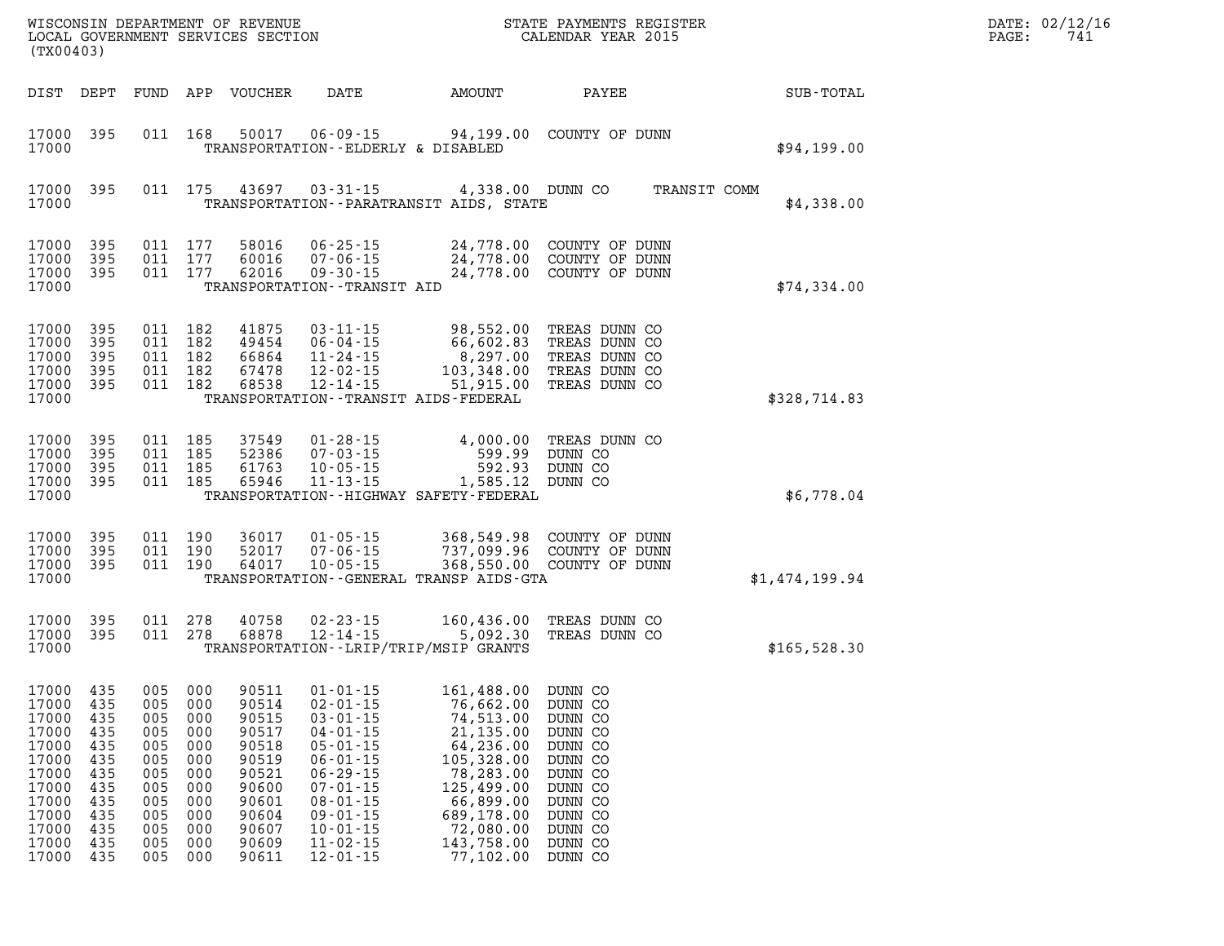| WISCONSIN DEPARTMENT OF REVENUE<br>LOCAL GOVERNMENT SERVICES SECTION<br>(TX00403)                                                                                                                      |                                                                           |                                                                                                 |                                                                                                                   |                                                                                                                                                                                                                                        | STATE PAYMENTS REGISTER<br>CALENDAR YEAR 2015                                                                                                                                              |                                                                                                                       | DATE: 02/12/16<br>741<br>PAGE: |  |
|--------------------------------------------------------------------------------------------------------------------------------------------------------------------------------------------------------|---------------------------------------------------------------------------|-------------------------------------------------------------------------------------------------|-------------------------------------------------------------------------------------------------------------------|----------------------------------------------------------------------------------------------------------------------------------------------------------------------------------------------------------------------------------------|--------------------------------------------------------------------------------------------------------------------------------------------------------------------------------------------|-----------------------------------------------------------------------------------------------------------------------|--------------------------------|--|
| DIST DEPT                                                                                                                                                                                              |                                                                           |                                                                                                 | FUND APP VOUCHER                                                                                                  | DATE                                                                                                                                                                                                                                   | AMOUNT                                                                                                                                                                                     | PAYEE                                                                                                                 | SUB-TOTAL                      |  |
| 17000<br>395<br>17000                                                                                                                                                                                  |                                                                           | 011 168                                                                                         | 50017                                                                                                             | 06-09-15<br>TRANSPORTATION--ELDERLY & DISABLED                                                                                                                                                                                         | 94,199.00                                                                                                                                                                                  | COUNTY OF DUNN                                                                                                        | \$94,199.00                    |  |
| 17000<br>395<br>17000                                                                                                                                                                                  |                                                                           | 011 175                                                                                         | 43697                                                                                                             | $03 - 31 - 15$                                                                                                                                                                                                                         | 4,338.00 DUNN CO<br>TRANSPORTATION - - PARATRANSIT AIDS, STATE                                                                                                                             |                                                                                                                       | TRANSIT COMM<br>\$4,338.00     |  |
| 395<br>17000<br>17000<br>395<br>17000<br>395<br>17000                                                                                                                                                  |                                                                           | 011 177<br>011 177<br>011 177                                                                   | 58016<br>60016<br>62016                                                                                           | $06 - 25 - 15$<br>$07 - 06 - 15$<br>$09 - 30 - 15$<br>TRANSPORTATION - - TRANSIT AID                                                                                                                                                   | 24,778.00<br>24,778.00<br>24,778.00                                                                                                                                                        | COUNTY OF DUNN<br>COUNTY OF DUNN<br>COUNTY OF DUNN                                                                    | \$74,334.00                    |  |
| 395<br>17000<br>17000<br>395<br>17000<br>395<br>17000<br>395<br>17000<br>395<br>17000                                                                                                                  |                                                                           | 011 182<br>011 182<br>011 182<br>011 182<br>011 182                                             | 41875<br>49454<br>66864<br>67478<br>68538                                                                         | $03 - 11 - 15$<br>$06 - 04 - 15$<br>$11 - 24 - 15$<br>$12 - 02 - 15$<br>$12 - 14 - 15$                                                                                                                                                 | 98,552.00<br>66,602.83<br>8,297.00<br>103,348.00<br>51,915.00<br>TRANSPORTATION - - TRANSIT AIDS - FEDERAL                                                                                 | TREAS DUNN CO<br>TREAS DUNN CO<br>TREAS DUNN CO<br>TREAS DUNN CO<br>TREAS DUNN CO                                     | \$328,714.83                   |  |
| 17000<br>395<br>17000<br>395<br>17000<br>395<br>17000<br>395<br>17000                                                                                                                                  |                                                                           | 011 185<br>011 185<br>011 185<br>011 185                                                        | 37549<br>52386<br>61763<br>65946                                                                                  | $01 - 28 - 15$<br>$07 - 03 - 15$<br>$10 - 05 - 15$<br>$11 - 13 - 15$                                                                                                                                                                   | 4,000.00<br>599.99<br>592.93<br>1,585.12 DUNN CO<br>TRANSPORTATION - - HIGHWAY SAFETY - FEDERAL                                                                                            | TREAS DUNN CO<br>DUNN CO<br>DUNN CO                                                                                   | \$6,778.04                     |  |
| 17000<br>395<br>17000<br>395<br>17000<br>395<br>17000                                                                                                                                                  |                                                                           | 011 190<br>011 190<br>011 190                                                                   | 36017<br>52017<br>64017                                                                                           | $01 - 05 - 15$<br>$07 - 06 - 15$<br>$10 - 05 - 15$                                                                                                                                                                                     | 368,549.98<br>737,099.96<br>TRANSPORTATION - - GENERAL TRANSP AIDS - GTA                                                                                                                   | COUNTY OF DUNN<br>COUNTY OF DUNN<br>368,550.00 COUNTY OF DUNN                                                         | \$1,474,199.94                 |  |
| 17000<br>395<br>17000<br>395<br>17000                                                                                                                                                                  |                                                                           | 011 278<br>011 278                                                                              | 40758<br>68878                                                                                                    | $02 - 23 - 15$<br>$12 - 14 - 15$                                                                                                                                                                                                       | 160,436.00<br>5,092.30<br>TRANSPORTATION - - LRIP/TRIP/MSIP GRANTS                                                                                                                         | TREAS DUNN CO<br>TREAS DUNN CO                                                                                        | \$165,528.30                   |  |
| 17000 435<br>17000 435<br>435<br>17000<br>17000<br>435<br>17000<br>435<br>17000<br>435<br>17000<br>435<br>17000<br>435<br>17000<br>435<br>17000<br>435<br>17000<br>435<br>17000<br>435<br>17000<br>435 | 005<br>005<br>005<br>005<br>005<br>005<br>005<br>005<br>005<br>005<br>005 | 005 000<br>005 000<br>000<br>000<br>000<br>000<br>000<br>000<br>000<br>000<br>000<br>000<br>000 | 90511<br>90514<br>90515<br>90517<br>90518<br>90519<br>90521<br>90600<br>90601<br>90604<br>90607<br>90609<br>90611 | $01 - 01 - 15$<br>$02 - 01 - 15$<br>$03 - 01 - 15$<br>$04 - 01 - 15$<br>$05 - 01 - 15$<br>$06 - 01 - 15$<br>$06 - 29 - 15$<br>$07 - 01 - 15$<br>$08 - 01 - 15$<br>$09 - 01 - 15$<br>$10 - 01 - 15$<br>$11 - 02 - 15$<br>$12 - 01 - 15$ | 161,488.00 DUNN CO<br>76,662.00 DUNN CO<br>74,513.00<br>21,135.00<br>64,236.00<br>105,328.00<br>78,283.00<br>125,499.00<br>66,899.00<br>689,178.00<br>72,080.00<br>143,758.00<br>77,102.00 | DUNN CO<br>DUNN CO<br>DUNN CO<br>DUNN CO<br>DUNN CO<br>DUNN CO<br>DUNN CO<br>DUNN CO<br>DUNN CO<br>DUNN CO<br>DUNN CO |                                |  |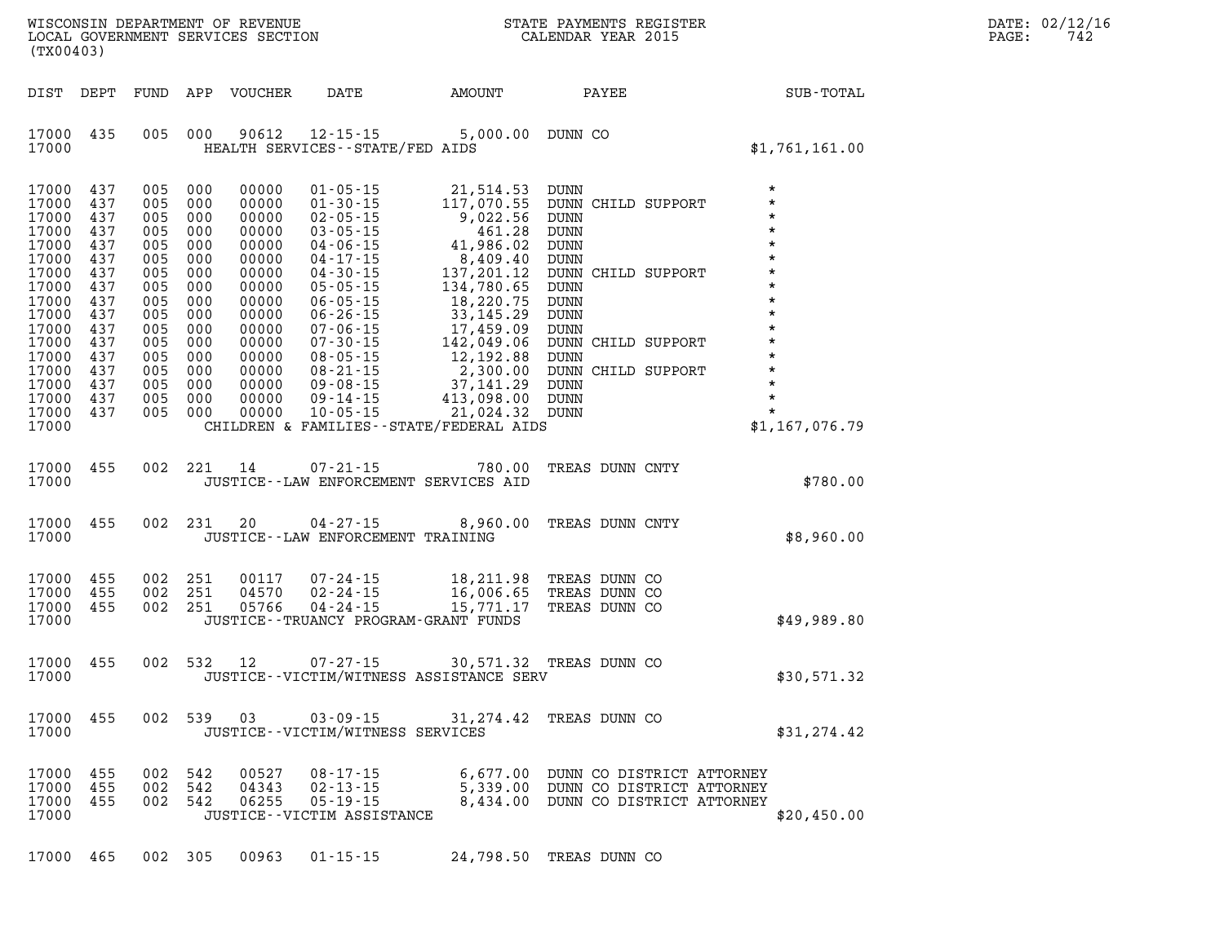| DATE: | 02/12/16 |
|-------|----------|
| PAGE: | 742      |

| (TX00403)                                                                                                                                                      |                                                                                                                     |                                                                                                                             |                                                                                                       | LOCAL GOVERNMENT SERVICES SECTION                                                                                                                     |                                                                                     |                                                                                                             | CALENDAR YEAR 2015                              |                                                                                                                      |                                                                                                | PAGE: | 742 |
|----------------------------------------------------------------------------------------------------------------------------------------------------------------|---------------------------------------------------------------------------------------------------------------------|-----------------------------------------------------------------------------------------------------------------------------|-------------------------------------------------------------------------------------------------------|-------------------------------------------------------------------------------------------------------------------------------------------------------|-------------------------------------------------------------------------------------|-------------------------------------------------------------------------------------------------------------|-------------------------------------------------|----------------------------------------------------------------------------------------------------------------------|------------------------------------------------------------------------------------------------|-------|-----|
| DIST DEPT                                                                                                                                                      |                                                                                                                     | FUND                                                                                                                        |                                                                                                       | APP VOUCHER                                                                                                                                           |                                                                                     | DATE AMOUNT                                                                                                 | <b>PAYEE</b>                                    | SUB-TOTAL                                                                                                            |                                                                                                |       |     |
| 17000 435<br>17000                                                                                                                                             |                                                                                                                     | 005 000                                                                                                                     |                                                                                                       | 90612                                                                                                                                                 | HEALTH SERVICES - - STATE/FED AIDS                                                  | 12-15-15 5,000.00 DUNN CO                                                                                   |                                                 |                                                                                                                      | \$1,761,161.00                                                                                 |       |     |
| 17000<br>17000<br>17000<br>17000<br>17000<br>17000<br>17000<br>17000<br>17000<br>17000<br>17000<br>17000<br>17000<br>17000<br>17000<br>17000<br>17000<br>17000 | 437<br>437<br>437<br>437<br>437<br>437<br>437<br>437<br>437<br>437<br>437<br>437<br>437<br>437<br>437<br>437<br>437 | 005 000<br>005<br>005<br>005<br>005<br>005<br>005<br>005<br>005<br>005<br>005<br>005<br>005<br>005<br>005<br>005<br>005 000 | 000<br>000<br>000<br>000<br>000<br>000<br>000<br>000<br>000<br>000<br>000<br>000<br>000<br>000<br>000 | 00000<br>00000<br>00000<br>00000<br>00000<br>00000<br>00000<br>00000<br>00000<br>00000<br>00000<br>00000<br>00000<br>00000<br>00000<br>00000<br>00000 | $01 - 05 - 15$<br>$01 - 30 - 15$                                                    | 21,514.53 DUNN<br>117,070.55 DUNN CHILD SUPPORT<br>CHILDREN & FAMILIES - - STATE/FEDERAL AIDS               |                                                 | DUNN CHILD SUPPORT<br>DUNN CHILD SUPPORT<br>DUNN DUNN<br>DUNN CHILD SUPPORT<br>DUNN DUNN<br>DUNN *<br>NUNN *<br>\$1, | $^\star$<br>$^\star$<br>$\star$<br>$\star$<br>$^\star$<br>$\star$<br>$\star$<br>\$1,167,076.79 |       |     |
| 17000<br>17000                                                                                                                                                 | 455                                                                                                                 | 002 221                                                                                                                     |                                                                                                       | 14                                                                                                                                                    | $07 - 21 - 15$                                                                      | 780.00<br>JUSTICE -- LAW ENFORCEMENT SERVICES AID                                                           | TREAS DUNN CNTY                                 |                                                                                                                      | \$780.00                                                                                       |       |     |
| 17000 455<br>17000                                                                                                                                             |                                                                                                                     | 002 231                                                                                                                     |                                                                                                       | 20                                                                                                                                                    | 04-27-15<br>JUSTICE - - LAW ENFORCEMENT TRAINING                                    | 8,960.00                                                                                                    | TREAS DUNN CNTY                                 |                                                                                                                      | \$8,960.00                                                                                     |       |     |
| 17000<br>17000<br>17000<br>17000                                                                                                                               | 455<br>455<br>455                                                                                                   | 002 251<br>002 251<br>002 251                                                                                               |                                                                                                       | 00117<br>04570<br>05766                                                                                                                               |                                                                                     | 07-24-15 18,211.98<br>02-24-15 16,006.65<br>04-24-15 15,771.17<br>JUSTICE - - TRUANCY PROGRAM - GRANT FUNDS | TREAS DUNN CO<br>TREAS DUNN CO<br>TREAS DUNN CO |                                                                                                                      | \$49,989.80                                                                                    |       |     |
| 17000 455<br>17000                                                                                                                                             |                                                                                                                     | 002 532                                                                                                                     |                                                                                                       | 12                                                                                                                                                    |                                                                                     | 07-27-15 30,571.32 TREAS DUNN CO<br>JUSTICE - - VICTIM/WITNESS ASSISTANCE SERV                              |                                                 |                                                                                                                      | \$30,571.32                                                                                    |       |     |
| 17000 455<br>17000                                                                                                                                             |                                                                                                                     | 002 539                                                                                                                     |                                                                                                       | 03                                                                                                                                                    | $03 - 09 - 15$<br>JUSTICE - - VICTIM/WITNESS SERVICES                               |                                                                                                             | 31,274.42 TREAS DUNN CO                         |                                                                                                                      | \$31, 274.42                                                                                   |       |     |
| 17000<br>17000<br>17000<br>17000                                                                                                                               | 455<br>455<br>455                                                                                                   | 002<br>002<br>002                                                                                                           | 542<br>542<br>542                                                                                     | 00527<br>04343<br>06255                                                                                                                               | $08 - 17 - 15$<br>$02 - 13 - 15$<br>$05 - 19 - 15$<br>JUSTICE - - VICTIM ASSISTANCE |                                                                                                             |                                                 | 6,677.00 DUNN CO DISTRICT ATTORNEY<br>5,339.00 DUNN CO DISTRICT ATTORNEY<br>8,434.00 DUNN CO DISTRICT ATTORNEY       | \$20,450.00                                                                                    |       |     |

WISCONSIN DEPARTMENT OF REVENUE **STATE PAYMENTS REGISTER** 

**17000 465 002 305 00963 01-15-15 24,798.50 TREAS DUNN CO**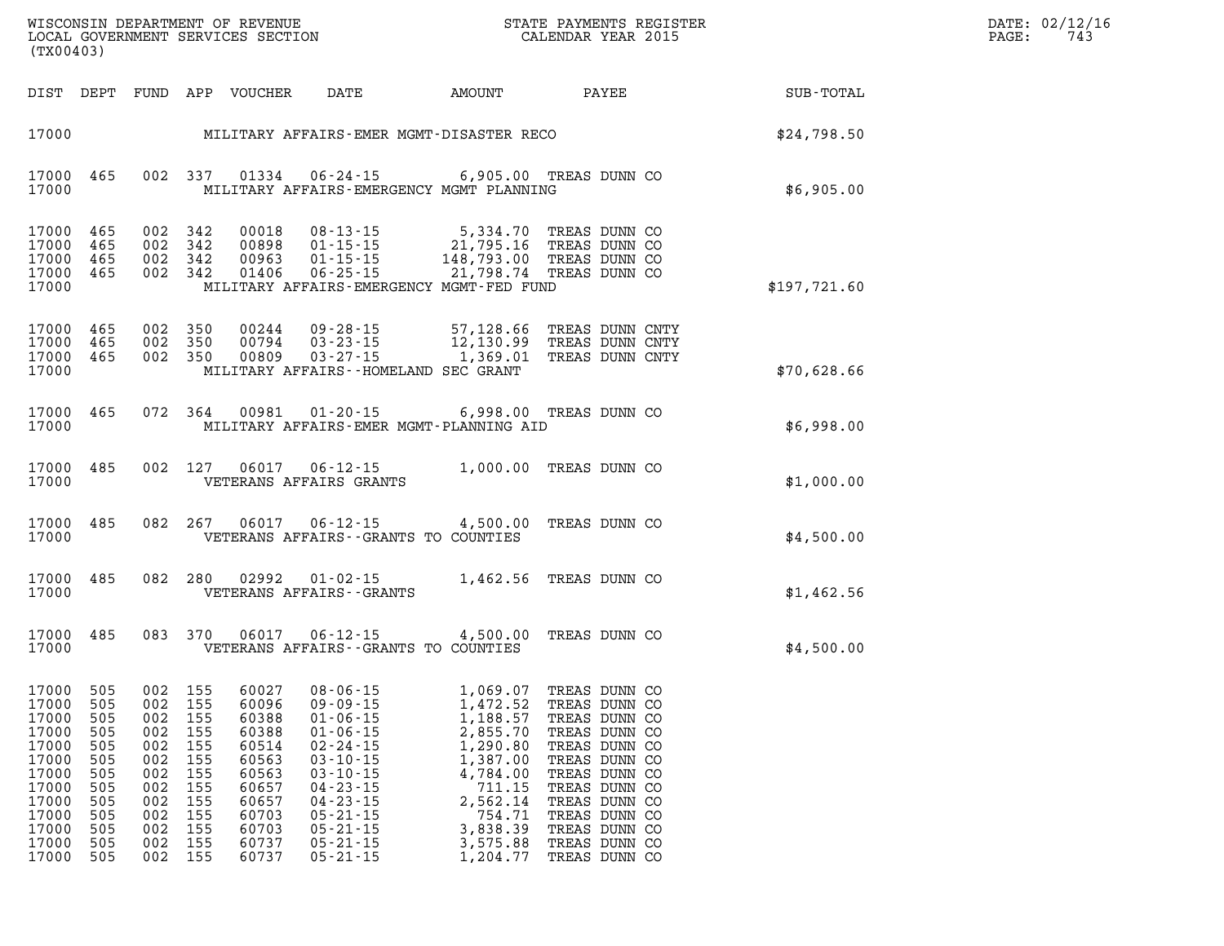| (TX00403)                                                                                                    |                                                                           |                                                                                              |                                                             |                                                                                                          | WISCONSIN DEPARTMENT OF REVENUE<br>LOCAL GOVERNMENT SERVICES SECTION                                                                                                                                                                                     |                                                                                                                                                      | STATE PAYMENTS REGISTER<br>CALENDAR YEAR 2015                                                                                                                                                                             |  | DATE: 02/12/16<br>PAGE:<br>743 |  |
|--------------------------------------------------------------------------------------------------------------|---------------------------------------------------------------------------|----------------------------------------------------------------------------------------------|-------------------------------------------------------------|----------------------------------------------------------------------------------------------------------|----------------------------------------------------------------------------------------------------------------------------------------------------------------------------------------------------------------------------------------------------------|------------------------------------------------------------------------------------------------------------------------------------------------------|---------------------------------------------------------------------------------------------------------------------------------------------------------------------------------------------------------------------------|--|--------------------------------|--|
| DIST DEPT                                                                                                    |                                                                           |                                                                                              |                                                             | FUND APP VOUCHER                                                                                         | DATE                                                                                                                                                                                                                                                     | AMOUNT                                                                                                                                               | PAYEE                                                                                                                                                                                                                     |  | SUB-TOTAL                      |  |
| 17000                                                                                                        |                                                                           |                                                                                              |                                                             |                                                                                                          | MILITARY AFFAIRS-EMER MGMT-DISASTER RECO                                                                                                                                                                                                                 |                                                                                                                                                      |                                                                                                                                                                                                                           |  | \$24,798.50                    |  |
| 17000<br>17000                                                                                               | 465                                                                       |                                                                                              | 002 337                                                     | 01334                                                                                                    | 06-24-15<br>MILITARY AFFAIRS-EMERGENCY MGMT PLANNING                                                                                                                                                                                                     |                                                                                                                                                      | 6,905.00 TREAS DUNN CO                                                                                                                                                                                                    |  | \$6,905.00                     |  |
| 17000 465<br>17000<br>17000<br>17000<br>17000                                                                | 465<br>465<br>465                                                         | 002 342                                                                                      | 002 342<br>002 342<br>002 342                               | 00018<br>00898<br>00963<br>01406                                                                         | $08 - 13 - 15$<br>$01 - 15 - 15$<br>$01 - 15 - 15$<br>$06 - 25 - 15$<br>MILITARY AFFAIRS-EMERGENCY MGMT-FED FUND                                                                                                                                         | 5,334.70<br>21,795.16<br>148.793.00<br>148,793.00<br>21,798.74                                                                                       | TREAS DUNN CO<br>TREAS DUNN CO<br>TREAS DUNN CO<br>TREAS DUNN CO                                                                                                                                                          |  | \$197,721.60                   |  |
| 17000<br>17000<br>17000<br>17000                                                                             | 465<br>465<br>465                                                         | 002 350<br>002 350                                                                           | 002 350                                                     | 00244<br>00794<br>00809                                                                                  | 09-28-15<br>$03 - 23 - 15$<br>$03 - 27 - 15$<br>MILITARY AFFAIRS--HOMELAND SEC GRANT                                                                                                                                                                     | 57,128.66<br>57,128.00<br>12,130.99<br>1,369.01                                                                                                      | TREAS DUNN CNTY<br>TREAS DUNN CNTY<br>TREAS DUNN CNTY                                                                                                                                                                     |  | \$70,628.66                    |  |
| 17000<br>17000                                                                                               | 465                                                                       | 072 364                                                                                      |                                                             | 00981                                                                                                    | $01 - 20 - 15$<br>MILITARY AFFAIRS-EMER MGMT-PLANNING AID                                                                                                                                                                                                |                                                                                                                                                      | 6,998.00 TREAS DUNN CO                                                                                                                                                                                                    |  | \$6,998.00                     |  |
| 17000<br>17000                                                                                               | 485                                                                       |                                                                                              | 002 127                                                     | 06017                                                                                                    | 06-12-15<br>VETERANS AFFAIRS GRANTS                                                                                                                                                                                                                      | 1,000.00 TREAS DUNN CO                                                                                                                               |                                                                                                                                                                                                                           |  | \$1,000.00                     |  |
| 17000<br>17000                                                                                               | 485                                                                       | 082 267                                                                                      |                                                             | 06017                                                                                                    | $06 - 12 - 15$<br>VETERANS AFFAIRS -- GRANTS TO COUNTIES                                                                                                                                                                                                 | 4,500.00                                                                                                                                             | TREAS DUNN CO                                                                                                                                                                                                             |  | \$4,500.00                     |  |
| 17000<br>17000                                                                                               | 485                                                                       | 082 280                                                                                      |                                                             | 02992                                                                                                    | $01 - 02 - 15$<br>VETERANS AFFAIRS - - GRANTS                                                                                                                                                                                                            | 1,462.56 TREAS DUNN CO                                                                                                                               |                                                                                                                                                                                                                           |  | \$1,462.56                     |  |
| 17000<br>17000                                                                                               | 485                                                                       | 083                                                                                          | 370                                                         | 06017                                                                                                    | $06 - 12 - 15$<br>VETERANS AFFAIRS -- GRANTS TO COUNTIES                                                                                                                                                                                                 | 4,500.00                                                                                                                                             | TREAS DUNN CO                                                                                                                                                                                                             |  | \$4,500.00                     |  |
| 17000 505<br>17000<br>17000<br>17000<br>17000<br>17000<br>17000<br>17000<br>17000<br>17000<br>17000<br>17000 | 505<br>505<br>505<br>505<br>505<br>505<br>505<br>505<br>505<br>505<br>505 | 002 155<br>002<br>002<br>002<br>002<br>002<br>002<br>002<br>002<br>002<br>002 155<br>002 155 | 155<br>155<br>155<br>155<br>155<br>155<br>155<br>155<br>155 | 60027<br>60388<br>60388<br>60514<br>60563<br>60563<br>60657<br>60657<br>60703<br>60703<br>60737<br>60737 | $08 - 06 - 15$<br>17000 505 002 155 60096 09-09-15<br>$01 - 06 - 15$<br>$01 - 06 - 15$<br>$02 - 24 - 15$<br>$03 - 10 - 15$<br>$03 - 10 - 15$<br>$04 - 23 - 15$<br>$04 - 23 - 15$<br>$05 - 21 - 15$<br>$05 - 21 - 15$<br>$05 - 21 - 15$<br>$05 - 21 - 15$ | 1,069.07<br>1,472.52<br>1,188.57<br>2,855.70<br>1,290.80<br>1,387.00<br>4,784.00<br>711.15<br>2,562.14<br>754.71<br>3,838.39<br>3,575.88<br>1,204.77 | TREAS DUNN CO<br>TREAS DUNN CO<br>TREAS DUNN CO<br>TREAS DUNN CO<br>TREAS DUNN CO<br>TREAS DUNN CO<br>TREAS DUNN CO<br>TREAS DUNN CO<br>TREAS DUNN CO<br>TREAS DUNN CO<br>TREAS DUNN CO<br>TREAS DUNN CO<br>TREAS DUNN CO |  |                                |  |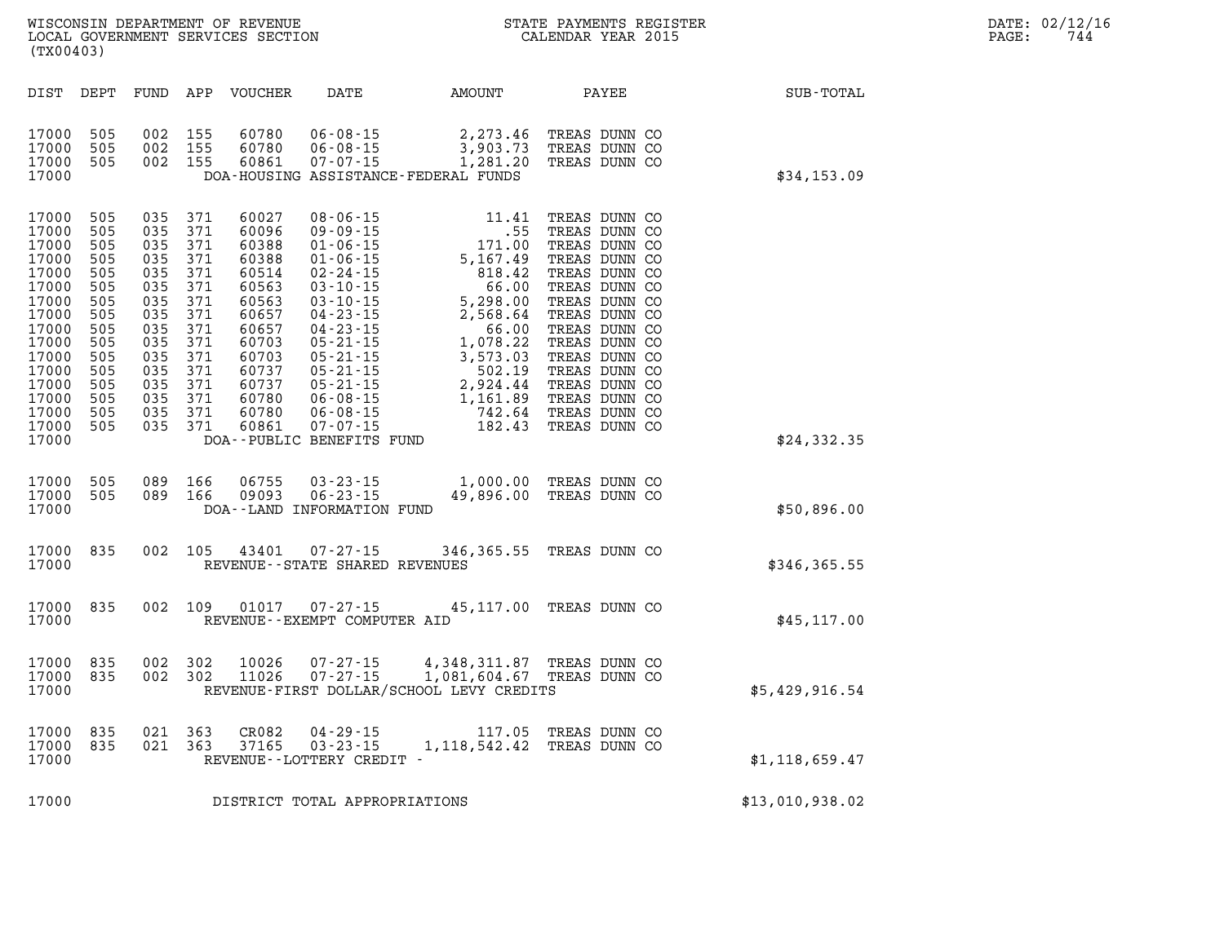| DATE: | 02/12/16 |
|-------|----------|
| PAGE: | 744      |

| SUB-TOTAL        | AMOUNT PAYEE                                                                                                                                                                                                                                                                 |                                                                                                                                                                                                                                                                                                                                             | DATE                                                       | VOUCHER                                                                                                                                      | APP                                                                                                          | FUND                                                                                                         | DEPT                                                                                                         | DIST                                                                                                                                                  |
|------------------|------------------------------------------------------------------------------------------------------------------------------------------------------------------------------------------------------------------------------------------------------------------------------|---------------------------------------------------------------------------------------------------------------------------------------------------------------------------------------------------------------------------------------------------------------------------------------------------------------------------------------------|------------------------------------------------------------|----------------------------------------------------------------------------------------------------------------------------------------------|--------------------------------------------------------------------------------------------------------------|--------------------------------------------------------------------------------------------------------------|--------------------------------------------------------------------------------------------------------------|-------------------------------------------------------------------------------------------------------------------------------------------------------|
| \$34,153.09      | TREAS DUNN CO<br>3,903.73 TREAS DUNN CO<br>TREAS DUNN CO                                                                                                                                                                                                                     | 2,273.46<br>1,281.20<br>DOA-HOUSING ASSISTANCE-FEDERAL FUNDS                                                                                                                                                                                                                                                                                | $06 - 08 - 15$<br>$06 - 08 - 15$<br>$07 - 07 - 15$         | 60780<br>60780<br>60861                                                                                                                      | 155<br>155<br>155                                                                                            | 002<br>002<br>002                                                                                            | 505<br>505<br>505                                                                                            | 17000<br>17000<br>17000<br>17000                                                                                                                      |
| \$24,332.35      | TREAS DUNN CO<br>TREAS DUNN CO<br>TREAS DUNN CO<br>TREAS DUNN CO<br>TREAS DUNN CO<br>TREAS DUNN CO<br>TREAS DUNN CO<br>TREAS DUNN CO<br>TREAS DUNN CO<br>TREAS DUNN CO<br>TREAS DUNN CO<br>TREAS DUNN CO<br>TREAS DUNN CO<br>TREAS DUNN CO<br>TREAS DUNN CO<br>TREAS DUNN CO | $\begin{array}{cccc} 08\text{-}06\text{-}15 & 11.41 \\ 09\text{-}09\text{-}15 & 55 \\ 01\text{-}06\text{-}15 & 171.00 \\ 01\text{-}06\text{-}15 & 5,167.49 \\ 02\text{-}24\text{-}15 & 5,167.49 \\ 03\text{-}10\text{-}15 & 5,298.00 \\ 04\text{-}23\text{-}15 & 5,298.00 \\ 04\text{-}23\text{-}15 & 2,568.64 \\ 05\text{-}21\text{-}15 &$ | DOA--PUBLIC BENEFITS FUND                                  | 60027<br>60096<br>60388<br>60388<br>60514<br>60563<br>60563<br>60657<br>60657<br>60703<br>60703<br>60737<br>60737<br>60780<br>60780<br>60861 | 371<br>371<br>371<br>371<br>371<br>371<br>371<br>371<br>371<br>371<br>371<br>371<br>371<br>371<br>371<br>371 | 035<br>035<br>035<br>035<br>035<br>035<br>035<br>035<br>035<br>035<br>035<br>035<br>035<br>035<br>035<br>035 | 505<br>505<br>505<br>505<br>505<br>505<br>505<br>505<br>505<br>505<br>505<br>505<br>505<br>505<br>505<br>505 | 17000<br>17000<br>17000<br>17000<br>17000<br>17000<br>17000<br>17000<br>17000<br>17000<br>17000<br>17000<br>17000<br>17000<br>17000<br>17000<br>17000 |
| \$50,896.00      | 1,000.00 TREAS DUNN CO<br>49,896.00 TREAS DUNN CO                                                                                                                                                                                                                            |                                                                                                                                                                                                                                                                                                                                             | 03 - 23 - 15<br>06 - 23 - 15<br>DOA--LAND INFORMATION FUND | 06755<br>09093                                                                                                                               | 166<br>166                                                                                                   | 089<br>089                                                                                                   | 505<br>505                                                                                                   | 17000<br>17000<br>17000                                                                                                                               |
| \$346,365.55     | 346,365.55 TREAS DUNN CO                                                                                                                                                                                                                                                     |                                                                                                                                                                                                                                                                                                                                             | $07 - 27 - 15$<br>REVENUE - - STATE SHARED REVENUES        | 43401                                                                                                                                        | 105                                                                                                          | 002                                                                                                          | 835                                                                                                          | 17000<br>17000                                                                                                                                        |
| \$45, 117.00     |                                                                                                                                                                                                                                                                              | 07-27-15 45,117.00 TREAS DUNN CO                                                                                                                                                                                                                                                                                                            | REVENUE--EXEMPT COMPUTER AID                               | 01017                                                                                                                                        | 109                                                                                                          | 002                                                                                                          | 835                                                                                                          | 17000<br>17000                                                                                                                                        |
| \$5,429,916.54   |                                                                                                                                                                                                                                                                              | 4,348,311.87 TREAS DUNN CO<br>1,081,604.67 TREAS DUNN CO<br>REVENUE-FIRST DOLLAR/SCHOOL LEVY CREDITS                                                                                                                                                                                                                                        | $07 - 27 - 15$<br>$07 - 27 - 15$                           | 10026<br>11026                                                                                                                               | 302<br>302                                                                                                   | 002<br>002                                                                                                   | 835<br>835                                                                                                   | 17000<br>17000<br>17000                                                                                                                               |
| \$1, 118, 659.47 | TREAS DUNN CO                                                                                                                                                                                                                                                                | 117.05 TREAS DUNN CO<br>1, 118, 542.42                                                                                                                                                                                                                                                                                                      | 04 - 29 - 15<br>03 - 23 - 15<br>REVENUE--LOTTERY CREDIT -  | CR082<br>37165                                                                                                                               | 363<br>363                                                                                                   | 021<br>021                                                                                                   | 835<br>835                                                                                                   | 17000<br>17000<br>17000                                                                                                                               |
| \$13,010,938.02  |                                                                                                                                                                                                                                                                              |                                                                                                                                                                                                                                                                                                                                             | DISTRICT TOTAL APPROPRIATIONS                              |                                                                                                                                              |                                                                                                              |                                                                                                              |                                                                                                              | 17000                                                                                                                                                 |

**WISCONSIN DEPARTMENT OF REVENUE STATE STATE PAYMENTS REGISTER**<br>LOCAL GOVERNMENT SERVICES SECTION STATE: OF BALENDAR YEAR 2015

LOCAL GOVERNMENT SERVICES SECTION

**(TX00403)**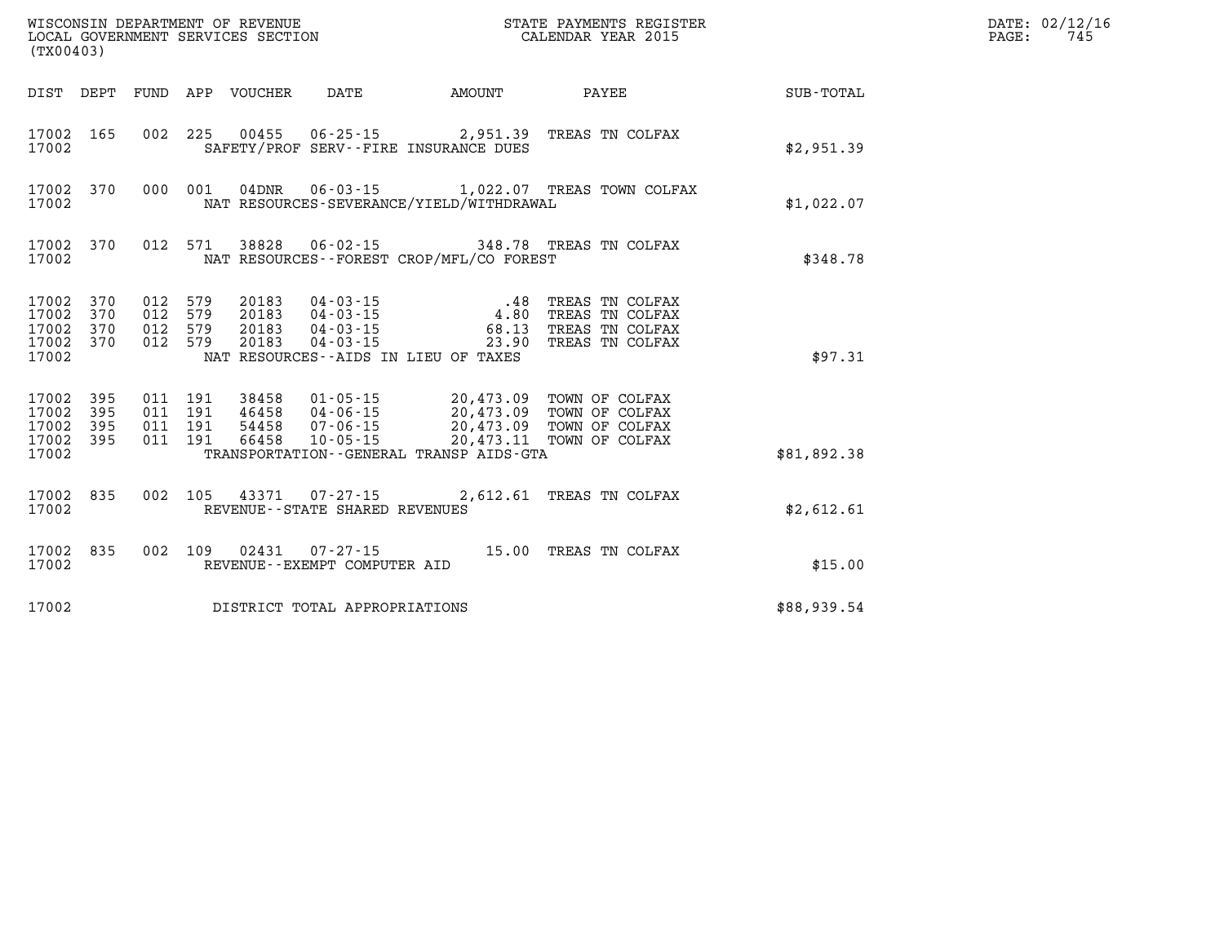| (TX00403)                                             |           |  |                                   |                                          | WISCONSIN DEPARTMENT OF REVENUE<br>LOCAL GOVERNMENT SERVICES SECTION CALENDAR YEAR 2015                                                                                                                                                                                                                                                    |                                                    | DATE: 02/12/16<br>PAGE:<br>745 |
|-------------------------------------------------------|-----------|--|-----------------------------------|------------------------------------------|--------------------------------------------------------------------------------------------------------------------------------------------------------------------------------------------------------------------------------------------------------------------------------------------------------------------------------------------|----------------------------------------------------|--------------------------------|
|                                                       |           |  |                                   |                                          |                                                                                                                                                                                                                                                                                                                                            | DIST DEPT FUND APP VOUCHER DATE AMOUNT PAYEE TOTAL |                                |
| 17002                                                 | 17002 165 |  |                                   | SAFETY/PROF SERV--FIRE INSURANCE DUES    | 002 225 00455 06-25-15 2,951.39 TREAS TN COLFAX                                                                                                                                                                                                                                                                                            | \$2,951.39                                         |                                |
| 17002                                                 | 17002 370 |  |                                   | NAT RESOURCES-SEVERANCE/YIELD/WITHDRAWAL | 000 001 04DNR 06-03-15 1,022.07 TREAS TOWN COLFAX                                                                                                                                                                                                                                                                                          | \$1,022.07                                         |                                |
| 17002                                                 | 17002 370 |  |                                   | NAT RESOURCES--FOREST CROP/MFL/CO FOREST | 012 571 38828 06-02-15 348.78 TREAS TN COLFAX                                                                                                                                                                                                                                                                                              | \$348.78                                           |                                |
| 17002 370<br>17002<br>17002 370<br>17002 370<br>17002 | 370       |  |                                   | NAT RESOURCES--AIDS IN LIEU OF TAXES     | $\begin{array}{cccc} 012 & 579 & 20183 & 04\cdot 03\cdot 15 & .48 & \text{TREAS TN COLFAX} \\ 012 & 579 & 20183 & 04\cdot 03\cdot 15 & 4.80 & \text{TREAS TN COLFAX} \\ 012 & 579 & 20183 & 04\cdot 03\cdot 15 & 68.13 & \text{TREAS TN COLFAX} \\ 012 & 579 & 20183 & 04\cdot 03\cdot 15 & 23.90 & \text{TREAS TN COLFAX} \end{array}$    | \$97.31                                            |                                |
| 17002 395<br>17002<br>17002 395<br>17002 395<br>17002 | 395       |  |                                   | TRANSPORTATION--GENERAL TRANSP AIDS-GTA  | $\begin{array}{cccc} 011 & 191 & 38458 & 01\cdot 05\cdot 15 & 20\,,473\,.09 & \textrm{TOWN OF COLFAX} \\ 011 & 191 & 46458 & 04\cdot 06\cdot 15 & 20\,,473\,.09 & \textrm{TOWN OF COLFAX} \\ 011 & 191 & 54458 & 07\cdot 06\cdot 15 & 20\,,473\,.09 & \textrm{TOWN OF COLFAX} \\ 011 & 191 & 66458 & 10\cdot 05\cdot 15 & 20\,,473\,.11 &$ | \$81,892.38                                        |                                |
| 17002 835<br>17002                                    |           |  | REVENUE - - STATE SHARED REVENUES |                                          | 002 105 43371 07-27-15 2,612.61 TREAS TN COLFAX                                                                                                                                                                                                                                                                                            | \$2,612.61                                         |                                |
| 17002                                                 | 17002 835 |  | REVENUE--EXEMPT COMPUTER AID      |                                          | 002 109 02431 07-27-15 15.00 TREAS TN COLFAX                                                                                                                                                                                                                                                                                               | \$15.00                                            |                                |
| 17002                                                 |           |  | DISTRICT TOTAL APPROPRIATIONS     |                                          |                                                                                                                                                                                                                                                                                                                                            | \$88,939.54                                        |                                |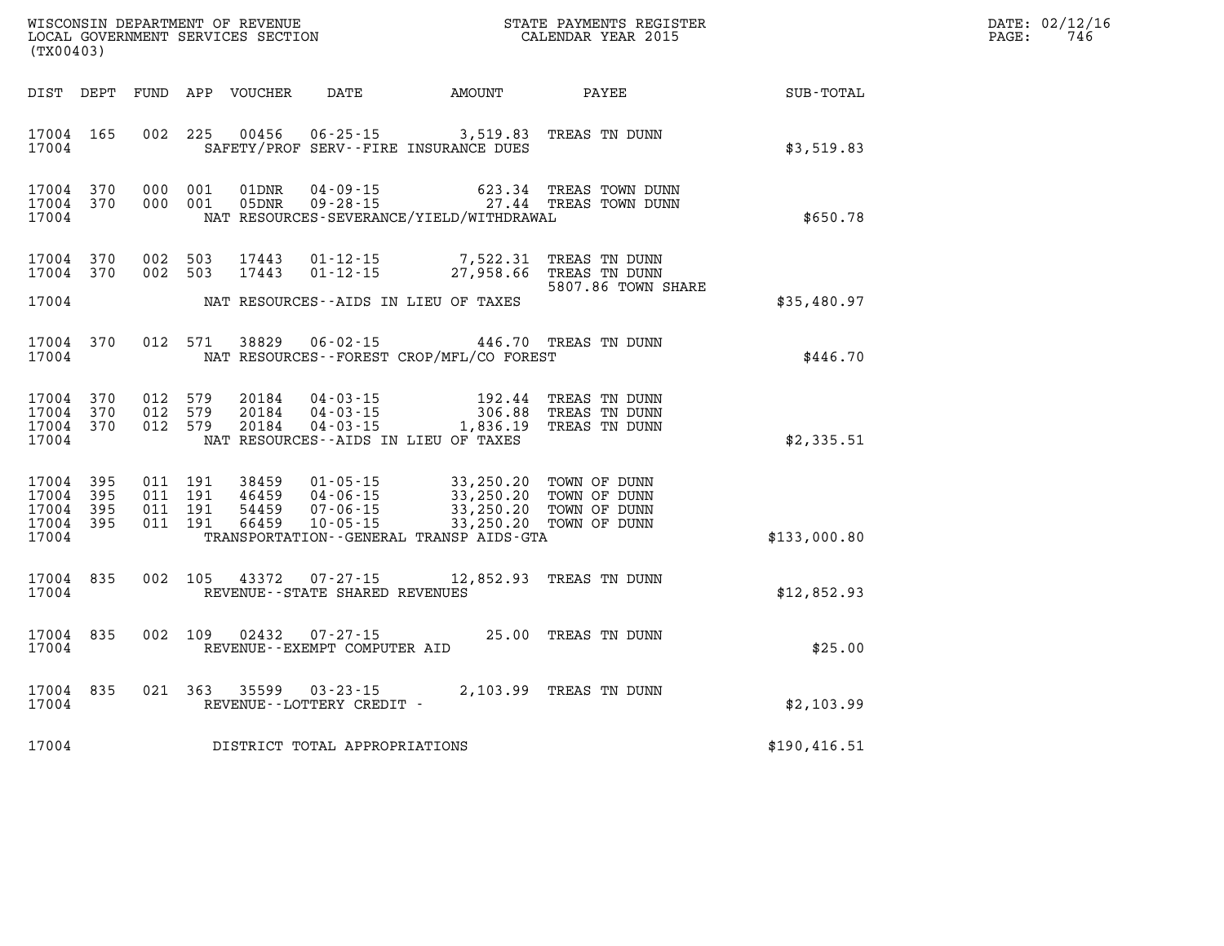| (TX00403)                                             |            |                                          |                                  |                                                     |                                                                                                                                                                                                               |                                                 |               | DATE: 02/12/16<br>$\mathtt{PAGE}$ :<br>746 |
|-------------------------------------------------------|------------|------------------------------------------|----------------------------------|-----------------------------------------------------|---------------------------------------------------------------------------------------------------------------------------------------------------------------------------------------------------------------|-------------------------------------------------|---------------|--------------------------------------------|
| DIST DEPT                                             |            |                                          | FUND APP VOUCHER                 |                                                     | DATE AMOUNT PAYEE                                                                                                                                                                                             |                                                 | SUB-TOTAL     |                                            |
| 17004 165<br>17004                                    |            | 002 225                                  | 00456                            |                                                     | $06 - 25 - 15$ 3,519.83<br>SAFETY/PROF SERV--FIRE INSURANCE DUES                                                                                                                                              | TREAS TN DUNN                                   | \$3,519.83    |                                            |
| 17004<br>17004<br>17004                               | 370<br>370 | 000 001<br>000 001                       | 01DNR<br>05DNR                   |                                                     | NAT RESOURCES-SEVERANCE/YIELD/WITHDRAWAL                                                                                                                                                                      | 04-09-15<br>09-28-15 623.34 TREAS TOWN DUNN     | \$650.78      |                                            |
| 17004<br>17004<br>17004                               | 370<br>370 | 002 503<br>002 503                       | 17443<br>17443                   |                                                     | 01-12-15 7,522.31 TREAS TN DUNN<br>01-12-15 27,958.66 TREAS TN DUNN<br>NAT RESOURCES--AIDS IN LIEU OF TAXES                                                                                                   | 5807.86 TOWN SHARE                              | \$35,480.97   |                                            |
| 17004<br>17004                                        | 370        | 012 571                                  | 38829                            | $06 - 02 - 15$                                      | 446.70 TREAS TN DUNN<br>NAT RESOURCES - - FOREST CROP/MFL/CO FOREST                                                                                                                                           |                                                 | \$446.70      |                                            |
| 17004<br>17004 370<br>17004 370<br>17004              | 370        | 012 579<br>012 579<br>012 579            | 20184<br>20184<br>20184          |                                                     | $\begin{array}{llll} 04\cdot 03\cdot 15 & 192\cdot 44 \\ 04\cdot 03\cdot 15 & 306\cdot 88 \\ 04\cdot 03\cdot 15 & 1,836\cdot 19 \end{array}$<br>NAT RESOURCES -- AIDS IN LIEU OF TAXES                        | TREAS TN DUNN<br>TREAS TN DUNN<br>TREAS TN DUNN | \$2,335.51    |                                            |
| 17004 395<br>17004<br>17004 395<br>17004 395<br>17004 | 395        | 011 191<br>011 191<br>011 191<br>011 191 | 38459<br>46459<br>54459<br>66459 |                                                     | 01-05-15<br>04-06-15<br>07-06-15<br>07-06-15<br>10-05-15<br>03,250.20<br>07-06-15<br>03,250.20<br>07-06-15<br>03,250.20<br>07-07-05-15<br>03,250.20<br>07-07-05-15<br>TRANSPORTATION--GENERAL TRANSP AIDS-GTA |                                                 | \$133,000.80  |                                            |
| 17004 835<br>17004                                    |            | 002 105                                  | 43372                            | $07 - 27 - 15$<br>REVENUE - - STATE SHARED REVENUES |                                                                                                                                                                                                               | 12,852.93 TREAS TN DUNN                         | \$12,852.93   |                                            |
| 17004 835<br>17004                                    |            |                                          | 002 109 02432                    | 07-27-15<br>REVENUE--EXEMPT COMPUTER AID            |                                                                                                                                                                                                               | 25.00 TREAS TN DUNN                             | \$25.00       |                                            |
| 17004<br>17004                                        | 835        | 021 363                                  | 35599                            | $03 - 23 - 15$<br>REVENUE - - LOTTERY CREDIT -      |                                                                                                                                                                                                               | 2,103.99 TREAS TN DUNN                          | \$2,103.99    |                                            |
| 17004                                                 |            |                                          |                                  | DISTRICT TOTAL APPROPRIATIONS                       |                                                                                                                                                                                                               |                                                 | \$190, 416.51 |                                            |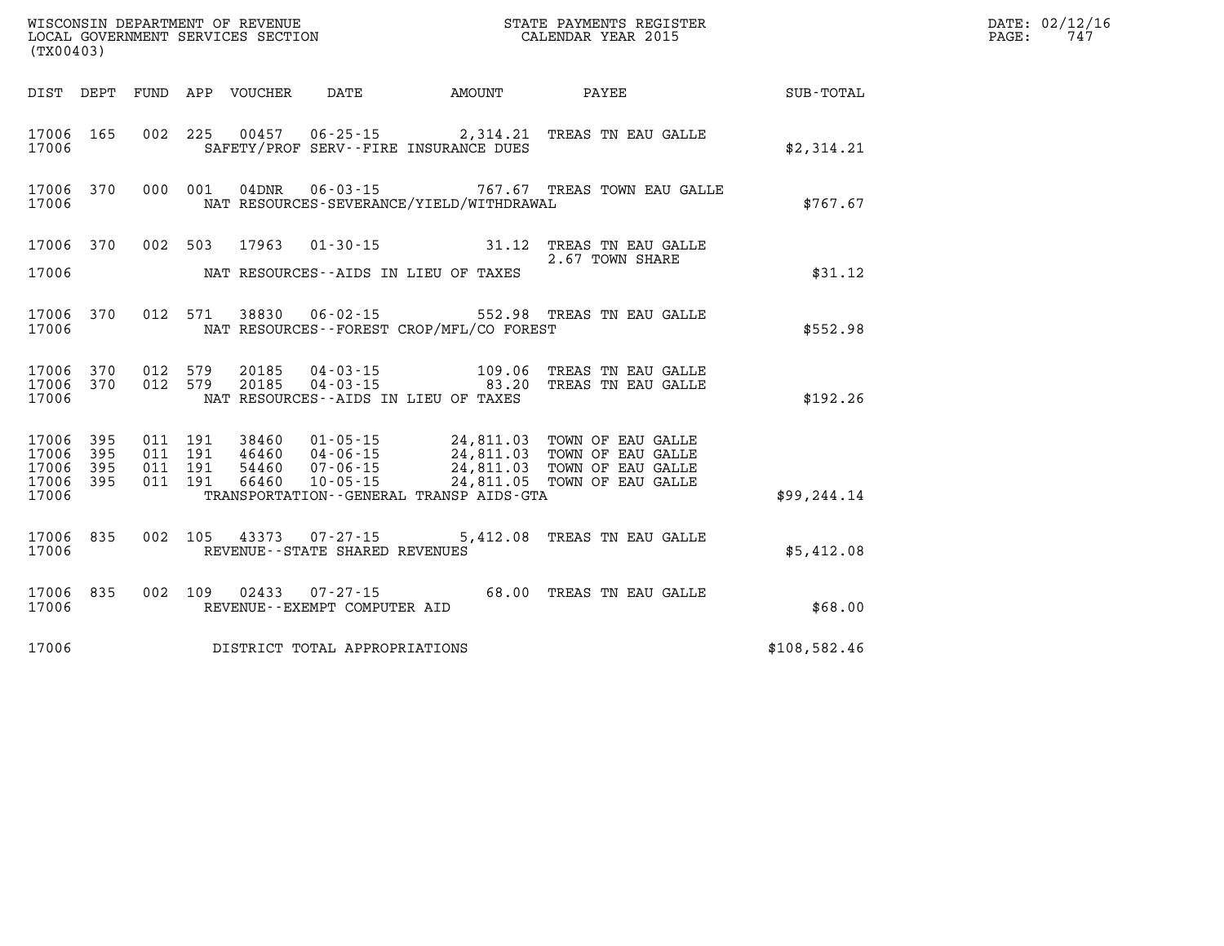| (TX00403)                                             |                        |                                                |                                             | WISCONSIN DEPARTMENT OF REVENUE<br>LOCAL GOVERNMENT SERVICES SECTION<br>CALENDAR YEAR 2015                                                                                     |              | DATE: 02/12/16<br>PAGE:<br>747 |
|-------------------------------------------------------|------------------------|------------------------------------------------|---------------------------------------------|--------------------------------------------------------------------------------------------------------------------------------------------------------------------------------|--------------|--------------------------------|
|                                                       |                        |                                                |                                             | DIST DEPT FUND APP VOUCHER DATE AMOUNT PAYEE TOTAL                                                                                                                             |              |                                |
| 17006                                                 | 17006 165              |                                                | SAFETY/PROF SERV--FIRE INSURANCE DUES       | 002 225 00457 06-25-15 2,314.21 TREAS TN EAU GALLE                                                                                                                             | \$2,314.21   |                                |
| 17006                                                 | 17006 370              | 000 001                                        | NAT RESOURCES-SEVERANCE/YIELD/WITHDRAWAL    | 04DNR  06-03-15  767.67 TREAS TOWN EAU GALLE                                                                                                                                   | \$767.67     |                                |
| 17006                                                 |                        |                                                | NAT RESOURCES--AIDS IN LIEU OF TAXES        | 17006 370 002 503 17963 01-30-15 31.12 TREAS TN EAU GALLE<br>2.67 TOWN SHARE                                                                                                   | \$31.12      |                                |
| 17006                                                 | 17006 370              |                                                | NAT RESOURCES - - FOREST CROP/MFL/CO FOREST | 012 571 38830 06-02-15 552.98 TREAS TN EAU GALLE                                                                                                                               | \$552.98     |                                |
| 17006                                                 | 17006 370<br>17006 370 | 012 579<br>012 579                             | NAT RESOURCES--AIDS IN LIEU OF TAXES        | 20185  04-03-15  109.06  TREAS TN EAU GALLE<br>20185  04-03-15  83.20  TREAS TN EAU GALLE                                                                                      | \$192.26     |                                |
| 17006 395<br>17006<br>17006 395<br>17006 395<br>17006 | 395                    | 011 191 38460<br>011 191<br>011 191<br>011 191 | TRANSPORTATION--GENERAL TRANSP AIDS-GTA     | 01-05-15 24,811.03 TOWN OF EAU GALLE<br>46460 04-06-15 24,811.03 TOWN OF EAU GALLE<br>54460 07-06-15 24,811.03 TOWN OF EAU GALLE<br>66460 10-05-15 24,811.05 TOWN OF EAU GALLE | \$99, 244.14 |                                |
| 17006                                                 | 17006 835              |                                                | REVENUE - - STATE SHARED REVENUES           | 002 105 43373 07-27-15 5,412.08 TREAS TN EAU GALLE                                                                                                                             | \$5,412.08   |                                |
| 17006                                                 | 17006 835              | 002 109 02433                                  | REVENUE--EXEMPT COMPUTER AID                | 07-27-15 68.00 TREAS TN EAU GALLE                                                                                                                                              | \$68.00      |                                |
| 17006                                                 |                        |                                                | DISTRICT TOTAL APPROPRIATIONS               |                                                                                                                                                                                | \$108,582.46 |                                |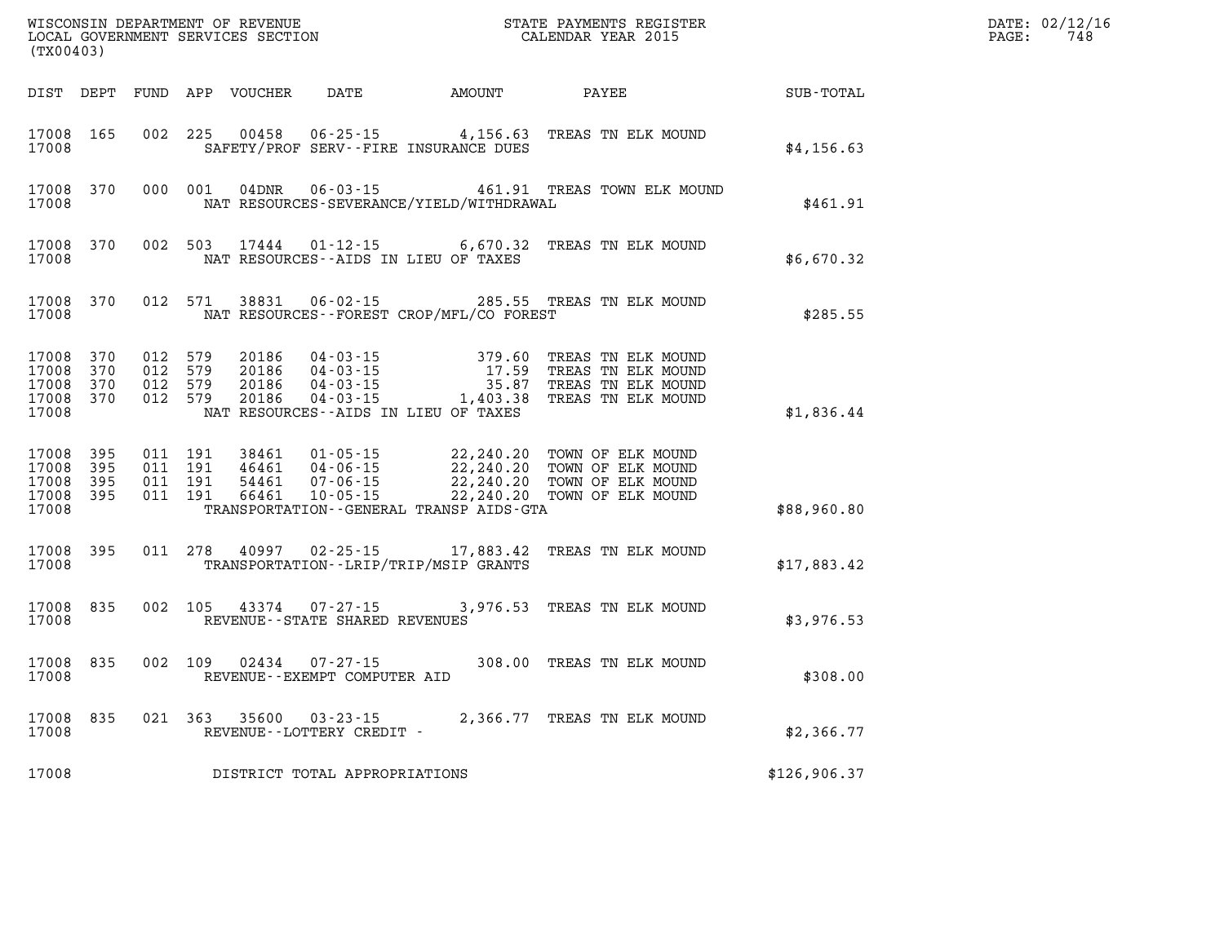| (TX00403)                                 |                          |                          | WISCONSIN DEPARTMENT OF REVENUE<br>LOCAL GOVERNMENT SERVICES SECTION |                                                                                                                 |                                                   | STATE PAYMENTS REGISTER<br>CALENDAR YEAR 2015                                        |              |
|-------------------------------------------|--------------------------|--------------------------|----------------------------------------------------------------------|-----------------------------------------------------------------------------------------------------------------|---------------------------------------------------|--------------------------------------------------------------------------------------|--------------|
| DIST                                      | DEPT                     | FUND                     | APP<br>VOUCHER                                                       | DATE                                                                                                            | AMOUNT                                            | PAYEE                                                                                | SUB-TOTAL    |
| 17008<br>17008                            | 165                      | 002                      | 225<br>00458                                                         | $06 - 25 - 15$<br>SAFETY/PROF SERV--FIRE INSURANCE DUES                                                         | 4,156.63                                          | TREAS TN ELK MOUND                                                                   | \$4,156.63   |
| 17008<br>17008                            | 370                      | 000                      | 001<br>04DNR                                                         | $06 - 03 - 15$<br>NAT RESOURCES-SEVERANCE/YIELD/WITHDRAWAL                                                      | 461.91                                            | TREAS TOWN ELK MOUND                                                                 | \$461.91     |
| 17008<br>17008                            | 370                      | 002                      | 503<br>17444                                                         | $01 - 12 - 15$<br>NAT RESOURCES - AIDS IN LIEU OF TAXES                                                         | 6,670.32                                          | TREAS TN ELK MOUND                                                                   | \$6,670.32   |
| 17008<br>17008                            | 370                      | 012                      | 38831<br>571                                                         | $06 - 02 - 15$<br>NAT RESOURCES - - FOREST CROP/MFL/CO FOREST                                                   | 285.55                                            | TREAS TN ELK MOUND                                                                   | \$285.55     |
| 17008<br>17008<br>17008<br>17008<br>17008 | 370<br>370<br>370<br>370 | 012<br>012<br>012<br>012 | 579<br>20186<br>20186<br>579<br>579<br>20186<br>579<br>20186         | $04 - 03 - 15$<br>$04 - 03 - 15$<br>$04 - 03 - 15$<br>$04 - 03 - 15$<br>NAT RESOURCES -- AIDS IN LIEU OF TAXES  | 379.60<br>17.59<br>35.87<br>1,403.38              | TREAS TN ELK MOUND<br>TREAS TN ELK MOUND<br>TREAS TN ELK MOUND<br>TREAS TN ELK MOUND | \$1,836.44   |
| 17008<br>17008<br>17008<br>17008<br>17008 | 395<br>395<br>395<br>395 | 011<br>011<br>011<br>011 | 191<br>38461<br>191<br>46461<br>191<br>54461<br>191<br>66461         | $01 - 05 - 15$<br>$04 - 06 - 15$<br>$07 - 06 - 15$<br>$10 - 05 - 15$<br>TRANSPORTATION--GENERAL TRANSP AIDS-GTA | 22,240.20<br>22, 240.20<br>22,240.20<br>22,240.20 | TOWN OF ELK MOUND<br>TOWN OF ELK MOUND<br>TOWN OF ELK MOUND<br>TOWN OF ELK MOUND     | \$88,960.80  |
| 17008<br>17008                            | 395                      | 011                      | 278<br>40997                                                         | $02 - 25 - 15$<br>TRANSPORTATION--LRIP/TRIP/MSIP GRANTS                                                         | 17,883.42                                         | TREAS TN ELK MOUND                                                                   | \$17,883.42  |
| 17008<br>17008                            | 835                      | 002                      | 105<br>43374                                                         | $07 - 27 - 15$<br>REVENUE - - STATE SHARED REVENUES                                                             | 3,976.53                                          | TREAS TN ELK MOUND                                                                   | \$3,976.53   |
| 17008<br>17008                            | 835                      | 002                      | 109<br>02434                                                         | $07 - 27 - 15$<br>REVENUE--EXEMPT COMPUTER AID                                                                  | 308.00                                            | TREAS TN ELK MOUND                                                                   | \$308.00     |
| 17008<br>17008                            | 835                      | 021                      | 363<br>35600                                                         | $03 - 23 - 15$<br>REVENUE--LOTTERY CREDIT -                                                                     | 2,366.77                                          | TREAS TN ELK MOUND                                                                   | \$2,366.77   |
| 17008                                     |                          |                          |                                                                      | DISTRICT TOTAL APPROPRIATIONS                                                                                   |                                                   |                                                                                      | \$126,906.37 |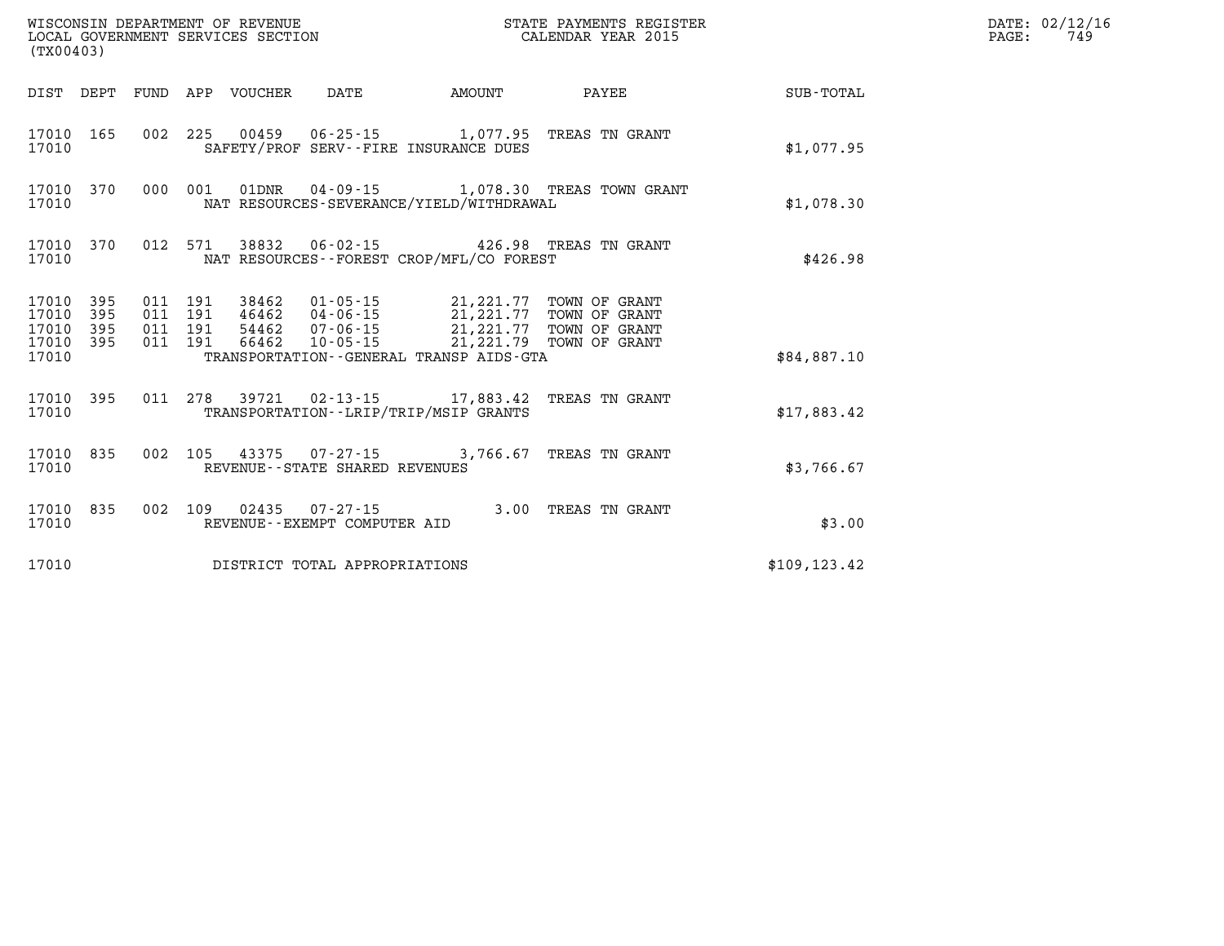| (TX00403)                   |                               |  |                                 | WISCONSIN DEPARTMENT OF REVENUE<br>LOCAL GOVERNMENT SERVICES SECTION |                                                                                                                                                                                                                                                                                                                                                                            | STATE PAYMENTS REGISTER<br>CALENDAR YEAR 2015              |               | DATE: 02/12/16<br>$\mathtt{PAGE:}$<br>749 |
|-----------------------------|-------------------------------|--|---------------------------------|----------------------------------------------------------------------|----------------------------------------------------------------------------------------------------------------------------------------------------------------------------------------------------------------------------------------------------------------------------------------------------------------------------------------------------------------------------|------------------------------------------------------------|---------------|-------------------------------------------|
|                             |                               |  | DIST DEPT FUND APP VOUCHER DATE |                                                                      | AMOUNT                                                                                                                                                                                                                                                                                                                                                                     | PAYEE                                                      | SUB-TOTAL     |                                           |
| 17010                       | 17010 165                     |  |                                 |                                                                      | 002 225 00459 06-25-15 1,077.95 TREAS TN GRANT<br>SAFETY/PROF SERV--FIRE INSURANCE DUES                                                                                                                                                                                                                                                                                    |                                                            | \$1,077.95    |                                           |
| 17010                       |                               |  |                                 |                                                                      | NAT RESOURCES-SEVERANCE/YIELD/WITHDRAWAL                                                                                                                                                                                                                                                                                                                                   | 17010 370 000 001 01DNR 04-09-15 1,078.30 TREAS TOWN GRANT | \$1,078.30    |                                           |
| 17010                       |                               |  |                                 |                                                                      | 17010 370 012 571 38832 06-02-15 426.98 TREAS TN GRANT<br>NAT RESOURCES - - FOREST CROP/MFL/CO FOREST                                                                                                                                                                                                                                                                      |                                                            | \$426.98      |                                           |
| 17010 395<br>17010<br>17010 | 395<br>17010 395<br>17010 395 |  |                                 |                                                                      | $\begin{array}{cccc} 011 & 191 & 38462 & 01\cdot 05\cdot 15 & 21\, 221\, 77 & \text{TOWN OF GRANT} \\ 011 & 191 & 46462 & 04\cdot 06\cdot 15 & 21\, 221\, 77 & \text{TOWN OF GRANT} \\ 011 & 191 & 54462 & 07\cdot 06\cdot 15 & 21\, 221\, 77 & \text{TOWN OF GRANT} \\ 011 & 191 & 66462 & 10\cdot 05\cdot 15 & 21\, 221\, 79$<br>TRANSPORTATION--GENERAL TRANSP AIDS-GTA |                                                            | \$84,887.10   |                                           |
| 17010                       |                               |  |                                 |                                                                      | 17010 395 011 278 39721 02-13-15 17,883.42 TREAS TN GRANT<br>TRANSPORTATION - - LRIP/TRIP/MSIP GRANTS                                                                                                                                                                                                                                                                      |                                                            | \$17,883.42   |                                           |
| 17010                       | 17010 835                     |  |                                 | REVENUE - - STATE SHARED REVENUES                                    | 002 105 43375 07-27-15 3,766.67 TREAS TN GRANT                                                                                                                                                                                                                                                                                                                             |                                                            | \$3,766.67    |                                           |
| 17010                       | 17010 835                     |  |                                 | REVENUE--EXEMPT COMPUTER AID                                         | 002 109 02435 07-27-15 3.00 TREAS TN GRANT                                                                                                                                                                                                                                                                                                                                 |                                                            | \$3.00        |                                           |
| 17010                       |                               |  |                                 | DISTRICT TOTAL APPROPRIATIONS                                        |                                                                                                                                                                                                                                                                                                                                                                            |                                                            | \$109, 123.42 |                                           |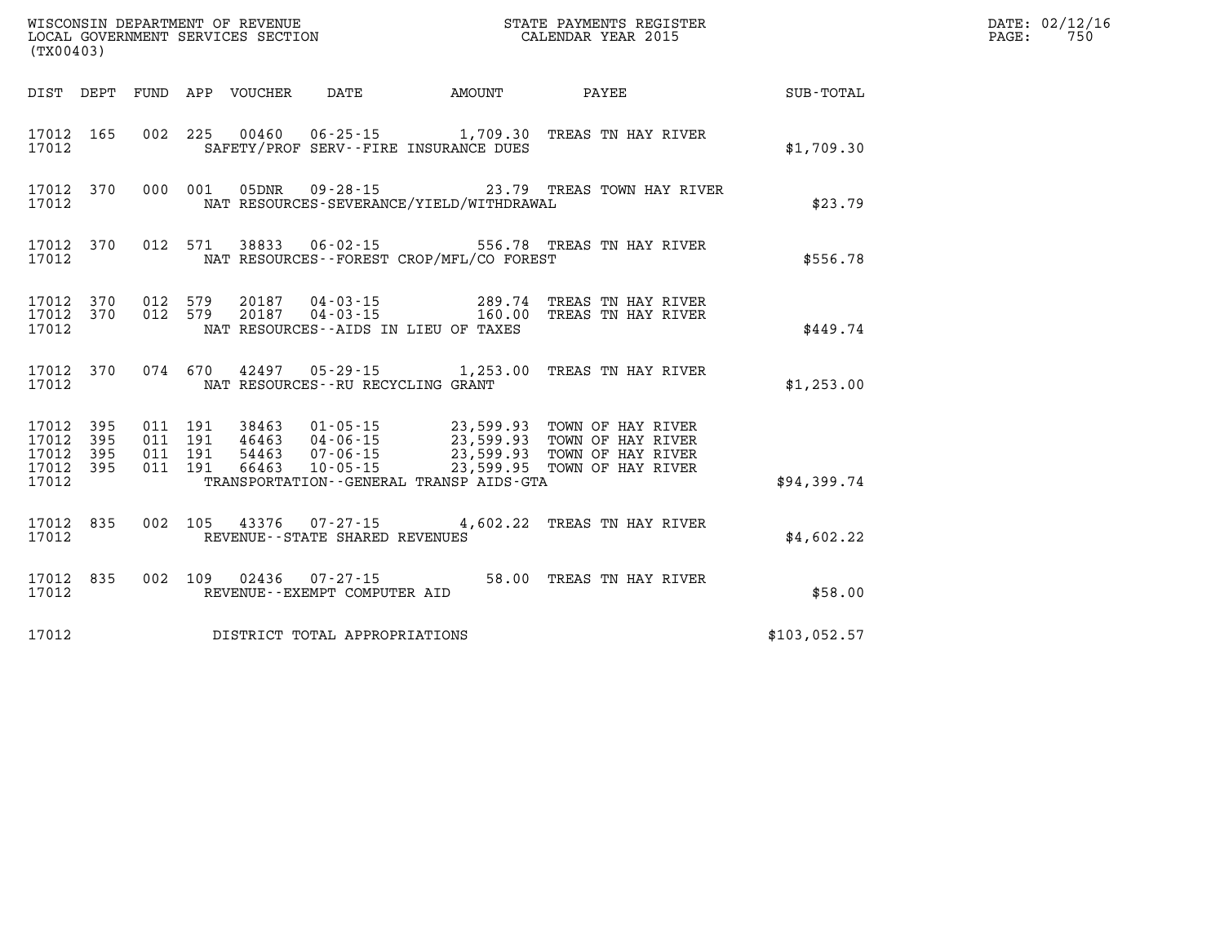| PAGE: | DATE: 02/12/16<br>750 |
|-------|-----------------------|
|       |                       |

| WISCONSIN DEPARTMENT OF REVENUE<br>(TX00403)                                                      | LOCAL GOVERNMENT SERVICES SECTION                                                                                                                                | STATE PAYMENTS REGISTER<br>CALENDAR YEAR 2015                                                                                        |              |  |  |  |  |
|---------------------------------------------------------------------------------------------------|------------------------------------------------------------------------------------------------------------------------------------------------------------------|--------------------------------------------------------------------------------------------------------------------------------------|--------------|--|--|--|--|
| DIST<br>DEPT<br>FUND                                                                              | APP VOUCHER<br>DATE                                                                                                                                              | AMOUNT<br><b>PAYEE</b>                                                                                                               | SUB-TOTAL    |  |  |  |  |
| 002<br>165<br>17012<br>17012                                                                      | 225<br>00460 06-25-15 1,709.30<br>SAFETY/PROF SERV--FIRE INSURANCE DUES                                                                                          | TREAS TN HAY RIVER                                                                                                                   | \$1,709.30   |  |  |  |  |
| 000<br>17012<br>370<br>17012                                                                      | 001<br>05DNR<br>NAT RESOURCES-SEVERANCE/YIELD/WITHDRAWAL                                                                                                         | 09-28-15 23.79 TREAS TOWN HAY RIVER                                                                                                  | \$23.79      |  |  |  |  |
| 012<br>370<br>17012<br>17012                                                                      | 571<br>38833<br>06-02-15<br>NAT RESOURCES - - FOREST CROP/MFL/CO FOREST                                                                                          | 556.78 TREAS TN HAY RIVER                                                                                                            | \$556.78     |  |  |  |  |
| 370<br>012<br>17012<br>012<br>17012<br>370<br>17012                                               | 579<br>20187<br>04-03-15<br>$04 - 03 - 15$<br>579<br>20187<br>NAT RESOURCES -- AIDS IN LIEU OF TAXES                                                             | 289.74<br>TREAS TN HAY RIVER<br>160.00<br>TREAS TN HAY RIVER                                                                         | \$449.74     |  |  |  |  |
| 370<br>17012<br>17012                                                                             | 074 670<br>42497 05-29-15 1,253.00<br>NAT RESOURCES -- RU RECYCLING GRANT                                                                                        | TREAS TN HAY RIVER                                                                                                                   | \$1,253.00   |  |  |  |  |
| 17012<br>395<br>011<br>395<br>011<br>17012<br>395<br>17012<br>011<br>17012<br>395<br>011<br>17012 | 191<br>38463<br>01-05-15<br>191<br>46463 04-06-15<br>$07 - 06 - 15$<br>191<br>54463<br>191<br>66463<br>$10 - 05 - 15$<br>TRANSPORTATION--GENERAL TRANSP AIDS-GTA | 23,599.93<br>TOWN OF HAY RIVER<br>23,599.93<br>TOWN OF HAY RIVER<br>23,599.93<br>TOWN OF HAY RIVER<br>23,599.95<br>TOWN OF HAY RIVER | \$94,399.74  |  |  |  |  |
| 17012<br>835<br>002<br>17012                                                                      | 105<br>43376 07-27-15<br>REVENUE - - STATE SHARED REVENUES                                                                                                       | 4,602.22<br>TREAS TN HAY RIVER                                                                                                       | \$4,602.22   |  |  |  |  |
| 835<br>002<br>17012<br>17012                                                                      | 109<br>02436<br>07-27-15<br>REVENUE--EXEMPT COMPUTER AID                                                                                                         | 58.00<br>TREAS TN HAY RIVER                                                                                                          | \$58.00      |  |  |  |  |
| 17012                                                                                             | DISTRICT TOTAL APPROPRIATIONS                                                                                                                                    |                                                                                                                                      | \$103,052.57 |  |  |  |  |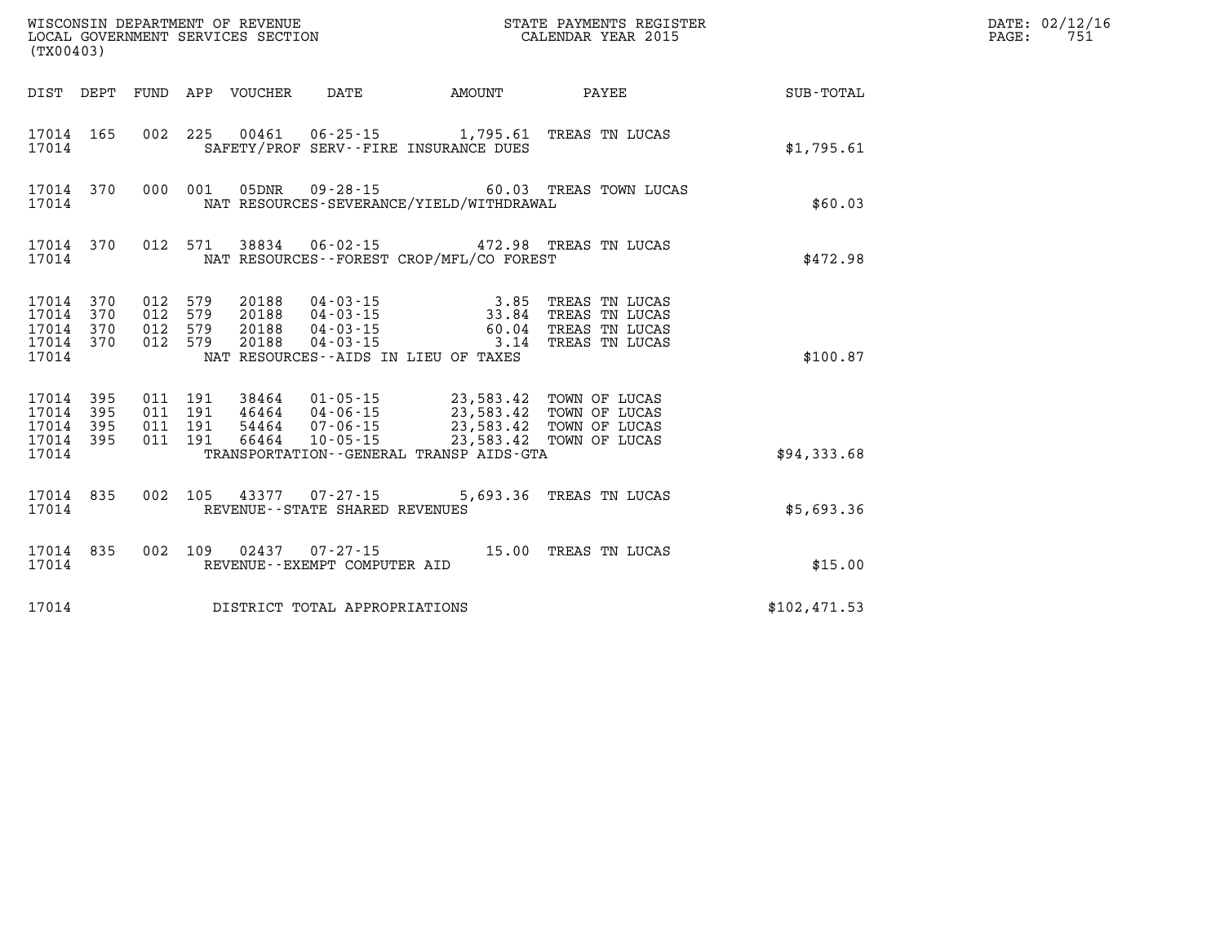| (TX00403)                                 |                          |                          |                          | WISCONSIN DEPARTMENT OF REVENUE<br>LOCAL GOVERNMENT SERVICES SECTION    | STATE PAYMENTS REGISTER<br>CALENDAR YEAR 2015       |                                                                                                                                                                                                                    |                                                                      |              |
|-------------------------------------------|--------------------------|--------------------------|--------------------------|-------------------------------------------------------------------------|-----------------------------------------------------|--------------------------------------------------------------------------------------------------------------------------------------------------------------------------------------------------------------------|----------------------------------------------------------------------|--------------|
| DIST                                      | DEPT                     | FUND                     | APP                      | VOUCHER                                                                 | DATE                                                | <b>EXAMPLE THE PROPERTY OF AMOUNT</b>                                                                                                                                                                              | PAYEE                                                                | SUB-TOTAL    |
| 17014<br>17014                            | 165                      | 002                      | 225                      |                                                                         |                                                     | 00461  06-25-15  1,795.61  TREAS TN LUCAS<br>SAFETY/PROF SERV--FIRE INSURANCE DUES                                                                                                                                 |                                                                      | \$1,795.61   |
| 17014<br>17014                            | 370                      | 000                      | 001                      | 05DNR                                                                   |                                                     | NAT RESOURCES-SEVERANCE/YIELD/WITHDRAWAL                                                                                                                                                                           | 09-28-15 60.03 TREAS TOWN LUCAS                                      | \$60.03      |
| 17014<br>17014                            | 370                      | 012                      | 571                      |                                                                         |                                                     | 38834 06-02-15 472.98 TREAS TN LUCAS<br>NAT RESOURCES - - FOREST CROP/MFL/CO FOREST                                                                                                                                |                                                                      | \$472.98     |
| 17014<br>17014<br>17014<br>17014<br>17014 | 370<br>370<br>370<br>370 | 012<br>012<br>012<br>012 | 579<br>579<br>579<br>579 | 20188<br>20188<br>20188<br>20188                                        |                                                     | $\begin{array}{llll} 04\cdot 03\cdot 15 & 3\cdot 85 \\ 04\cdot 03\cdot 15 & 33\cdot 84 \\ 04\cdot 03\cdot 15 & 60\cdot 04 \\ 04\cdot 03\cdot 15 & 3\cdot 14 \end{array}$<br>NAT RESOURCES -- AIDS IN LIEU OF TAXES | TREAS TN LUCAS<br>TREAS TN LUCAS<br>TREAS TN LUCAS<br>TREAS TN LUCAS | \$100.87     |
| 17014<br>17014<br>17014<br>17014<br>17014 | 395<br>395<br>395<br>395 | 011<br>011<br>011<br>011 | 191<br>191<br>191<br>191 | 38464<br>46464       04-06-15<br>54464       07-06-15<br>54464<br>66464 | $01 - 05 - 15$<br>$10 - 05 - 15$                    | 23,583.42<br>23,583.42<br>23,583.42<br>23,583.42<br>TRANSPORTATION--GENERAL TRANSP AIDS-GTA                                                                                                                        | TOWN OF LUCAS<br>TOWN OF LUCAS<br>TOWN OF LUCAS<br>TOWN OF LUCAS     | \$94,333.68  |
| 17014<br>17014                            | 835                      | 002                      | 105                      |                                                                         | 43377 07-27-15<br>REVENUE - - STATE SHARED REVENUES | 5,693.36                                                                                                                                                                                                           | TREAS TN LUCAS                                                       | \$5,693.36   |
| 17014<br>17014                            | 835                      | 002                      | 109                      |                                                                         | REVENUE--EXEMPT COMPUTER AID                        | 02437 07-27-15 15.00                                                                                                                                                                                               | TREAS TN LUCAS                                                       | \$15.00      |
| 17014                                     |                          |                          |                          |                                                                         | DISTRICT TOTAL APPROPRIATIONS                       |                                                                                                                                                                                                                    |                                                                      | \$102,471.53 |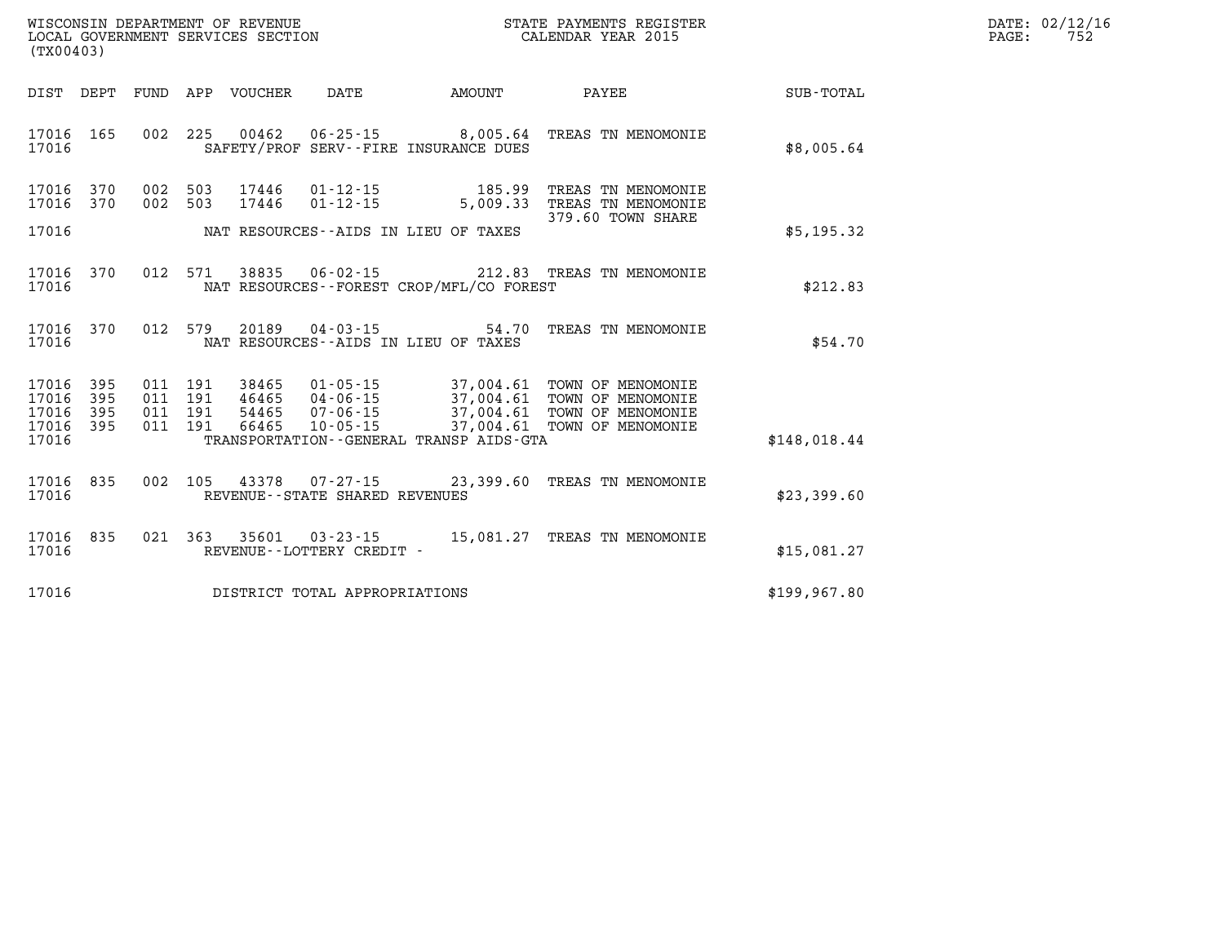| DATE: | 02/12/16 |
|-------|----------|
| PAGE: | 752      |

| (TX00403)               |                   |                                                                                                          |                   | WISCONSIN DEPARTMENT OF REVENUE<br>LOCAL GOVERNMENT SERVICES SECTION |                                                                  |                                                                  | STATE PAYMENTS REGISTER<br>CALENDAR YEAR 2015                 |                  |  |
|-------------------------|-------------------|----------------------------------------------------------------------------------------------------------|-------------------|----------------------------------------------------------------------|------------------------------------------------------------------|------------------------------------------------------------------|---------------------------------------------------------------|------------------|--|
| DIST                    | DEPT              | FUND                                                                                                     | APP               | VOUCHER                                                              | <b>DATE</b>                                                      | AMOUNT                                                           | PAYEE                                                         | <b>SUB-TOTAL</b> |  |
| 17016<br>17016          | 165               | 002                                                                                                      | 225               | 00462                                                                |                                                                  | $06 - 25 - 15$ 8,005.64<br>SAFETY/PROF SERV--FIRE INSURANCE DUES | TREAS TN MENOMONIE                                            | \$8,005.64       |  |
| 17016<br>17016          | 370<br>370        | 002<br>002                                                                                               | 503<br>503        | 17446<br>17446                                                       | $01 - 12 - 15$<br>$01 - 12 - 15$                                 | 185.99<br>5,009.33                                               | TREAS TN MENOMONIE<br>TREAS TN MENOMONIE<br>379.60 TOWN SHARE |                  |  |
| 17016                   |                   |                                                                                                          |                   |                                                                      |                                                                  | NAT RESOURCES -- AIDS IN LIEU OF TAXES                           |                                                               | \$5,195.32       |  |
| 17016<br>17016          | 370               | 012<br>571<br>38835<br>06-02-15 212.83 TREAS TN MENOMONIE<br>NAT RESOURCES - - FOREST CROP/MFL/CO FOREST |                   |                                                                      |                                                                  |                                                                  |                                                               |                  |  |
| 17016<br>17016          | 370               | 012                                                                                                      | 579               | 20189                                                                | $04 - 03 - 15$                                                   | 54.70<br>NAT RESOURCES -- AIDS IN LIEU OF TAXES                  | TREAS TN MENOMONIE                                            | \$54.70          |  |
| 17016<br>17016<br>17016 | 395<br>395<br>395 | 011<br>011<br>011                                                                                        | 191<br>191<br>191 | 38465<br>46465<br>54465                                              | $01 - 05 - 15$<br>04 - 06 - 15<br>07 - 06 - 15<br>$07 - 06 - 15$ | 37,004.61<br>37,004.61<br>37,004.61                              | TOWN OF MENOMONIE<br>TOWN OF MENOMONIE<br>TOWN OF MENOMONIE   |                  |  |
| 17016<br>17016          | 395               | 011                                                                                                      | 191               | 66465                                                                | $10 - 05 - 15$                                                   | 37,004.61<br>TRANSPORTATION--GENERAL TRANSP AIDS-GTA             | TOWN OF MENOMONIE                                             | \$148,018.44     |  |
| 17016<br>17016          | 835               | 002                                                                                                      | 105               | 43378                                                                | 07-27-15<br>REVENUE - - STATE SHARED REVENUES                    | 23,399.60                                                        | TREAS TN MENOMONIE                                            | \$23,399.60      |  |
| 17016<br>17016          | 835               | 021                                                                                                      | 363               | 35601                                                                | $03 - 23 - 15$<br>REVENUE - - LOTTERY CREDIT -                   |                                                                  | 15,081.27 TREAS TN MENOMONIE                                  | \$15,081.27      |  |
| 17016                   |                   |                                                                                                          |                   |                                                                      | DISTRICT TOTAL APPROPRIATIONS                                    |                                                                  |                                                               | \$199, 967.80    |  |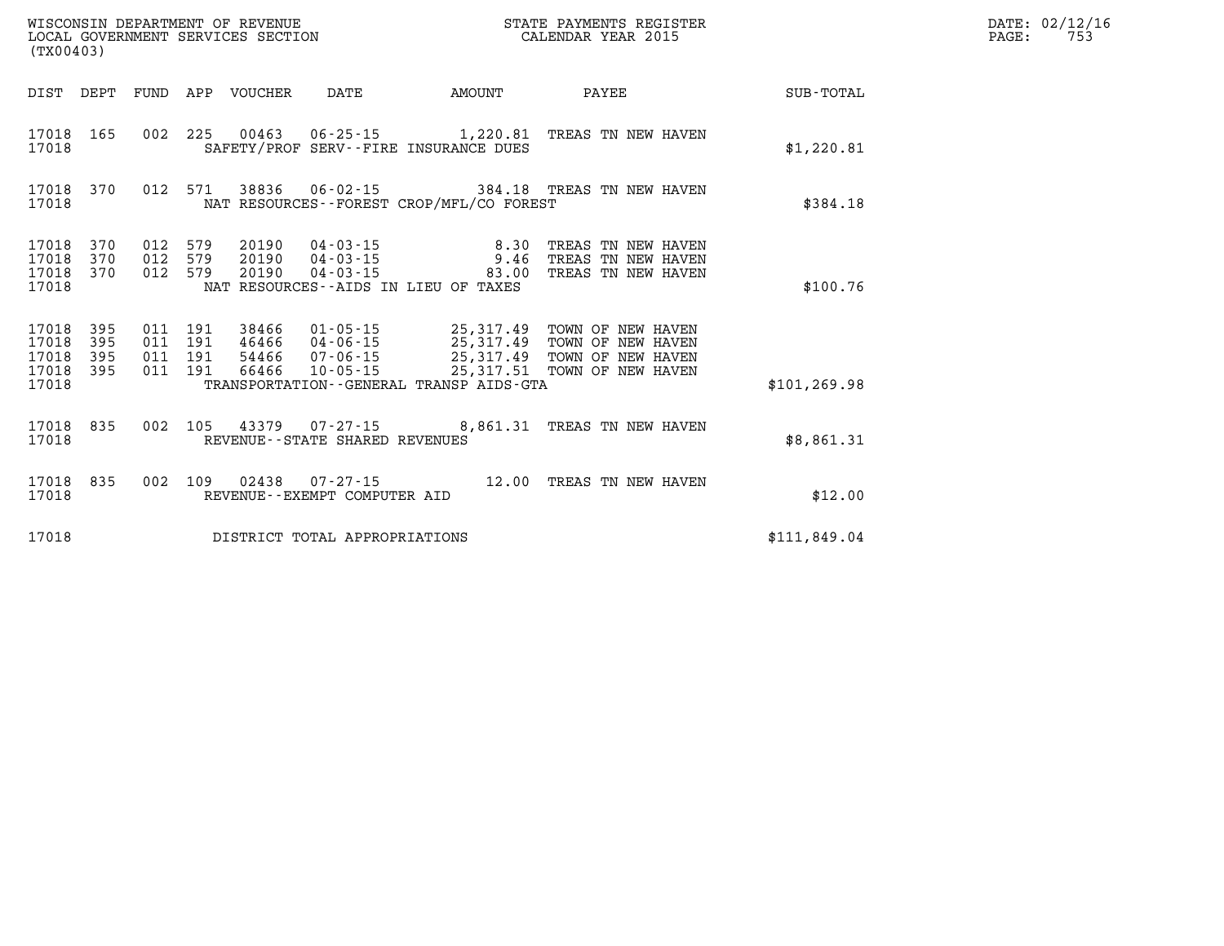| (TX00403)                                 |                          | WISCONSIN DEPARTMENT OF REVENUE<br>LOCAL GOVERNMENT SERVICES SECTION |                          |                                  |                                                                      |                                                                                             |                                                                                  |               |
|-------------------------------------------|--------------------------|----------------------------------------------------------------------|--------------------------|----------------------------------|----------------------------------------------------------------------|---------------------------------------------------------------------------------------------|----------------------------------------------------------------------------------|---------------|
| DIST                                      | DEPT                     | FUND                                                                 | APP                      | VOUCHER                          | DATE                                                                 | AMOUNT                                                                                      | PAYEE                                                                            | SUB-TOTAL     |
| 17018<br>17018                            | 165                      | 002                                                                  | 225                      |                                  |                                                                      | 00463 06-25-15 1,220.81<br>SAFETY/PROF SERV--FIRE INSURANCE DUES                            | TREAS TN NEW HAVEN                                                               | \$1,220.81    |
| 17018<br>17018                            | 370                      | 012                                                                  | 571                      | 38836                            |                                                                      | NAT RESOURCES - - FOREST CROP/MFL/CO FOREST                                                 | 06-02-15 384.18 TREAS TN NEW HAVEN                                               | \$384.18      |
| 17018<br>17018<br>17018<br>17018          | 370<br>370<br>370        | 012<br>012<br>012                                                    | 579<br>579<br>579        | 20190<br>20190<br>20190          | 04-03-15<br>$04 - 03 - 15$<br>$04 - 03 - 15$                         | 8.30<br>9.46<br>83.00<br>NAT RESOURCES - - AIDS IN LIEU OF TAXES                            | TREAS TN NEW HAVEN<br>TREAS TN NEW HAVEN<br>TREAS TN NEW HAVEN                   | \$100.76      |
| 17018<br>17018<br>17018<br>17018<br>17018 | 395<br>395<br>395<br>395 | 011<br>011<br>011<br>011                                             | 191<br>191<br>191<br>191 | 38466<br>46466<br>54466<br>66466 | $01 - 05 - 15$<br>$04 - 06 - 15$<br>$07 - 06 - 15$<br>$10 - 05 - 15$ | 25,317.49<br>25,317.49<br>25,317.49<br>25,317.51<br>TRANSPORTATION--GENERAL TRANSP AIDS-GTA | TOWN OF NEW HAVEN<br>TOWN OF NEW HAVEN<br>TOWN OF NEW HAVEN<br>TOWN OF NEW HAVEN | \$101, 269.98 |
| 17018<br>17018                            | 835                      | 002                                                                  | 105                      |                                  | REVENUE--STATE SHARED REVENUES                                       | 43379 07-27-15 8,861.31                                                                     | TREAS TN NEW HAVEN                                                               | \$8,861.31    |
| 17018<br>17018                            | 835                      | 002                                                                  | 109                      | 02438                            | $07 - 27 - 15$<br>REVENUE--EXEMPT COMPUTER AID                       | 12.00                                                                                       | TREAS TN NEW HAVEN                                                               | \$12.00       |
| 17018                                     |                          |                                                                      |                          |                                  | DISTRICT TOTAL APPROPRIATIONS                                        |                                                                                             |                                                                                  | \$111,849.04  |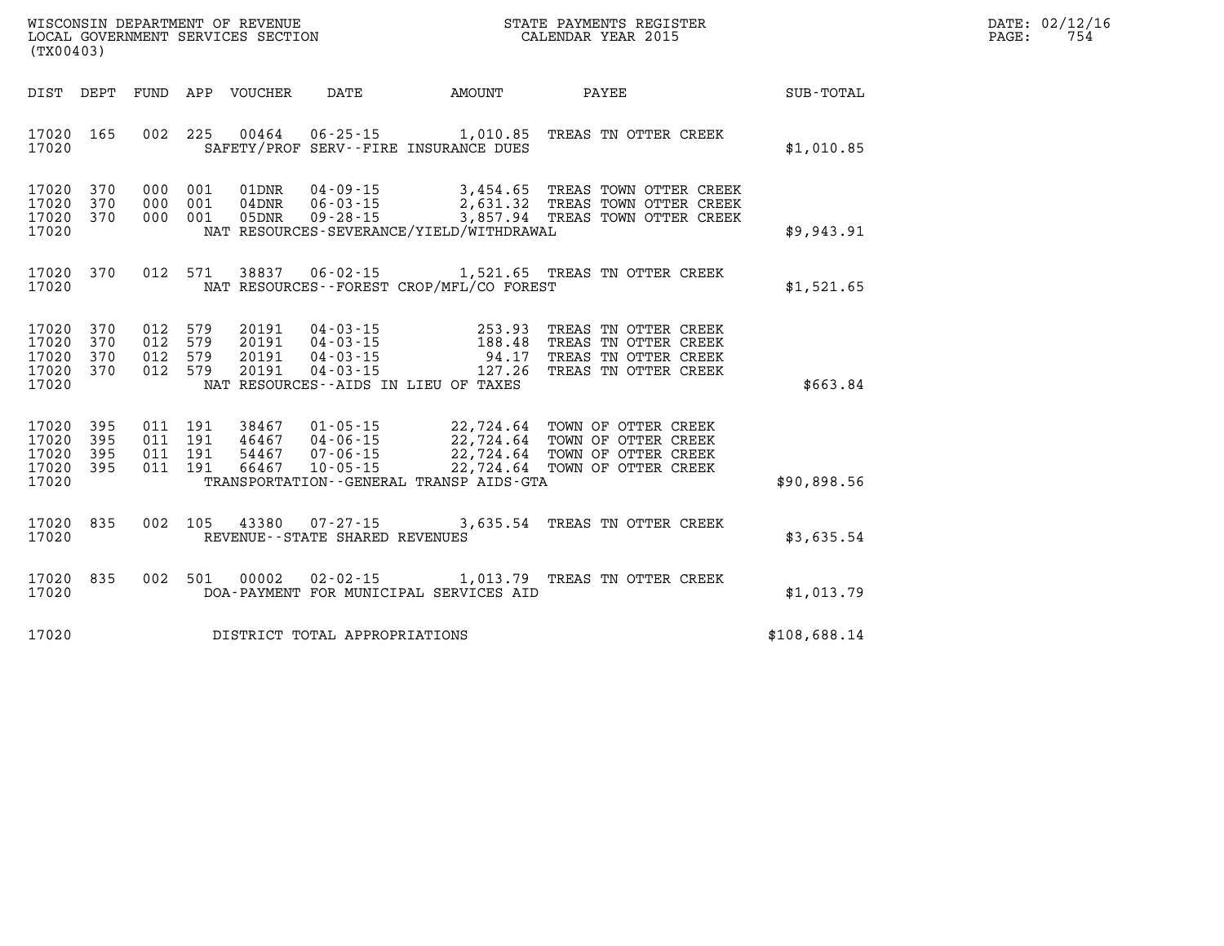| DATE:             | 02/12/16 |
|-------------------|----------|
| $\mathtt{PAGE}$ : | 754      |

| (TX00403)                                 |                          |                          |                              | WISCONSIN DEPARTMENT OF REVENUE<br>LOCAL GOVERNMENT SERVICES SECTION |                                                                  | STATE PAYMENTS REGISTER<br>CALENDAR YEAR 2015                    |                                                                                                                        |              |
|-------------------------------------------|--------------------------|--------------------------|------------------------------|----------------------------------------------------------------------|------------------------------------------------------------------|------------------------------------------------------------------|------------------------------------------------------------------------------------------------------------------------|--------------|
| DIST                                      | DEPT                     | FUND                     |                              | APP VOUCHER                                                          | DATE                                                             | AMOUNT                                                           | PAYEE                                                                                                                  | SUB-TOTAL    |
| 17020<br>17020                            | 165                      | 002                      | 225                          | 00464                                                                |                                                                  | $06 - 25 - 15$ 1,010.85<br>SAFETY/PROF SERV--FIRE INSURANCE DUES | TREAS TN OTTER CREEK                                                                                                   | \$1,010.85   |
| 17020<br>17020<br>17020<br>17020          | 370<br>370<br>370        | 000<br>000<br>000        | 001<br>001<br>001            | 01DNR<br>$04$ DNR<br>05DNR                                           | $04 - 09 - 15$<br>$06 - 03 - 15$<br>$09 - 28 - 15$               | NAT RESOURCES-SEVERANCE/YIELD/WITHDRAWAL                         | 3,454.65 TREAS TOWN OTTER CREEK<br>2,631.32 TREAS TOWN OTTER CREEK<br>3,857.94 TREAS TOWN OTTER CREEK                  | \$9,943.91   |
| 17020<br>17020                            | 370                      | 012                      | 571                          | 38837                                                                | $06 - 02 - 15$                                                   | NAT RESOURCES - - FOREST CROP/MFL/CO FOREST                      | 1,521.65 TREAS TN OTTER CREEK                                                                                          | \$1,521.65   |
| 17020<br>17020<br>17020<br>17020<br>17020 | 370<br>370<br>370<br>370 | 012<br>012<br>012        | 012 579<br>579<br>579<br>579 | 20191<br>20191<br>20191<br>20191                                     | 04 - 03 - 15<br>04 - 03 - 15<br>$04 - 03 - 15$<br>$04 - 03 - 15$ | 253.93<br>127.26<br>NAT RESOURCES -- AIDS IN LIEU OF TAXES       | TREAS TN OTTER CREEK<br>188.48 TREAS TN OTTER CREEK<br>94.17 TREAS TN OTTER CREEK<br>TREAS TN OTTER CREEK              | \$663.84     |
| 17020<br>17020<br>17020<br>17020<br>17020 | 395<br>395<br>395<br>395 | 011<br>011<br>011<br>011 | 191<br>191<br>191<br>191     | 38467<br>46467<br>54467<br>66467                                     | $01 - 05 - 15$<br>04-06-15<br>$07 - 06 - 15$<br>$10 - 05 - 15$   | 22,724.64<br>TRANSPORTATION--GENERAL TRANSP AIDS-GTA             | 22,724.64 TOWN OF OTTER CREEK<br>22,724.64 TOWN OF OTTER CREEK<br>22,724.64 TOWN OF OTTER CREEK<br>TOWN OF OTTER CREEK | \$90,898.56  |
| 17020<br>17020                            | 835                      | 002                      | 105                          | 43380                                                                | $07 - 27 - 15$<br>REVENUE - - STATE SHARED REVENUES              | 3,635.54                                                         | TREAS TN OTTER CREEK                                                                                                   | \$3,635.54   |
| 17020<br>17020                            | 835                      | 002                      | 501                          | 00002                                                                | $02 - 02 - 15$                                                   | DOA-PAYMENT FOR MUNICIPAL SERVICES AID                           | 1,013.79 TREAS TN OTTER CREEK                                                                                          | \$1,013.79   |
| 17020                                     |                          |                          |                              |                                                                      | DISTRICT TOTAL APPROPRIATIONS                                    |                                                                  |                                                                                                                        | \$108,688.14 |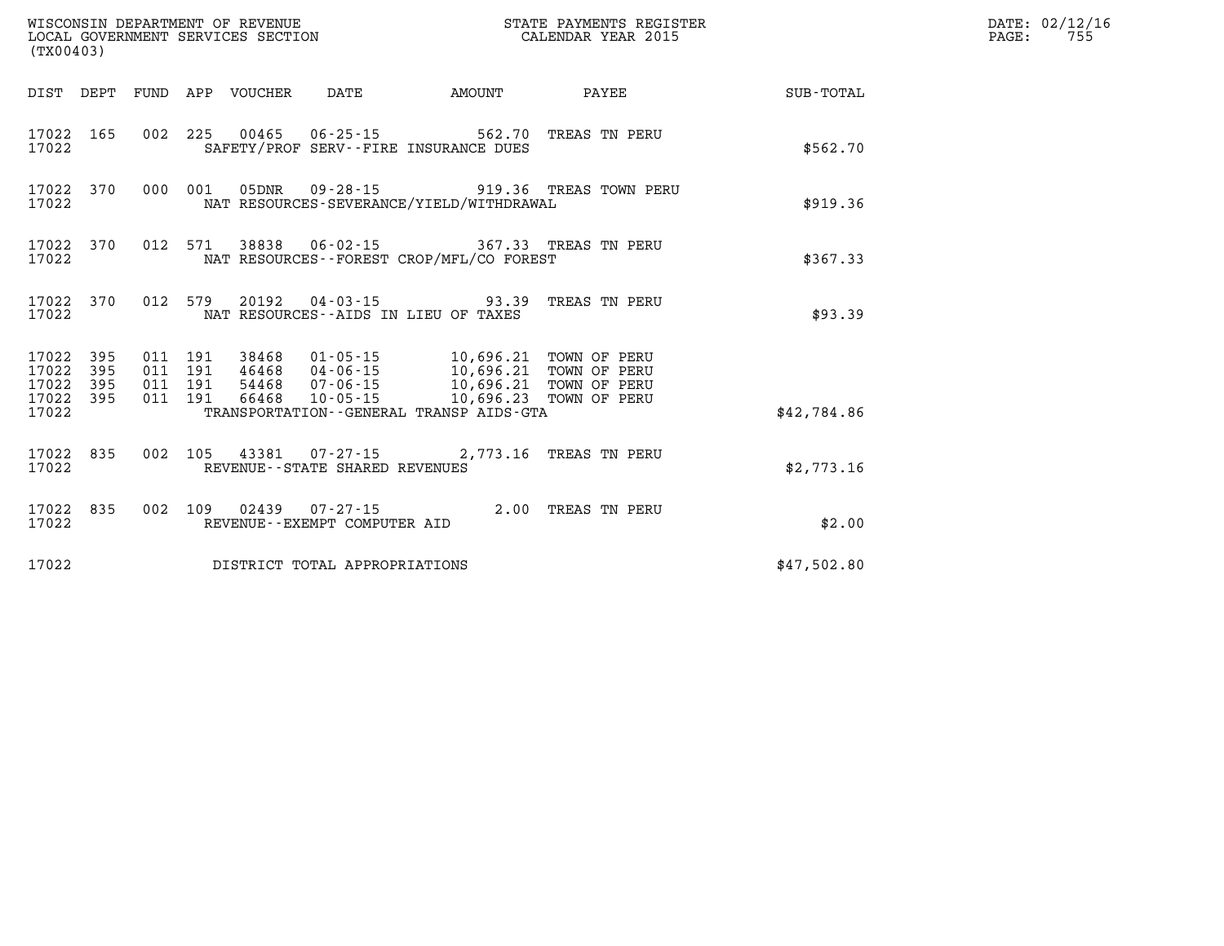| WISCONSIN DEPARTMENT OF REVENUE<br>LOCAL GOVERNMENT SERVICES SECTION<br>(TX00403) |     |                                          |  |                            |                                   |                                                                                                                                                                           | STATE PAYMENTS REGISTER<br>CALENDAR YEAR 2015 |             | DATE: 02/12/16<br>$\mathtt{PAGE:}$<br>755 |
|-----------------------------------------------------------------------------------|-----|------------------------------------------|--|----------------------------|-----------------------------------|---------------------------------------------------------------------------------------------------------------------------------------------------------------------------|-----------------------------------------------|-------------|-------------------------------------------|
|                                                                                   |     |                                          |  | DIST DEPT FUND APP VOUCHER | DATE                              | AMOUNT                                                                                                                                                                    | PAYEE                                         | SUB-TOTAL   |                                           |
| 17022 165<br>17022                                                                |     |                                          |  |                            |                                   | 002 225 00465 06-25-15 562.70 TREAS TN PERU<br>SAFETY/PROF SERV--FIRE INSURANCE DUES                                                                                      |                                               | \$562.70    |                                           |
| 17022 370<br>17022                                                                |     |                                          |  | 000 001 05DNR              |                                   | NAT RESOURCES-SEVERANCE/YIELD/WITHDRAWAL                                                                                                                                  | 09-28-15 919.36 TREAS TOWN PERU               | \$919.36    |                                           |
| 17022 370<br>17022                                                                |     |                                          |  |                            |                                   | 012 571 38838 06-02-15 367.33 TREAS TN PERU<br>NAT RESOURCES - - FOREST CROP/MFL/CO FOREST                                                                                |                                               | \$367.33    |                                           |
| 17022 370<br>17022                                                                |     |                                          |  |                            |                                   | 012 579 20192 04-03-15 93.39 TREAS TN PERU<br>NAT RESOURCES--AIDS IN LIEU OF TAXES                                                                                        |                                               | \$93.39     |                                           |
| 17022 395<br>17022<br>17022 395<br>17022 395                                      | 395 | 011 191<br>011 191<br>011 191<br>011 191 |  |                            |                                   | 38468  01-05-15  10,696.21  TOWN OF PERU<br>46468 04-06-15 10,696.21 TOWN OF PERU<br>54468  07-06-15  10,696.21  TOWN OF PERU<br>66468  10-05-15  10,696.23  TOWN OF PERU |                                               |             |                                           |
| 17022                                                                             |     |                                          |  |                            |                                   | TRANSPORTATION - - GENERAL TRANSP AIDS - GTA                                                                                                                              |                                               | \$42,784.86 |                                           |
| 17022 835<br>17022                                                                |     |                                          |  |                            | REVENUE - - STATE SHARED REVENUES | 002 105 43381 07-27-15 2,773.16 TREAS TN PERU                                                                                                                             |                                               | \$2,773.16  |                                           |
| 17022 835<br>17022                                                                |     |                                          |  |                            | REVENUE--EXEMPT COMPUTER AID      | 002 109 02439 07-27-15 2.00 TREAS TN PERU                                                                                                                                 |                                               | \$2.00      |                                           |
| 17022                                                                             |     |                                          |  |                            | DISTRICT TOTAL APPROPRIATIONS     |                                                                                                                                                                           |                                               | \$47,502.80 |                                           |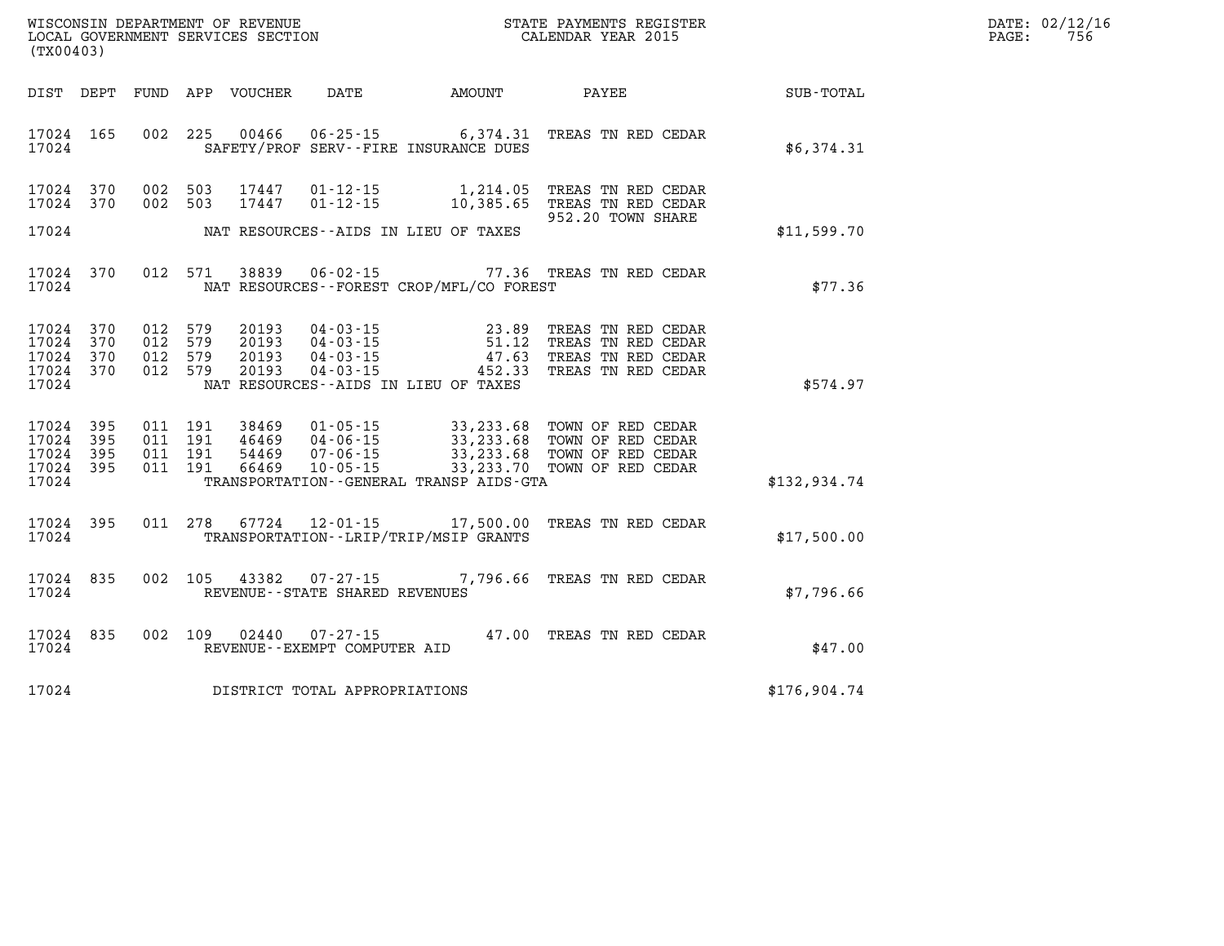| WISCONSIN DEPARTMENT OF REVENUE   | STATE PAYMENTS REGISTER | DATE: | .: 02/12/16 |
|-----------------------------------|-------------------------|-------|-------------|
| LOCAL GOVERNMENT SERVICES SECTION | CALENDAR YEAR 2015      | PAGE. | 756         |

| (TX00403)                                                 |         |  | LOCAL GOVERNMENT SERVICES SECTION CALENDAR YEAR 2015 |                                                                                                                                                                                                                      |              | PAGE: | 756 |
|-----------------------------------------------------------|---------|--|------------------------------------------------------|----------------------------------------------------------------------------------------------------------------------------------------------------------------------------------------------------------------------|--------------|-------|-----|
|                                                           |         |  |                                                      | DIST DEPT FUND APP VOUCHER DATE AMOUNT PAYEE PAYES                                                                                                                                                                   |              |       |     |
| 17024 165                                                 |         |  | 17024 SAFETY/PROF SERV--FIRE INSURANCE DUES          | 002 225 00466 06-25-15 6,374.31 TREAS TN RED CEDAR                                                                                                                                                                   | \$6,374.31   |       |     |
| 17024 370<br>17024 370                                    |         |  | 17024 NAT RESOURCES--AIDS IN LIEU OF TAXES           | 002 503 17447 01-12-15 1,214.05 TREAS TN RED CEDAR<br>002 503 17447 01-12-15 10,385.65 TREAS TN RED CEDAR<br>952.20 TOWN SHARE                                                                                       | \$11,599.70  |       |     |
|                                                           |         |  |                                                      | 17024 370 012 571 38839 06-02-15 77.36 TREAS TN RED CEDAR<br>17024 NAT RESOURCES--FOREST CROP/MFL/CO FOREST                                                                                                          | \$77.36      |       |     |
| 17024 370<br>17024 370<br>17024 370<br>17024 370<br>17024 | 012 579 |  | NAT RESOURCES--AIDS IN LIEU OF TAXES                 | 012 579 20193 04-03-15 23.89 TREAS TN RED CEDAR<br>012 579 20193 04-03-15 51.12 TREAS TN RED CEDAR<br>012 579 20193 04-03-15 47.63 TREAS TN RED CEDAR<br>012 579 20193 04-03-15 452.33 TREAS TN RED CEDAR            | \$574.97     |       |     |
| 17024 395<br>17024 395<br>17024 395<br>17024 395          |         |  | 17024 TRANSPORTATION - GENERAL TRANSP AIDS - GTA     | 011 191 38469 01-05-15 33,233.68 TOWN OF RED CEDAR<br>011 191 46469 04-06-15 33,233.68 TOWN OF RED CEDAR<br>011 191 54469 07-06-15 33,233.68 TOWN OF RED CEDAR<br>011 191 66469 10-05-15 33,233.70 TOWN OF RED CEDAR | \$132,934.74 |       |     |
|                                                           |         |  | 17024 TRANSPORTATION - - LRIP/TRIP/MSIP GRANTS       | 17024 395 011 278 67724 12-01-15 17,500.00 TREAS TN RED CEDAR                                                                                                                                                        | \$17,500.00  |       |     |
| 17024 835<br>17024 REVENUE--STATE SHARED REVENUES         |         |  |                                                      | 002 105 43382 07-27-15 7,796.66 TREAS TN RED CEDAR                                                                                                                                                                   | \$7,796.66   |       |     |
| 17024 835<br>17024 REVENUE - EXEMPT COMPUTER AID          |         |  |                                                      | 002 109 02440 07-27-15 47.00 TREAS TN RED CEDAR                                                                                                                                                                      | \$47.00      |       |     |
| 17024 DISTRICT TOTAL APPROPRIATIONS                       |         |  |                                                      |                                                                                                                                                                                                                      | \$176,904.74 |       |     |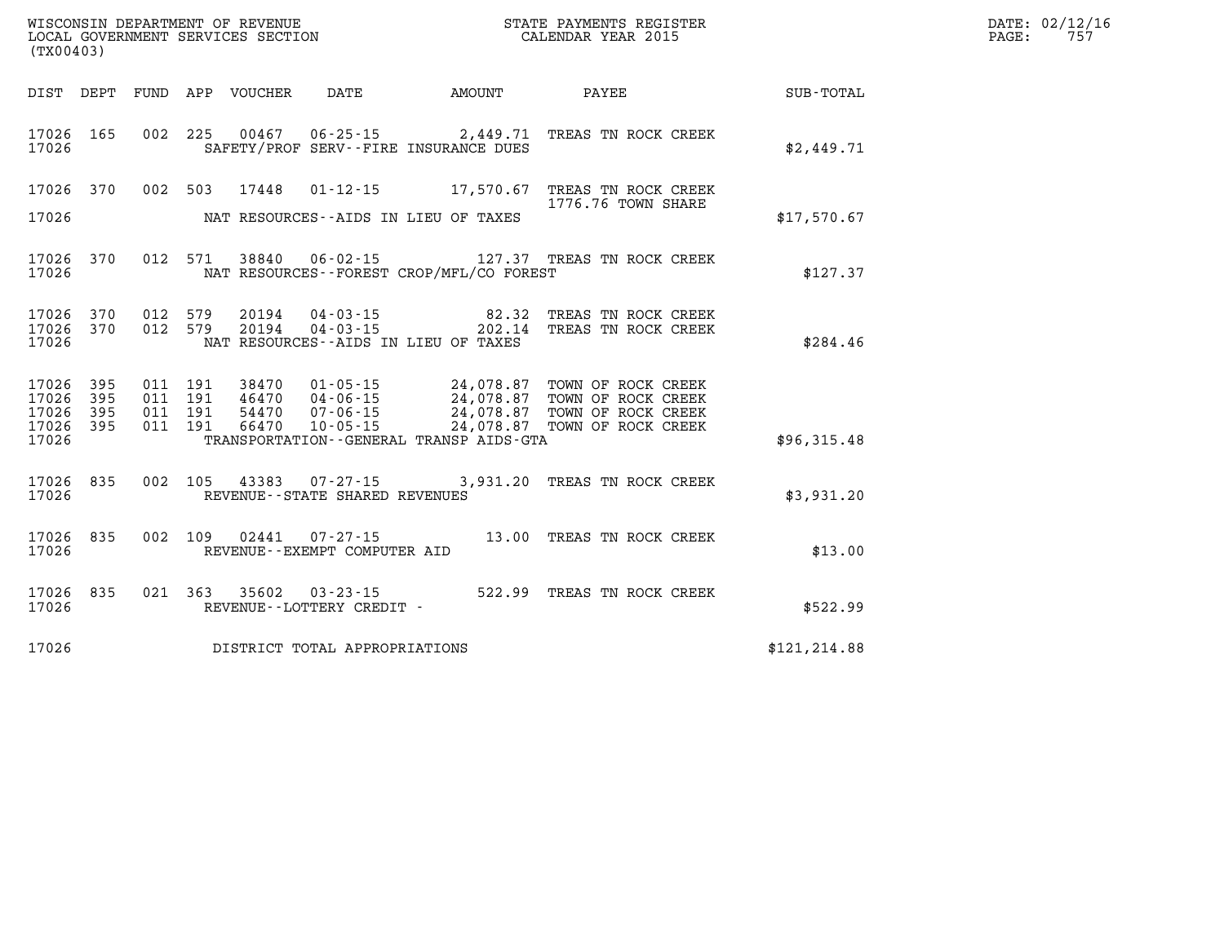| WISCONSIN DEPARTMENT OF REVENUE<br>LOCAL GOVERNMENT SERVICES SECTION<br>(TX00403) |           |                    |                               |                                 |                                                        |                                          | STATE PAYMENTS REGISTER<br>CALENDAR YEAR 2015                                                                                                                                                     | DATE: 02/12/16<br>PAGE:<br>757 |  |
|-----------------------------------------------------------------------------------|-----------|--------------------|-------------------------------|---------------------------------|--------------------------------------------------------|------------------------------------------|---------------------------------------------------------------------------------------------------------------------------------------------------------------------------------------------------|--------------------------------|--|
|                                                                                   |           |                    |                               | DIST DEPT FUND APP VOUCHER DATE |                                                        | <b>AMOUNT</b>                            | <b>PAYEE</b> PAYEE                                                                                                                                                                                | SUB-TOTAL                      |  |
| 17026 165<br>17026                                                                |           |                    |                               | 002 225 00467                   |                                                        | SAFETY/PROF SERV--FIRE INSURANCE DUES    | 06-25-15 2,449.71 TREAS TN ROCK CREEK                                                                                                                                                             | \$2,449.71                     |  |
| 17026                                                                             | 17026 370 | 002 503            |                               | 17448                           |                                                        | NAT RESOURCES--AIDS IN LIEU OF TAXES     | 01-12-15 17,570.67 TREAS TN ROCK CREEK<br>1776.76 TOWN SHARE                                                                                                                                      | \$17,570.67                    |  |
| 17026                                                                             | 17026 370 |                    |                               |                                 |                                                        | NAT RESOURCES--FOREST CROP/MFL/CO FOREST | 012 571 38840 06-02-15 127.37 TREAS TN ROCK CREEK                                                                                                                                                 | \$127.37                       |  |
| 17026 370<br>17026                                                                | 17026 370 | 012 579<br>012 579 |                               |                                 |                                                        | NAT RESOURCES--AIDS IN LIEU OF TAXES     | TREAS TN ROCK CREEK<br>TREAS TN ROCK CREEK                                                                                                                                                        | \$284.46                       |  |
| 17026 395<br>17026<br>17026 395<br>17026 395<br>17026                             | 395       | 011 191            | 011 191<br>011 191<br>011 191 |                                 |                                                        | TRANSPORTATION--GENERAL TRANSP AIDS-GTA  | 38470  01-05-15  24,078.87  TOWN OF ROCK CREEK<br>46470  04-06-15  24,078.87 TOWN OF ROCK CREEK<br>54470  07-06-15  24,078.87 TOWN OF ROCK CREEK<br>66470  10-05-15  24,078.87 TOWN OF ROCK CREEK | \$96,315.48                    |  |
| 17026                                                                             | 17026 835 |                    |                               |                                 | REVENUE - - STATE SHARED REVENUES                      |                                          | 002 105 43383 07-27-15 3,931.20 TREAS TN ROCK CREEK                                                                                                                                               | \$3,931.20                     |  |
| 17026                                                                             | 17026 835 |                    |                               |                                 | 002 109 02441 07-27-15<br>REVENUE--EXEMPT COMPUTER AID |                                          | 13.00 TREAS TN ROCK CREEK                                                                                                                                                                         | \$13.00                        |  |
| 17026                                                                             | 17026 835 |                    |                               |                                 | REVENUE - - LOTTERY CREDIT -                           |                                          | 021 363 35602 03-23-15 522.99 TREAS TN ROCK CREEK                                                                                                                                                 | \$522.99                       |  |
| 17026                                                                             |           |                    |                               |                                 | DISTRICT TOTAL APPROPRIATIONS                          |                                          |                                                                                                                                                                                                   | \$121, 214.88                  |  |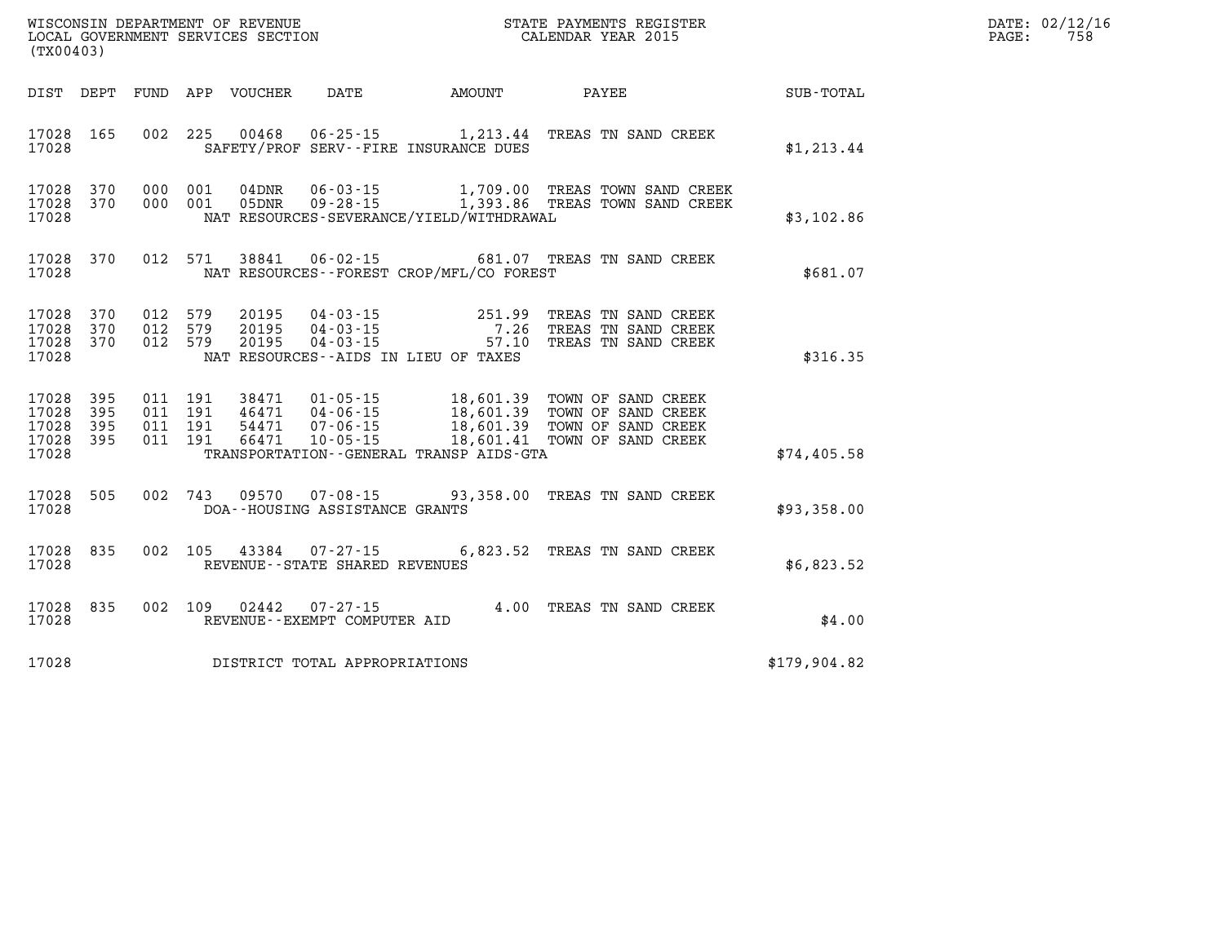| (TX00403)                                             |     |  |               |                                |                                                                                                                                      | WISCONSIN DEPARTMENT OF REVENUE<br>LOCAL GOVERNMENT SERVICES SECTION<br>CALENDAR YEAR 2015                     |              | DATE: 02/12/16<br>$\mathtt{PAGE:}$<br>758 |
|-------------------------------------------------------|-----|--|---------------|--------------------------------|--------------------------------------------------------------------------------------------------------------------------------------|----------------------------------------------------------------------------------------------------------------|--------------|-------------------------------------------|
|                                                       |     |  |               |                                |                                                                                                                                      | DIST DEPT FUND APP VOUCHER DATE AMOUNT PAYEE PATE SUB-TOTAL                                                    |              |                                           |
| 17028 165<br>17028                                    |     |  |               |                                | SAFETY/PROF SERV--FIRE INSURANCE DUES                                                                                                | 002 225 00468 06-25-15 1,213.44 TREAS TN SAND CREEK                                                            | \$1, 213.44  |                                           |
| 17028 370<br>17028 370<br>17028                       |     |  |               |                                | NAT RESOURCES-SEVERANCE/YIELD/WITHDRAWAL                                                                                             | 000 001 04DNR 06-03-15 1,709.00 TREAS TOWN SAND CREEK<br>000 001 05DNR 09-28-15 1,393.86 TREAS TOWN SAND CREEK | \$3,102.86   |                                           |
| 17028 370<br>17028                                    |     |  |               |                                | NAT RESOURCES--FOREST CROP/MFL/CO FOREST                                                                                             | 012 571 38841 06-02-15 681.07 TREAS TN SAND CREEK                                                              | \$681.07     |                                           |
| 17028 370<br>17028 370<br>17028 370<br>17028          |     |  |               |                                | 012 579 20195 04-03-15 251.99<br>012 579 20195 04-03-15 7.26<br>012 579 20195 04-03-15 57.10<br>NAT RESOURCES--AIDS IN LIEU OF TAXES | TREAS TN SAND CREEK<br>TREAS TN SAND CREEK<br>57.10 TREAS TN SAND CREEK                                        | \$316.35     |                                           |
| 17028 395<br>17028<br>17028 395<br>17028 395<br>17028 | 395 |  |               |                                | TRANSPORTATION - - GENERAL TRANSP AIDS - GTA                                                                                         |                                                                                                                | \$74,405.58  |                                           |
| 17028 505<br>17028                                    |     |  |               | DOA--HOUSING ASSISTANCE GRANTS |                                                                                                                                      | 002 743 09570 07-08-15 93,358.00 TREAS TN SAND CREEK                                                           | \$93,358.00  |                                           |
| 17028 835<br>17028                                    |     |  |               | REVENUE--STATE SHARED REVENUES |                                                                                                                                      | 002 105 43384 07-27-15 6,823.52 TREAS TN SAND CREEK                                                            | \$6,823.52   |                                           |
| 17028 835<br>17028                                    |     |  | 002 109 02442 | REVENUE--EXEMPT COMPUTER AID   |                                                                                                                                      | $07 - 27 - 15$ $4.00$ TREAS TN SAND CREEK                                                                      | \$4.00       |                                           |
| 17028                                                 |     |  |               | DISTRICT TOTAL APPROPRIATIONS  |                                                                                                                                      |                                                                                                                | \$179,904.82 |                                           |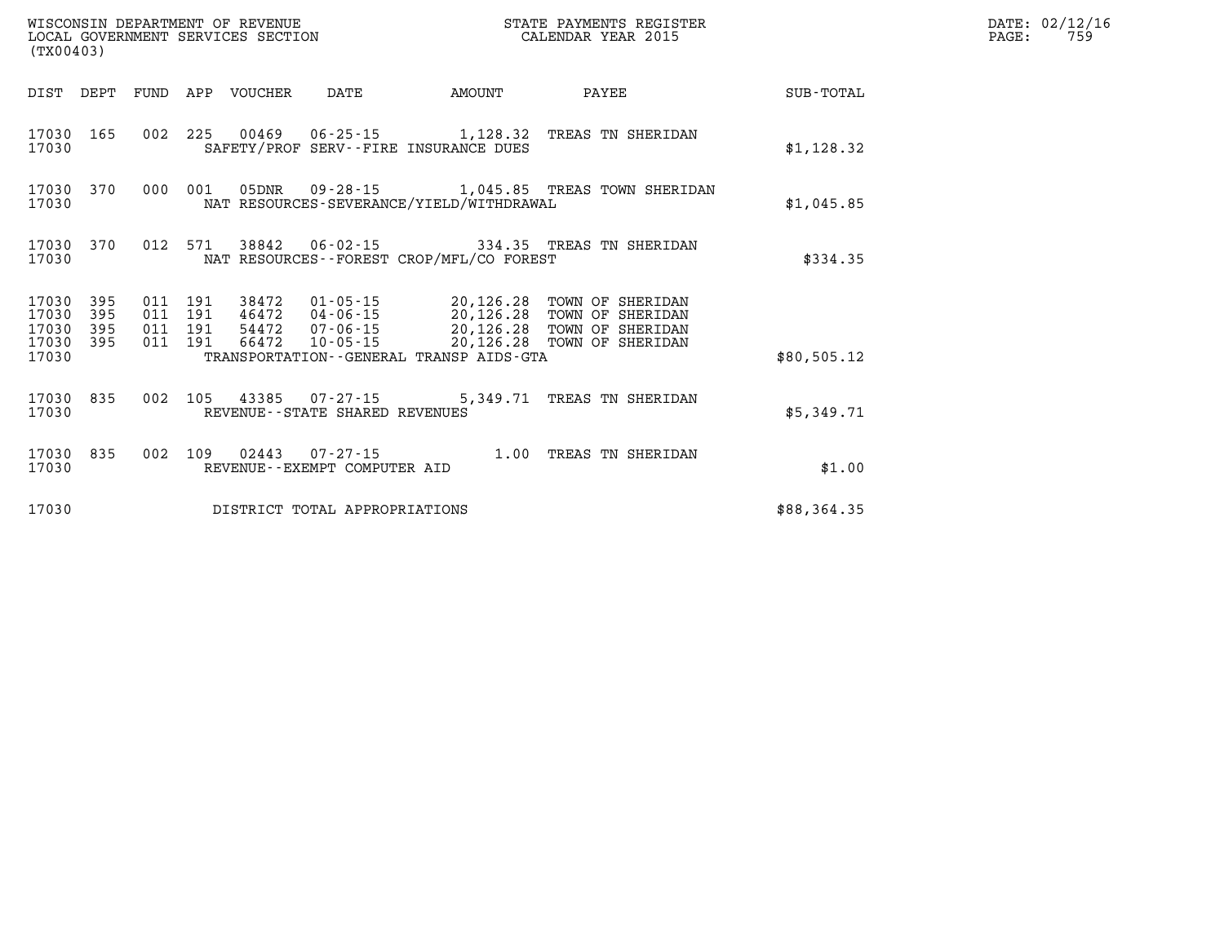| (TX00403)                        |                          |                          |                          | WISCONSIN DEPARTMENT OF REVENUE<br>LOCAL GOVERNMENT SERVICES SECTION |                                                     |                                                   | STATE PAYMENTS REGISTER<br>CALENDAR YEAR 2015                                |             |
|----------------------------------|--------------------------|--------------------------|--------------------------|----------------------------------------------------------------------|-----------------------------------------------------|---------------------------------------------------|------------------------------------------------------------------------------|-------------|
| DIST                             | DEPT                     | FUND                     | APP                      | VOUCHER                                                              | DATE                                                | AMOUNT                                            | PAYEE                                                                        | SUB-TOTAL   |
| 17030<br>17030                   | 165                      | 002                      | 225                      | 00469                                                                | 06-25-15                                            | 1,128.32<br>SAFETY/PROF SERV--FIRE INSURANCE DUES | TREAS TN SHERIDAN                                                            | \$1,128.32  |
| 17030<br>17030                   | 370                      | 000                      | 001                      | 05DNR                                                                | $09 - 28 - 15$                                      | NAT RESOURCES-SEVERANCE/YIELD/WITHDRAWAL          | 1,045.85 TREAS TOWN SHERIDAN                                                 | \$1,045.85  |
| 17030<br>17030                   | 370                      | 012                      | 571                      | 38842                                                                | $06 - 02 - 15$                                      | NAT RESOURCES - - FOREST CROP/MFL/CO FOREST       | 334.35 TREAS TN SHERIDAN                                                     | \$334.35    |
| 17030<br>17030<br>17030<br>17030 | 395<br>395<br>395<br>395 | 011<br>011<br>011<br>011 | 191<br>191<br>191<br>191 | 38472<br>46472<br>54472<br>66472                                     | 01-05-15<br>04-06-15<br>07-06-15<br>10-05-15        | 20,126.28<br>20,126.28<br>20,126.28<br>20,126.28  | TOWN OF SHERIDAN<br>TOWN OF SHERIDAN<br>TOWN OF SHERIDAN<br>TOWN OF SHERIDAN |             |
| 17030                            |                          |                          |                          |                                                                      |                                                     | TRANSPORTATION--GENERAL TRANSP AIDS-GTA           |                                                                              | \$80,505.12 |
| 17030<br>17030                   | 835                      | 002                      | 105                      | 43385                                                                | $07 - 27 - 15$<br>REVENUE - - STATE SHARED REVENUES | 5,349.71                                          | TREAS TN SHERIDAN                                                            | \$5,349.71  |
| 17030<br>17030                   | 835                      | 002                      | 109                      | 02443                                                                | $07 - 27 - 15$<br>REVENUE - - EXEMPT COMPUTER AID   | 1.00                                              | TREAS TN SHERIDAN                                                            | \$1.00      |
| 17030                            |                          |                          |                          |                                                                      | DISTRICT TOTAL APPROPRIATIONS                       |                                                   |                                                                              | \$88,364.35 |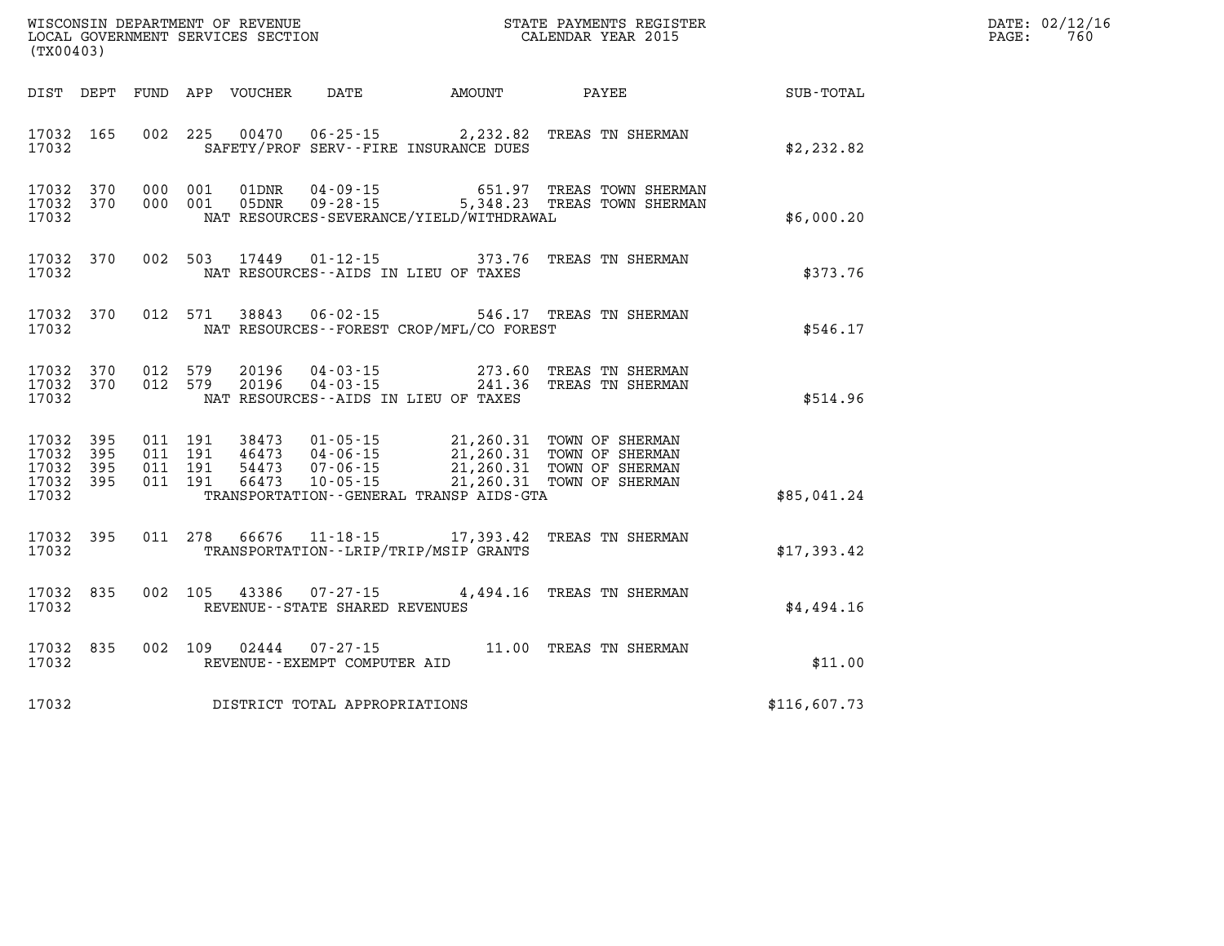| (TX00403)      |                                            |                   |  |                                  |                                              |                                                                                                                                                                                                                                                                                                                                                         |                  | DATE: 02/12/16<br>760<br>$\mathtt{PAGE:}$ |
|----------------|--------------------------------------------|-------------------|--|----------------------------------|----------------------------------------------|---------------------------------------------------------------------------------------------------------------------------------------------------------------------------------------------------------------------------------------------------------------------------------------------------------------------------------------------------------|------------------|-------------------------------------------|
|                |                                            |                   |  |                                  | DIST DEPT FUND APP VOUCHER DATE AMOUNT PAYEE |                                                                                                                                                                                                                                                                                                                                                         | <b>SUB-TOTAL</b> |                                           |
| 17032          | 17032 165                                  |                   |  |                                  | SAFETY/PROF SERV--FIRE INSURANCE DUES        | 002 225 00470 06-25-15 2,232.82 TREAS TN SHERMAN                                                                                                                                                                                                                                                                                                        | \$2,232.82       |                                           |
| 17032          |                                            | 17032 370 000 001 |  | 17032 370 000 001 05DNR 09-28-15 | NAT RESOURCES-SEVERANCE/YIELD/WITHDRAWAL     | 01DNR  04-09-15  651.97 TREAS TOWN SHERMAN<br>5,348.23 TREAS TOWN SHERMAN                                                                                                                                                                                                                                                                               | \$6,000.20       |                                           |
| 17032          |                                            |                   |  |                                  | NAT RESOURCES--AIDS IN LIEU OF TAXES         | 17032 370 002 503 17449 01-12-15 373.76 TREAS TN SHERMAN                                                                                                                                                                                                                                                                                                | \$373.76         |                                           |
| 17032          |                                            |                   |  |                                  | NAT RESOURCES--FOREST CROP/MFL/CO FOREST     | 17032 370 012 571 38843 06-02-15 546.17 TREAS TN SHERMAN                                                                                                                                                                                                                                                                                                | \$546.17         |                                           |
| 17032          |                                            |                   |  |                                  | NAT RESOURCES--AIDS IN LIEU OF TAXES         | $\begin{array}{cccccc} 17032 & 370 & 012 & 579 & 20196 & 04-03-15 & & & 273.60 & \text{TREAS TN SHERMAN} \\ 17032 & 370 & 012 & 579 & 20196 & 04-03-15 & & & 241.36 & \text{TREAS TN SHERMAN} \end{array}$                                                                                                                                              | \$514.96         |                                           |
| 17032<br>17032 | 17032 395<br>17032 395<br>395<br>17032 395 |                   |  |                                  | TRANSPORTATION--GENERAL TRANSP AIDS-GTA      | $\begin{array}{cccc} 011 & 191 & 38473 & 01\cdot 05\cdot 15 & 21,260.31 & \text{TOWN OF SHERMAN} \\ 011 & 191 & 46473 & 04\cdot 06\cdot 15 & 21,260.31 & \text{TOWN OF SHERMAN} \\ 011 & 191 & 54473 & 07\cdot 06\cdot 15 & 21,260.31 & \text{TOWN OF SHERMAN} \\ 011 & 191 & 66473 & 10\cdot 05\cdot 15 & 21,260.31 & \text{TOWN OF SHERMAN} \\ \end{$ | \$85,041.24      |                                           |
| 17032          | 17032 395                                  |                   |  |                                  | TRANSPORTATION--LRIP/TRIP/MSIP GRANTS        | 011 278 66676 11-18-15 17,393.42 TREAS TN SHERMAN                                                                                                                                                                                                                                                                                                       | \$17,393.42      |                                           |
| 17032          | 17032 835                                  |                   |  | REVENUE--STATE SHARED REVENUES   |                                              | 002 105 43386 07-27-15 4,494.16 TREAS TN SHERMAN                                                                                                                                                                                                                                                                                                        | \$4,494.16       |                                           |
| 17032          | 17032 835                                  |                   |  | REVENUE--EXEMPT COMPUTER AID     |                                              | 002 109 02444 07-27-15 11.00 TREAS TN SHERMAN                                                                                                                                                                                                                                                                                                           | \$11.00          |                                           |
| 17032          |                                            |                   |  | DISTRICT TOTAL APPROPRIATIONS    |                                              |                                                                                                                                                                                                                                                                                                                                                         | \$116,607.73     |                                           |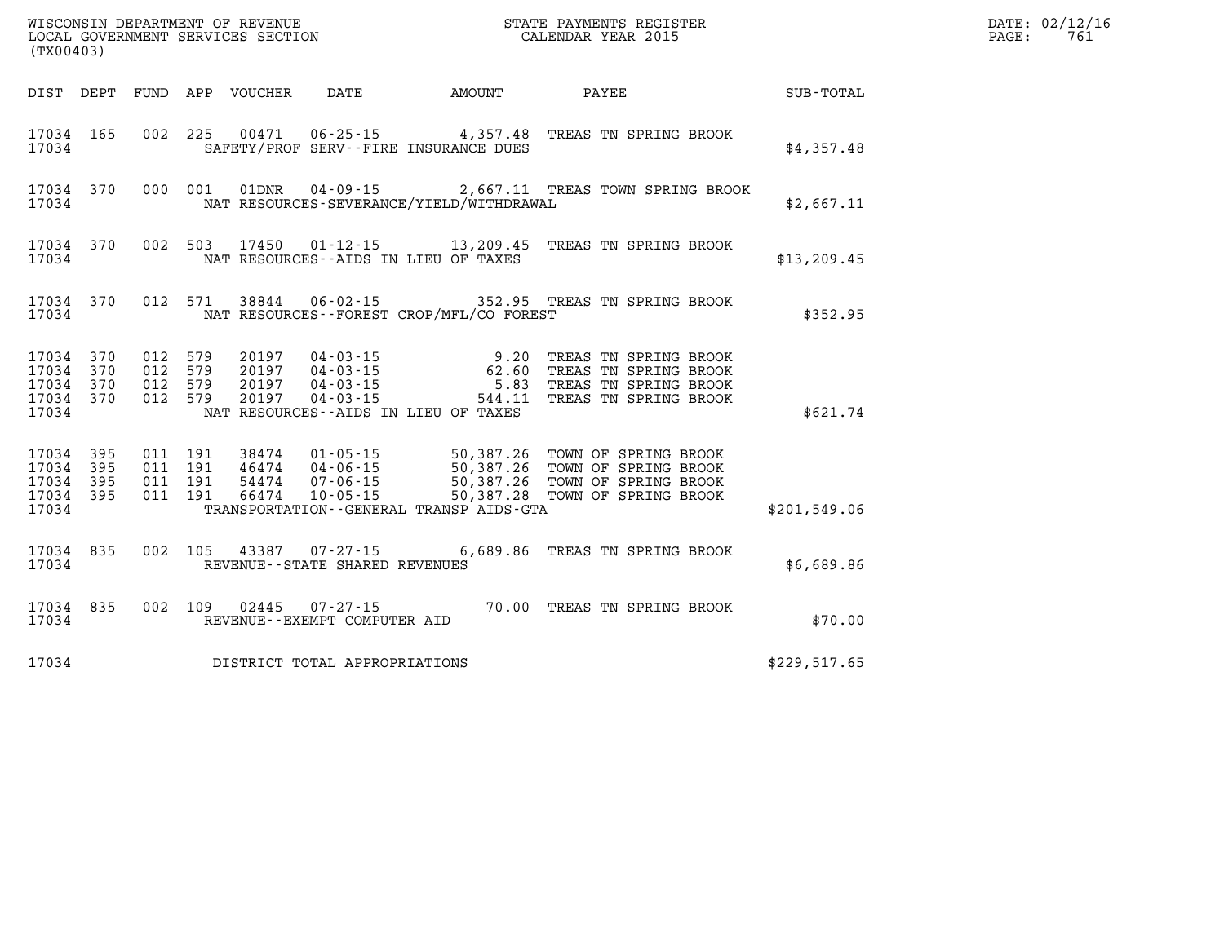| (TX00403)                                 |                          |                          |                          | WISCONSIN DEPARTMENT OF REVENUE<br>LOCAL GOVERNMENT SERVICES SECTION |                                                                      |                                                                                             | STATE PAYMENTS REGISTER<br>CALENDAR YEAR 2015                                                    |              |
|-------------------------------------------|--------------------------|--------------------------|--------------------------|----------------------------------------------------------------------|----------------------------------------------------------------------|---------------------------------------------------------------------------------------------|--------------------------------------------------------------------------------------------------|--------------|
| DIST                                      | DEPT                     | FUND                     | APP                      | VOUCHER                                                              | DATE                                                                 | AMOUNT                                                                                      | PAYEE                                                                                            | SUB-TOTAL    |
| 17034<br>17034                            | 165                      | 002                      | 225                      | 00471                                                                | $06 - 25 - 15$                                                       | 4,357.48<br>SAFETY/PROF SERV--FIRE INSURANCE DUES                                           | TREAS TN SPRING BROOK                                                                            | \$4,357.48   |
| 17034<br>17034                            | 370                      | 000                      | 001                      | 01DNR                                                                | $04 - 09 - 15$                                                       | NAT RESOURCES-SEVERANCE/YIELD/WITHDRAWAL                                                    | 2,667.11 TREAS TOWN SPRING BROOK                                                                 | \$2,667.11   |
| 17034<br>17034                            | 370                      | 002                      | 503                      | 17450                                                                |                                                                      | $01 - 12 - 15$ 13, 209.45<br>NAT RESOURCES--AIDS IN LIEU OF TAXES                           | TREAS TN SPRING BROOK                                                                            | \$13, 209.45 |
| 17034<br>17034                            | 370                      | 012                      | 571                      | 38844                                                                | $06 - 02 - 15$                                                       | 352.95<br>NAT RESOURCES - - FOREST CROP/MFL/CO FOREST                                       | TREAS TN SPRING BROOK                                                                            | \$352.95     |
| 17034<br>17034<br>17034<br>17034<br>17034 | 370<br>370<br>370<br>370 | 012<br>012<br>012<br>012 | 579<br>579<br>579<br>579 | 20197<br>20197<br>20197<br>20197                                     | $04 - 03 - 15$<br>$04 - 03 - 15$<br>$04 - 03 - 15$<br>$04 - 03 - 15$ | 9.20<br>62.60<br>5.83<br>544.11<br>NAT RESOURCES--AIDS IN LIEU OF TAXES                     | TREAS TN SPRING BROOK<br>TREAS TN SPRING BROOK<br>TREAS TN SPRING BROOK<br>TREAS TN SPRING BROOK | \$621.74     |
| 17034<br>17034<br>17034<br>17034<br>17034 | 395<br>395<br>395<br>395 | 011<br>011<br>011<br>011 | 191<br>191<br>191<br>191 | 38474<br>46474<br>54474<br>66474                                     | $01 - 05 - 15$<br>04-06-15<br>$07 - 06 - 15$<br>$10 - 05 - 15$       | 50,387.26<br>50,387.26<br>50,387.26<br>50,387.28<br>TRANSPORTATION--GENERAL TRANSP AIDS-GTA | TOWN OF SPRING BROOK<br>TOWN OF SPRING BROOK<br>TOWN OF SPRING BROOK<br>TOWN OF SPRING BROOK     | \$201,549.06 |
| 17034<br>17034                            | 835                      | 002                      | 105                      | 43387                                                                | $07 - 27 - 15$<br>REVENUE - - STATE SHARED REVENUES                  |                                                                                             | 6,689.86 TREAS TN SPRING BROOK                                                                   | \$6,689.86   |
| 17034<br>17034                            | 835                      | 002                      | 109                      | 02445                                                                | $07 - 27 - 15$<br>REVENUE - - EXEMPT COMPUTER AID                    | 70.00                                                                                       | TREAS TN SPRING BROOK                                                                            | \$70.00      |
| 17034                                     |                          |                          |                          |                                                                      | DISTRICT TOTAL APPROPRIATIONS                                        |                                                                                             |                                                                                                  | \$229,517.65 |

**LOCAL GOVERNIT SERVICE:** 761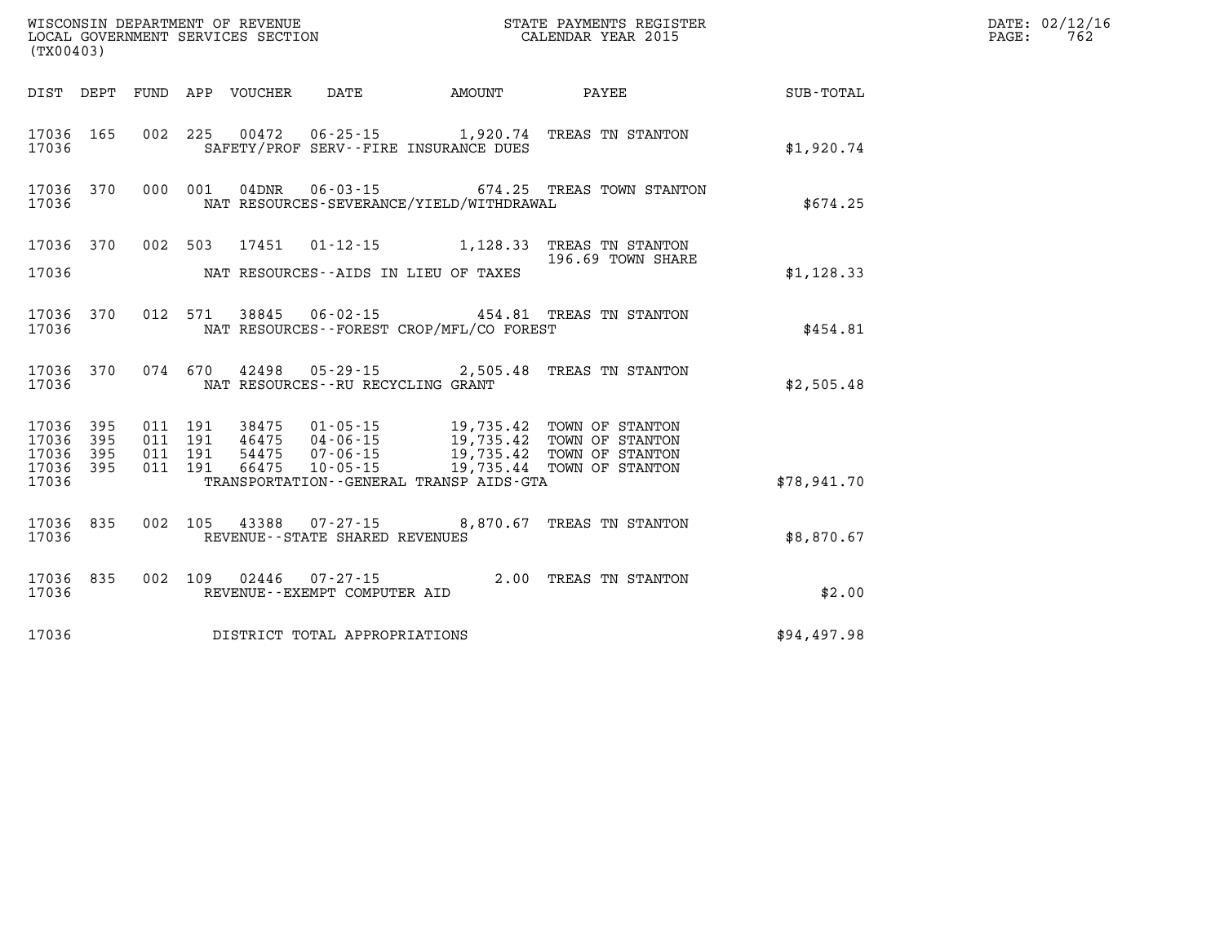| WISCONSIN DEPARTMENT OF REVENUE<br>LOCAL GOVERNMENT SERVICES SECTION<br>(TX00403) |            |            |            |                |                                          |                                                                   |                                              |             |
|-----------------------------------------------------------------------------------|------------|------------|------------|----------------|------------------------------------------|-------------------------------------------------------------------|----------------------------------------------|-------------|
| DIST                                                                              | DEPT       | FUND       |            |                | APP VOUCHER DATE AMOUNT                  |                                                                   | PAYEE                                        | SUB-TOTAL   |
| 17036<br>17036                                                                    | 165        | 002        | 225        | 00472          |                                          | 06-25-15 1,920.74<br>SAFETY/PROF SERV--FIRE INSURANCE DUES        | TREAS TN STANTON                             | \$1,920.74  |
| 17036<br>17036                                                                    | 370        | 000        | 001        | $04$ DNR       |                                          | NAT RESOURCES-SEVERANCE/YIELD/WITHDRAWAL                          | 06-03-15 674.25 TREAS TOWN STANTON           | \$674.25    |
| 17036                                                                             | 370        | 002        | 503        |                | 17451 01-12-15                           | 1,128.33                                                          | TREAS TN STANTON<br>196.69 TOWN SHARE        |             |
| 17036                                                                             |            |            |            |                |                                          | NAT RESOURCES--AIDS IN LIEU OF TAXES                              |                                              | \$1,128.33  |
| 17036<br>17036                                                                    | 370        | 012        | 571        | 38845          |                                          | $06 - 02 - 15$ 454.81<br>NAT RESOURCES--FOREST CROP/MFL/CO FOREST | TREAS TN STANTON                             | \$454.81    |
| 17036<br>17036                                                                    | 370        | 074        | 670        |                | NAT RESOURCES - - RU RECYCLING GRANT     | 42498 05-29-15 2,505.48                                           | TREAS TN STANTON                             | \$2,505.48  |
| 17036<br>17036                                                                    | 395<br>395 | 011<br>011 | 191<br>191 | 38475<br>46475 | $01 - 05 - 15$<br>$04 - 06 - 15$         | 19,735.42                                                         | 19,735.42 TOWN OF STANTON<br>TOWN OF STANTON |             |
| 17036<br>17036                                                                    | 395<br>395 | 011<br>011 | 191<br>191 | 54475<br>66475 | $07 - 06 - 15$<br>$10 - 05 - 15$         | 19,735.42<br>19,735.44                                            | TOWN OF STANTON<br>TOWN OF STANTON           |             |
| 17036                                                                             |            |            |            |                |                                          | TRANSPORTATION--GENERAL TRANSP AIDS-GTA                           |                                              | \$78,941.70 |
| 17036<br>17036                                                                    | 835        | 002        | 105        |                | REVENUE - - STATE SHARED REVENUES        | 43388 07-27-15 8,870.67                                           | TREAS TN STANTON                             | \$8,870.67  |
| 17036<br>17036                                                                    | 835        | 002        | 109        | 02446          | 07-27-15<br>REVENUE--EXEMPT COMPUTER AID |                                                                   | 2.00 TREAS TN STANTON                        | \$2.00      |
| 17036                                                                             |            |            |            |                | DISTRICT TOTAL APPROPRIATIONS            |                                                                   |                                              | \$94,497.98 |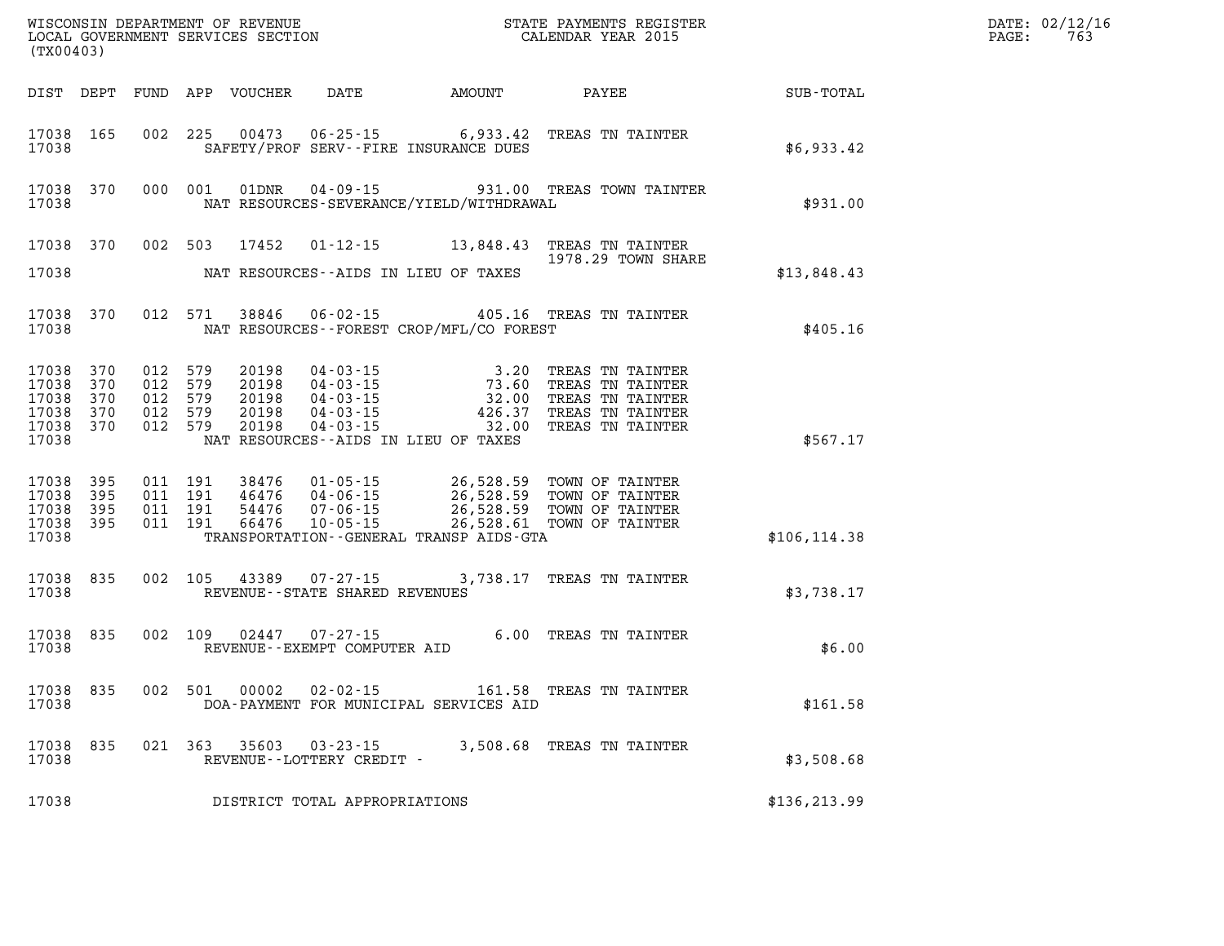| (TX00403)                                              |                          |                                                     |         |                                           |                                                |                                                                                                                                                                                                                                                                    |                                                                                                                                               |               | DATE: 02/12/16<br>$\mathtt{PAGE:}$<br>763 |
|--------------------------------------------------------|--------------------------|-----------------------------------------------------|---------|-------------------------------------------|------------------------------------------------|--------------------------------------------------------------------------------------------------------------------------------------------------------------------------------------------------------------------------------------------------------------------|-----------------------------------------------------------------------------------------------------------------------------------------------|---------------|-------------------------------------------|
|                                                        |                          |                                                     |         |                                           |                                                | DIST DEPT FUND APP VOUCHER DATE AMOUNT PAYEE                                                                                                                                                                                                                       |                                                                                                                                               | SUB-TOTAL     |                                           |
| 17038 165<br>17038                                     |                          | 002 225                                             |         | 00473                                     |                                                | SAFETY/PROF SERV--FIRE INSURANCE DUES                                                                                                                                                                                                                              | 06-25-15 6,933.42 TREAS TN TAINTER                                                                                                            | \$6,933.42    |                                           |
| 17038 370<br>17038                                     |                          | 000 001                                             |         | 01DNR                                     |                                                | NAT RESOURCES-SEVERANCE/YIELD/WITHDRAWAL                                                                                                                                                                                                                           | 04-09-15 931.00 TREAS TOWN TAINTER                                                                                                            | \$931.00      |                                           |
|                                                        | 17038 370                |                                                     |         |                                           |                                                |                                                                                                                                                                                                                                                                    | 002 503 17452 01-12-15 13,848.43 TREAS TN TAINTER<br>1978.29 TOWN SHARE                                                                       |               |                                           |
| 17038                                                  |                          |                                                     |         |                                           |                                                | NAT RESOURCES--AIDS IN LIEU OF TAXES                                                                                                                                                                                                                               |                                                                                                                                               | \$13,848.43   |                                           |
| 17038                                                  | 17038 370                |                                                     | 012 571 | 38846                                     |                                                | NAT RESOURCES - - FOREST CROP/MFL/CO FOREST                                                                                                                                                                                                                        | 06-02-15 405.16 TREAS TN TAINTER                                                                                                              | \$405.16      |                                           |
| 17038 370<br>17038<br>17038<br>17038<br>17038<br>17038 | 370<br>370<br>370<br>370 | 012 579<br>012 579<br>012 579<br>012 579<br>012 579 |         | 20198<br>20198<br>20198<br>20198<br>20198 |                                                | $\begin{array}{cccc} 04\cdot 03\cdot 15 & 3\cdot 20 \\ 04\cdot 03\cdot 15 & 73\cdot 60 \\ 04\cdot 03\cdot 15 & 32\cdot 00 \\ 04\cdot 03\cdot 15 & 426\cdot 37 \\ 04\cdot 03\cdot 15 & -\dots & -32\cdot 00 \\ \end{array}$<br>NAT RESOURCES--AIDS IN LIEU OF TAXES | TREAS TN TAINTER<br>3.20 TREAD IN SINTER<br>73.60 TREAS TN TAINTER<br>32.00 TREAS TN TAINTER<br>TREAS TN TAINTER<br>TREAS TN TAINTER          | \$567.17      |                                           |
| 17038 395<br>17038<br>17038<br>17038<br>17038          | 395<br>395<br>395        | 011 191<br>011 191<br>011 191<br>011 191            |         | 38476<br>46476<br>54476<br>66476          |                                                | $01 - 05 - 15$ 26,528.59<br>TRANSPORTATION--GENERAL TRANSP AIDS-GTA                                                                                                                                                                                                | TOWN OF TAINTER<br>01-05-15<br>04-06-15 26,528.59 TOWN OF TAINTER<br>07-06-15 26,528.61 TOWN OF TAINTER<br>10-05-15 26,528.61 TOWN OF TAINTER | \$106, 114.38 |                                           |
| 17038 835<br>17038                                     |                          |                                                     |         | 002 105 43389                             | REVENUE--STATE SHARED REVENUES                 |                                                                                                                                                                                                                                                                    | 07-27-15 3,738.17 TREAS TN TAINTER                                                                                                            | \$3,738.17    |                                           |
| 17038 835<br>17038                                     |                          |                                                     | 002 109 | 02447                                     | $07 - 27 - 15$<br>REVENUE--EXEMPT COMPUTER AID |                                                                                                                                                                                                                                                                    | 6.00 TREAS TN TAINTER                                                                                                                         | \$6.00        |                                           |
| 17038 835<br>17038                                     |                          |                                                     | 002 501 | 00002                                     | $02 - 02 - 15$                                 | DOA-PAYMENT FOR MUNICIPAL SERVICES AID                                                                                                                                                                                                                             | 161.58 TREAS TN TAINTER                                                                                                                       | \$161.58      |                                           |
| 17038 835<br>17038                                     |                          | 021 363                                             |         |                                           | REVENUE--LOTTERY CREDIT -                      |                                                                                                                                                                                                                                                                    | 35603 03-23-15 3,508.68 TREAS TN TAINTER                                                                                                      | \$3,508.68    |                                           |
| 17038                                                  |                          |                                                     |         |                                           | DISTRICT TOTAL APPROPRIATIONS                  |                                                                                                                                                                                                                                                                    |                                                                                                                                               | \$136, 213.99 |                                           |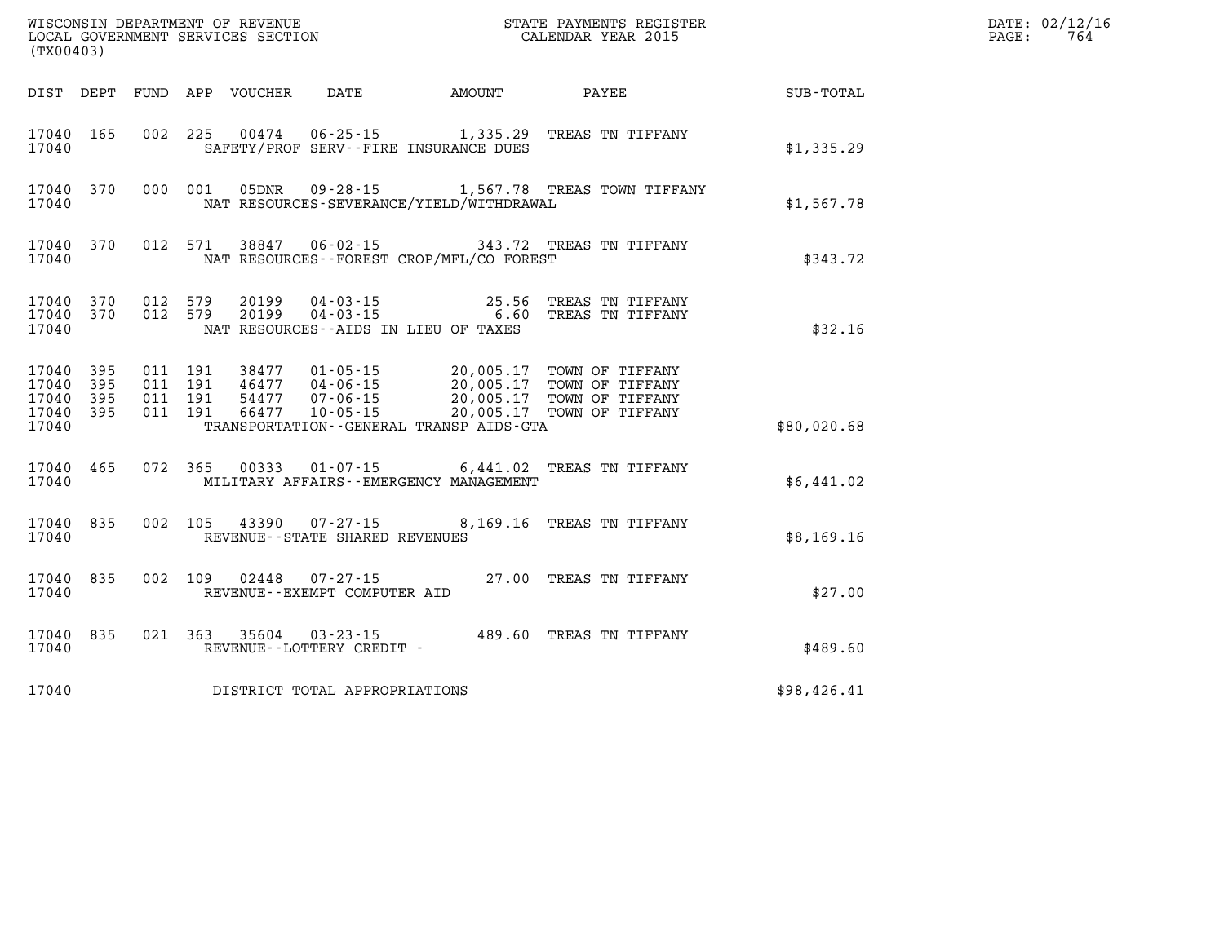| (TX00403)                                             |           |                                          |                            |                                                |                                                                                                                                                                                      |                           |             | PAGE: | DATE: 02/12/16<br>764 |
|-------------------------------------------------------|-----------|------------------------------------------|----------------------------|------------------------------------------------|--------------------------------------------------------------------------------------------------------------------------------------------------------------------------------------|---------------------------|-------------|-------|-----------------------|
|                                                       |           |                                          | DIST DEPT FUND APP VOUCHER | DATE                                           | AMOUNT                                                                                                                                                                               | PAYEE                     | SUB-TOTAL   |       |                       |
| 17040 165<br>17040                                    |           |                                          |                            |                                                | 002 225 00474 06-25-15 1,335.29 TREAS TN TIFFANY<br>SAFETY/PROF SERV--FIRE INSURANCE DUES                                                                                            |                           | \$1,335.29  |       |                       |
| 17040                                                 | 17040 370 |                                          | 000 001 05DNR              |                                                | 09-28-15 1,567.78 TREAS TOWN TIFFANY<br>NAT RESOURCES-SEVERANCE/YIELD/WITHDRAWAL                                                                                                     |                           | \$1,567.78  |       |                       |
| 17040                                                 | 17040 370 |                                          |                            |                                                | 012 571 38847 06-02-15 343.72 TREAS TN TIFFANY<br>NAT RESOURCES - - FOREST CROP/MFL/CO FOREST                                                                                        |                           | \$343.72    |       |                       |
| 17040                                                 | 17040 370 | 17040 370 012 579<br>012 579             |                            |                                                | 20199  04-03-15  25.56  TREAS TN TIFFANY<br>20199  04-03-15  6.60  TREAS TN TIFFANY<br>NAT RESOURCES--AIDS IN LIEU OF TAXES                                                          |                           | \$32.16     |       |                       |
| 17040 395<br>17040<br>17040 395<br>17040 395<br>17040 | 395       | 011 191<br>011 191<br>011 191<br>011 191 | 66477                      | $10 - 05 - 15$                                 | 38477  01-05-15  20,005.17  TOWN OF TIFFANY<br>46477  04-06-15  20,005.17  TOWN OF TIFFANY<br>54477  07-06-15  20,005.17  TOWN OF TIFFANY<br>TRANSPORTATION--GENERAL TRANSP AIDS-GTA | 20,005.17 TOWN OF TIFFANY | \$80,020.68 |       |                       |
| 17040                                                 | 17040 465 | 072 365                                  |                            |                                                | 00333  01-07-15   6,441.02   TREAS TN TIFFANY<br>MILITARY AFFAIRS - - EMERGENCY MANAGEMENT                                                                                           |                           | \$6,441.02  |       |                       |
| 17040 835<br>17040                                    |           | 002 105                                  |                            | REVENUE - - STATE SHARED REVENUES              | 43390  07-27-15  8,169.16  TREAS TN TIFFANY                                                                                                                                          |                           | \$8,169.16  |       |                       |
| 17040 835<br>17040                                    |           | 002 109                                  | 02448                      | $07 - 27 - 15$<br>REVENUE--EXEMPT COMPUTER AID |                                                                                                                                                                                      | 27.00 TREAS TN TIFFANY    | \$27.00     |       |                       |
| 17040                                                 | 17040 835 |                                          |                            | REVENUE--LOTTERY CREDIT -                      | 021 363 35604 03-23-15 489.60 TREAS TN TIFFANY                                                                                                                                       |                           | \$489.60    |       |                       |
| 17040                                                 |           |                                          |                            | DISTRICT TOTAL APPROPRIATIONS                  |                                                                                                                                                                                      |                           | \$98,426.41 |       |                       |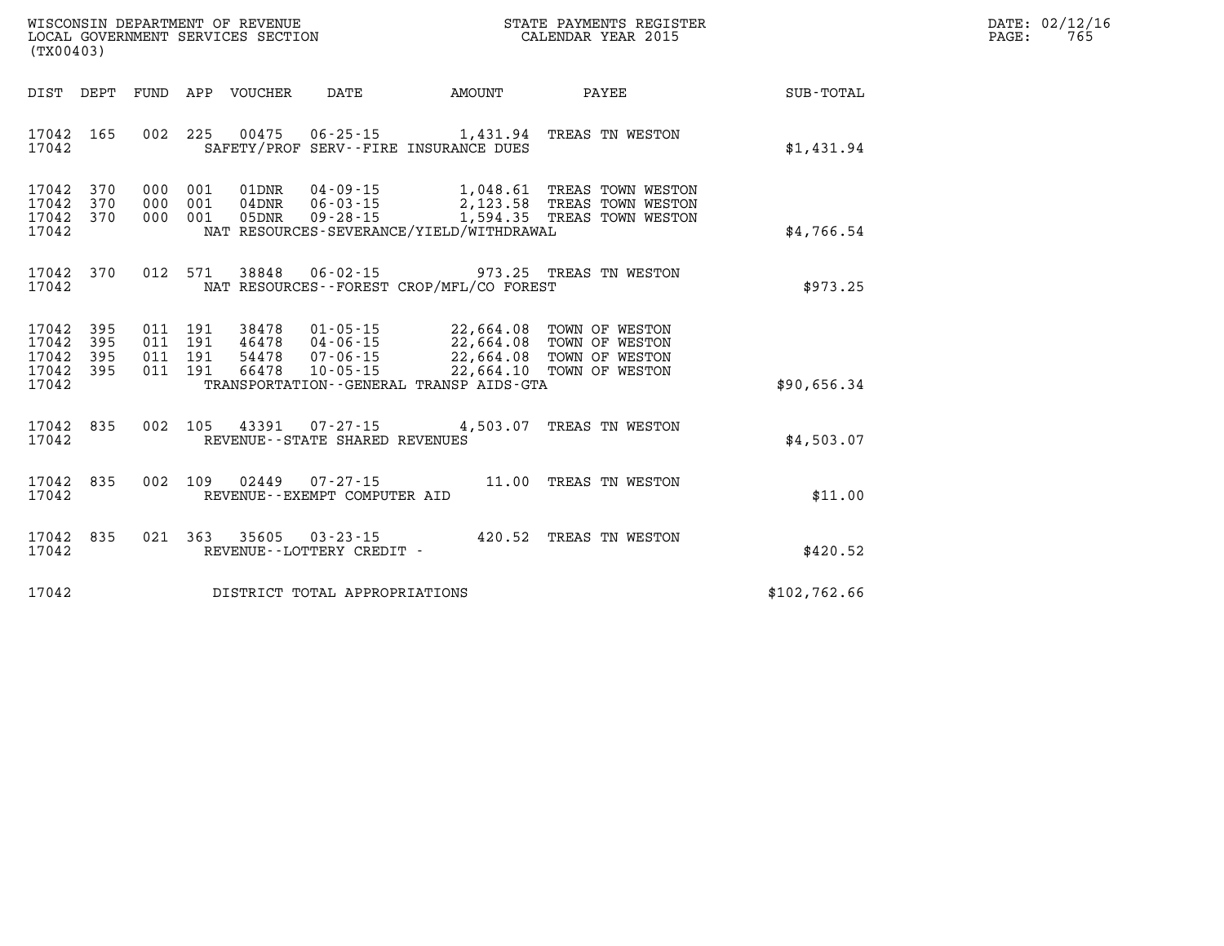| DATE:             | 02/12/16 |
|-------------------|----------|
| $\mathtt{PAGE}$ : | 765      |

| WISCONSIN DEPARTMENT OF REVENUE<br>LOCAL GOVERNMENT SERVICES SECTION<br>(TX00403)                 |                                                                                                                                                                           |           | STATE PAYMENTS REGISTER<br>CALENDAR YEAR 2015                                                      |              |
|---------------------------------------------------------------------------------------------------|---------------------------------------------------------------------------------------------------------------------------------------------------------------------------|-----------|----------------------------------------------------------------------------------------------------|--------------|
| DIST<br>DEPT<br>FUND                                                                              | APP<br>VOUCHER<br>DATE                                                                                                                                                    | AMOUNT    | PAYEE                                                                                              | SUB-TOTAL    |
| 165<br>002<br>17042<br>17042                                                                      | 225<br>00475<br>$06 - 25 - 15$<br>SAFETY/PROF SERV--FIRE INSURANCE DUES                                                                                                   |           | 1,431.94 TREAS TN WESTON                                                                           | \$1,431.94   |
| 370<br>17042<br>000<br>370<br>17042<br>000<br>370<br>000<br>17042<br>17042                        | 001<br>01DNR<br>$04 - 09 - 15$<br>001<br>$04$ DNR<br>$06 - 03 - 15$<br>001<br>05DNR<br>$09 - 28 - 15$<br>NAT RESOURCES-SEVERANCE/YIELD/WITHDRAWAL                         | 1,594.35  | 1,048.61 TREAS TOWN WESTON<br>2,123.58 TREAS TOWN WESTON<br>TREAS TOWN WESTON                      | \$4,766.54   |
| 370<br>012<br>17042<br>17042                                                                      | 571<br>$06 - 02 - 15$<br>38848<br>NAT RESOURCES - - FOREST CROP/MFL/CO FOREST                                                                                             | 973.25    | TREAS TN WESTON                                                                                    | \$973.25     |
| 17042<br>395<br>011<br>395<br>011<br>17042<br>17042<br>395<br>011<br>011<br>17042<br>395<br>17042 | 191<br>38478<br>$01 - 05 - 15$<br>191<br>46478<br>04-06-15<br>$07 - 06 - 15$<br>191<br>54478<br>191<br>66478<br>$10 - 05 - 15$<br>TRANSPORTATION--GENERAL TRANSP AIDS-GTA | 22,664.10 | 22,664.08 TOWN OF WESTON<br>22,664.08 TOWN OF WESTON<br>22,664.08 TOWN OF WESTON<br>TOWN OF WESTON | \$90,656.34  |
| 835<br>002<br>17042<br>17042                                                                      | 105<br>43391<br>$07 - 27 - 15$<br>REVENUE - - STATE SHARED REVENUES                                                                                                       | 4,503.07  | TREAS TN WESTON                                                                                    | \$4,503.07   |
| 835<br>002<br>17042<br>17042                                                                      | 109<br>02449<br>$07 - 27 - 15$<br>REVENUE--EXEMPT COMPUTER AID                                                                                                            | 11.00     | TREAS TN WESTON                                                                                    | \$11.00      |
| 021<br>17042<br>835<br>17042                                                                      | 363<br>35605<br>$03 - 23 - 15$<br>REVENUE - - LOTTERY CREDIT -                                                                                                            |           | 420.52 TREAS TN WESTON                                                                             | \$420.52     |
| 17042                                                                                             | DISTRICT TOTAL APPROPRIATIONS                                                                                                                                             |           |                                                                                                    | \$102,762.66 |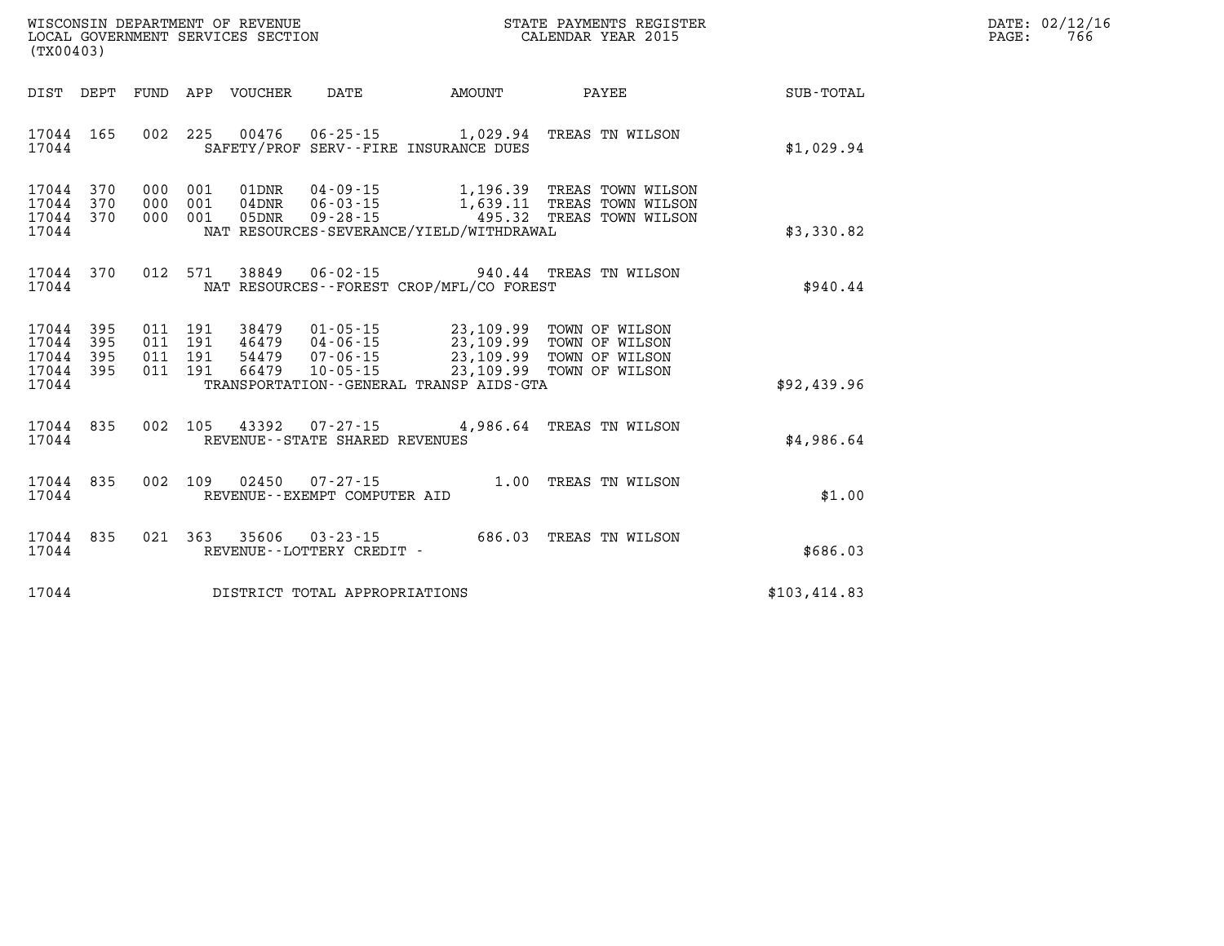| DATE:             | 02/12/16 |
|-------------------|----------|
| $\mathtt{PAGE}$ : | 766      |

| (TX00403)                                                             |                          |                                                              |                                                                |                                                                    |                                                                                          |              |
|-----------------------------------------------------------------------|--------------------------|--------------------------------------------------------------|----------------------------------------------------------------|--------------------------------------------------------------------|------------------------------------------------------------------------------------------|--------------|
| DIST<br>DEPT                                                          | FUND                     | APP VOUCHER                                                  | <b>DATE</b>                                                    | AMOUNT                                                             | PAYEE                                                                                    | SUB-TOTAL    |
| 17044 165<br>17044                                                    | 002                      | 225<br>00476                                                 |                                                                | SAFETY/PROF SERV--FIRE INSURANCE DUES                              | 06-25-15 1,029.94 TREAS TN WILSON                                                        | \$1,029.94   |
| 17044<br>370<br>370<br>17044<br>370<br>17044<br>17044                 | 000<br>000<br>000        | 01DNR<br>001<br>001<br>$04$ DNR<br>001<br>05DNR              | 04 - 09 - 15<br>$06 - 03 - 15$<br>$09 - 28 - 15$               | NAT RESOURCES-SEVERANCE/YIELD/WITHDRAWAL                           | 1,196.39 TREAS TOWN WILSON<br>1,639.11 TREAS TOWN WILSON<br>495.32 TREAS TOWN WILSON     | \$3,330.82   |
| 17044<br>370<br>17044                                                 | 012                      | 571<br>38849                                                 | $06 - 02 - 15$                                                 | NAT RESOURCES - - FOREST CROP/MFL/CO FOREST                        | 940.44 TREAS TN WILSON                                                                   | \$940.44     |
| 17044<br>395<br>395<br>17044<br>395<br>17044<br>17044<br>395<br>17044 | 011<br>011<br>011<br>011 | 191<br>38479<br>191<br>46479<br>54479<br>191<br>191<br>66479 | $01 - 05 - 15$<br>04-06-15<br>$07 - 06 - 15$<br>$10 - 05 - 15$ | 23,109.99<br>23, 109.99<br>TRANSPORTATION--GENERAL TRANSP AIDS-GTA | 23,109.99 TOWN OF WILSON<br>TOWN OF WILSON<br>23,109.99 TOWN OF WILSON<br>TOWN OF WILSON | \$92,439.96  |
| 17044<br>835<br>17044                                                 | 002                      |                                                              | REVENUE - - STATE SHARED REVENUES                              | 105 43392 07-27-15 4,986.64                                        | TREAS TN WILSON                                                                          | \$4,986.64   |
| 835<br>17044<br>17044                                                 | 002                      | 109<br>02450                                                 | $07 - 27 - 15$<br>REVENUE--EXEMPT COMPUTER AID                 |                                                                    | 1.00 TREAS TN WILSON                                                                     | \$1.00       |
| 835<br>17044<br>17044                                                 | 021                      | 363<br>35606                                                 | $03 - 23 - 15$<br>REVENUE - - LOTTERY CREDIT -                 |                                                                    | 686.03 TREAS TN WILSON                                                                   | \$686.03     |
| 17044                                                                 |                          |                                                              | DISTRICT TOTAL APPROPRIATIONS                                  |                                                                    |                                                                                          | \$103,414.83 |

WISCONSIN DEPARTMENT OF REVENUE **STATE PAYMENTS REGISTER**<br>LOCAL GOVERNMENT SERVICES SECTION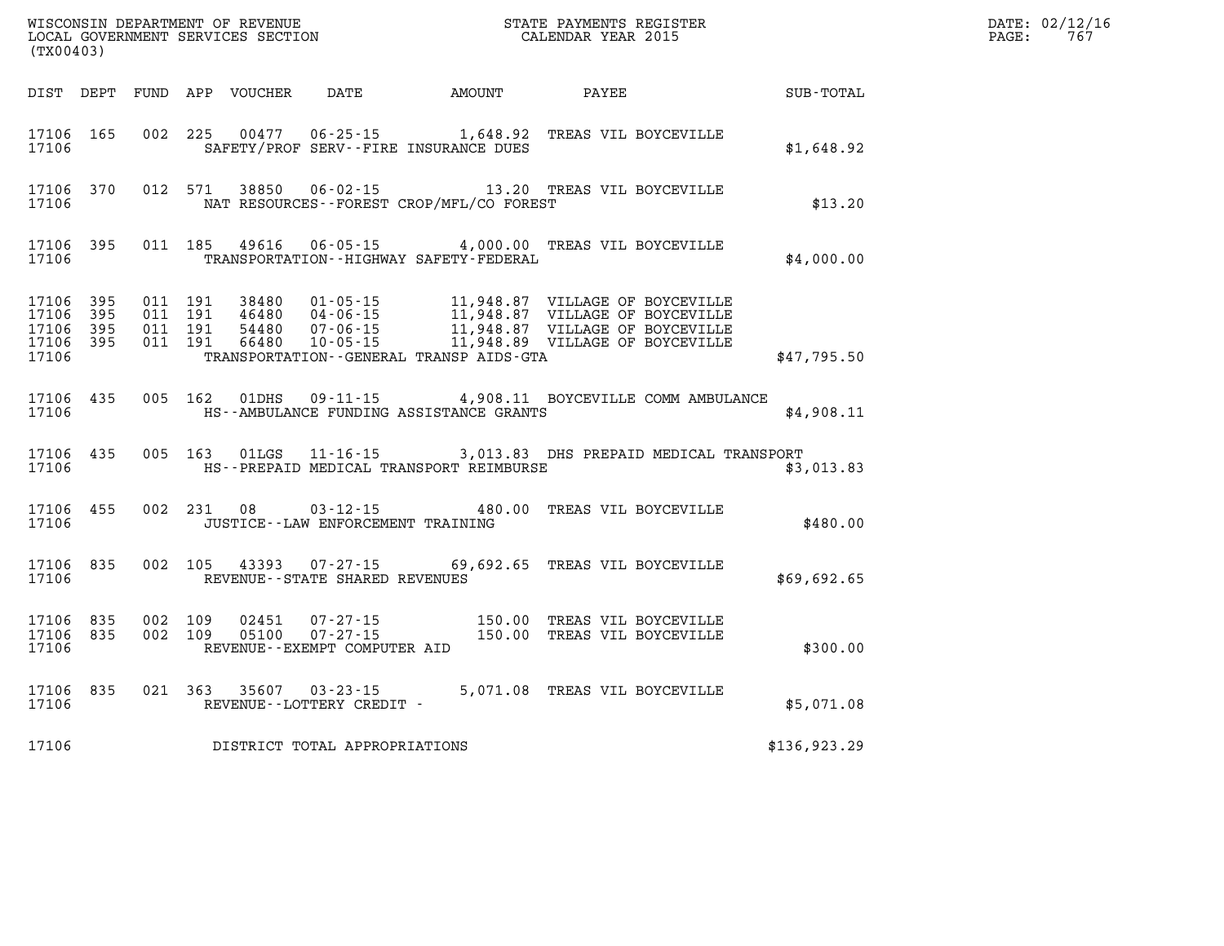| (TX00403)                       |                        |  |                                      | WISCONSIN DEPARTMENT OF REVENUE<br>LOCAL GOVERNMENT SERVICES SECTION<br>CALENDAR YEAR 2015                                                                                                                                               |  |              | $\mathtt{PAGE:}$ | DATE: 02/12/16<br>767 |
|---------------------------------|------------------------|--|--------------------------------------|------------------------------------------------------------------------------------------------------------------------------------------------------------------------------------------------------------------------------------------|--|--------------|------------------|-----------------------|
|                                 |                        |  |                                      | DIST DEPT FUND APP VOUCHER DATE AMOUNT PAYEE                                                                                                                                                                                             |  | SUB-TOTAL    |                  |                       |
| 17106                           |                        |  |                                      | 17106 165 002 225 00477 06-25-15 1,648.92 TREAS VIL BOYCEVILLE<br>SAFETY/PROF SERV--FIRE INSURANCE DUES                                                                                                                                  |  | \$1,648.92   |                  |                       |
| 17106                           |                        |  |                                      | 17106 370 012 571 38850 06-02-15 13.20 TREAS VIL BOYCEVILLE<br>NAT RESOURCES--FOREST CROP/MFL/CO FOREST                                                                                                                                  |  | \$13.20      |                  |                       |
| 17106                           |                        |  |                                      | 17106 395 011 185 49616 06-05-15 4,000.00 TREAS VIL BOYCEVILLE<br>TRANSPORTATION - - HIGHWAY SAFETY - FEDERAL                                                                                                                            |  | \$4,000.00   |                  |                       |
| 17106 395<br>17106 395<br>17106 | 17106 395<br>17106 395 |  |                                      | TRANSPORTATION - - GENERAL TRANSP AIDS - GTA                                                                                                                                                                                             |  | \$47,795.50  |                  |                       |
| 17106                           |                        |  |                                      | 17106 435 005 162 01DHS 09-11-15 4,908.11 BOYCEVILLE COMM AMBULANCE<br>HS--AMBULANCE FUNDING ASSISTANCE GRANTS                                                                                                                           |  | \$4,908.11   |                  |                       |
| 17106                           |                        |  |                                      | 17106 435 005 163 01LGS 11-16-15 3,013.83 DHS PREPAID MEDICAL TRANSPORT<br>HS--PREPAID MEDICAL TRANSPORT REIMBURSE                                                                                                                       |  | \$3,013.83   |                  |                       |
| 17106                           |                        |  | JUSTICE - - LAW ENFORCEMENT TRAINING | 17106 455 002 231 08 03-12-15 480.00 TREAS VIL BOYCEVILLE                                                                                                                                                                                |  | \$480.00     |                  |                       |
| 17106                           |                        |  | REVENUE--STATE SHARED REVENUES       | 17106 835 002 105 43393 07-27-15 69,692.65 TREAS VIL BOYCEVILLE                                                                                                                                                                          |  | \$69,692.65  |                  |                       |
| 17106                           |                        |  | REVENUE--EXEMPT COMPUTER AID         | $\begin{array}{cccccccc} 17106 & 835 & 002 & 109 & 02451 & 07\cdot 27\cdot 15 & & & 150.00 & \text{TREAS VIL BOYCEVILLE} \\ 17106 & 835 & 002 & 109 & 05100 & 07\cdot 27\cdot 15 & & & 150.00 & \text{TREAS VIL BOYCEVILLE} \end{array}$ |  | \$300.00     |                  |                       |
|                                 |                        |  |                                      | 17106 835 021 363 35607 03-23-15 5,071.08 TREAS VIL BOYCEVILLE 17106 REVENUE--LOTTERY CREDIT -                                                                                                                                           |  | \$5,071.08   |                  |                       |
| 17106                           |                        |  | DISTRICT TOTAL APPROPRIATIONS        |                                                                                                                                                                                                                                          |  | \$136,923.29 |                  |                       |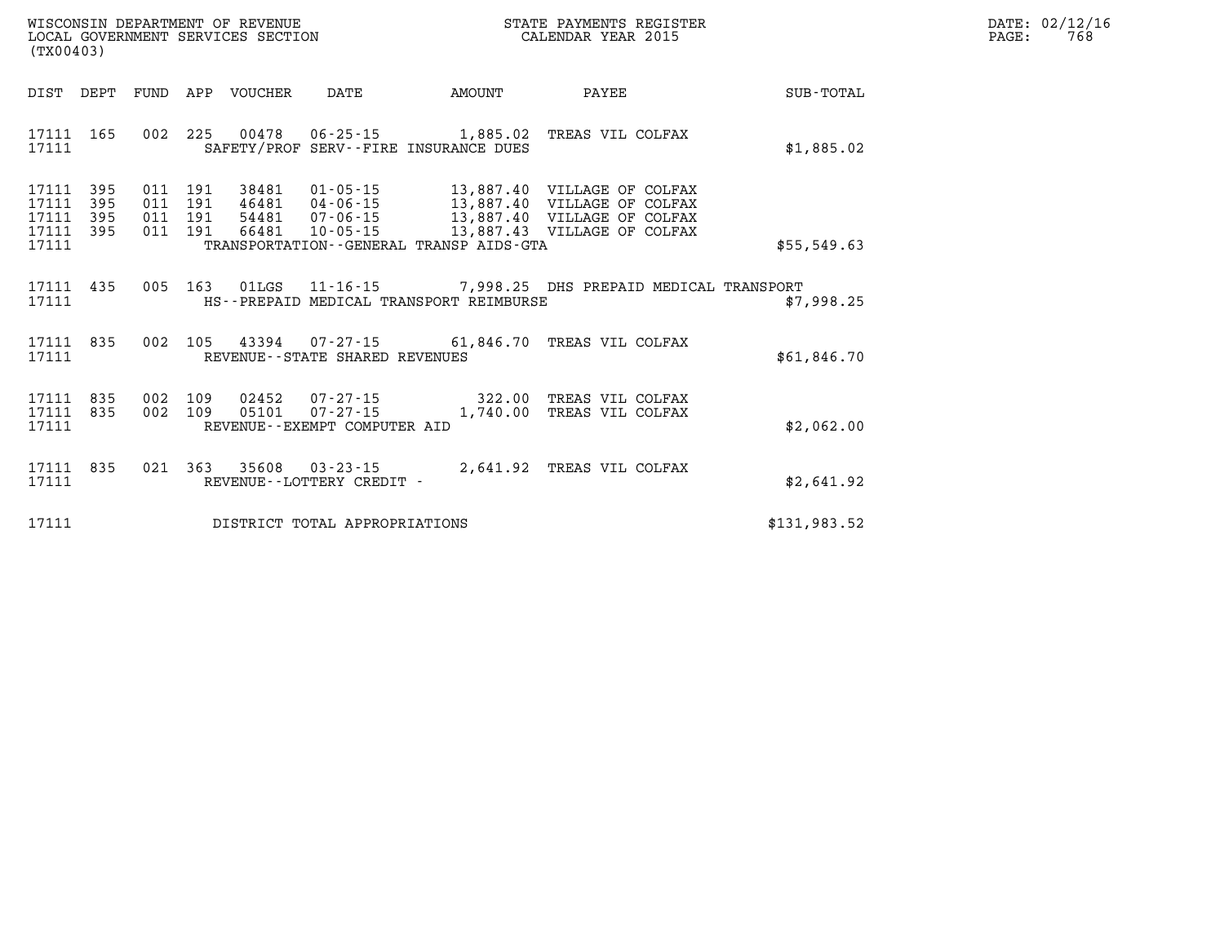| WISCONSIN DEPARTMENT OF REVENUE   | STATE PAYMENTS REGISTER |      | DATE: 02/12/16 |
|-----------------------------------|-------------------------|------|----------------|
| LOCAL GOVERNMENT SERVICES SECTION | CALENDAR YEAR 2015      | PAGE | 768            |

| (TX00403)                                                             |                                                                                          |                                                                                                                |          |                                                                                                                          |              |
|-----------------------------------------------------------------------|------------------------------------------------------------------------------------------|----------------------------------------------------------------------------------------------------------------|----------|--------------------------------------------------------------------------------------------------------------------------|--------------|
| DIST<br>DEPT                                                          | APP<br>FUND<br>VOUCHER                                                                   | DATE                                                                                                           | AMOUNT   | PAYEE                                                                                                                    | SUB-TOTAL    |
| 165<br>17111<br>17111                                                 | 002 225<br>00478                                                                         | $06 - 25 - 15$ 1,885.02<br>SAFETY/PROF SERV--FIRE INSURANCE DUES                                               |          | TREAS VIL COLFAX                                                                                                         | \$1,885.02   |
| 17111<br>395<br>395<br>17111<br>17111<br>395<br>17111<br>395<br>17111 | 191<br>38481<br>011<br>191<br>011<br>46481<br>54481<br>191<br>011<br>191<br>011<br>66481 | $01 - 05 - 15$<br>04-06-15<br>$07 - 06 - 15$<br>$10 - 05 - 15$<br>TRANSPORTATION - - GENERAL TRANSP AIDS - GTA |          | 13,887.40 VILLAGE OF COLFAX<br>13,887.40 VILLAGE OF COLFAX<br>13,887.40 VILLAGE OF COLFAX<br>13,887.43 VILLAGE OF COLFAX | \$55,549.63  |
| 17111<br>435<br>17111                                                 | 005<br>163<br>01LGS                                                                      | $11 - 16 - 15$ 7,998.25<br>HS--PREPAID MEDICAL TRANSPORT REIMBURSE                                             |          | DHS PREPAID MEDICAL TRANSPORT                                                                                            | \$7,998.25   |
| 835<br>17111<br>17111                                                 | 002<br>105<br>43394                                                                      | REVENUE - - STATE SHARED REVENUES                                                                              |          | 07-27-15 61,846.70 TREAS VIL COLFAX                                                                                      | \$61,846.70  |
| 17111<br>835<br>17111<br>835<br>17111                                 | 002<br>109<br>02452<br>002<br>109<br>05101                                               | $07 - 27 - 15$ 322.00<br>$07 - 27 - 15$<br>REVENUE - - EXEMPT COMPUTER AID                                     | 1,740.00 | TREAS VIL COLFAX<br>TREAS VIL COLFAX                                                                                     | \$2,062.00   |
| 17111<br>835<br>17111                                                 | 021<br>363<br>35608                                                                      | $03 - 23 - 15$<br>REVENUE - - LOTTERY CREDIT -                                                                 |          | 2,641.92 TREAS VIL COLFAX                                                                                                | \$2,641.92   |
| 17111                                                                 |                                                                                          | DISTRICT TOTAL APPROPRIATIONS                                                                                  |          |                                                                                                                          | \$131,983.52 |

WISCONSIN DEPARTMENT OF REVENUE **STATE PAYMENTS REGISTER**<br>LOCAL GOVERNMENT SERVICES SECTION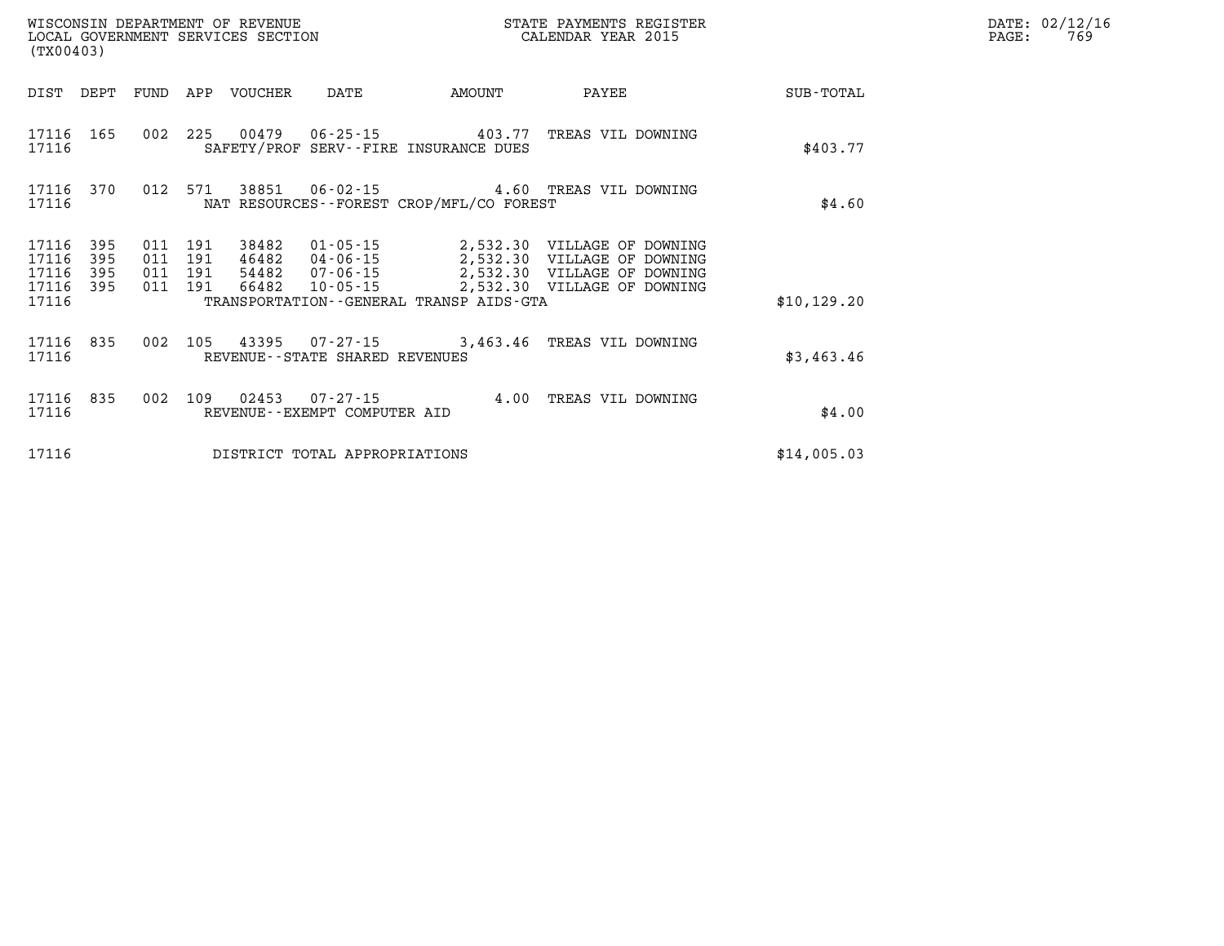| WISCONSIN DEPARTMENT OF REVENUE<br>LOCAL GOVERNMENT SERVICES SECTION<br>(TX00403) |            |            |                              |                                  |                                                                    |                                                            |              |
|-----------------------------------------------------------------------------------|------------|------------|------------------------------|----------------------------------|--------------------------------------------------------------------|------------------------------------------------------------|--------------|
| DIST                                                                              | DEPT       | FUND       | APP                          | VOUCHER DATE                     | AMOUNT                                                             | PAYEE                                                      | SUB-TOTAL    |
| 17116<br>17116                                                                    | 165        | 002        | 225                          |                                  | 00479   06-25-15   403.77<br>SAFETY/PROF SERV--FIRE INSURANCE DUES | TREAS VIL DOWNING                                          | \$403.77     |
| 17116<br>17116                                                                    | 370        | 012        | 571                          |                                  | NAT RESOURCES - - FOREST CROP/MFL/CO FOREST                        | 38851  06-02-15  4.60 TREAS VIL DOWNING                    | \$4.60       |
| 17116<br>17116                                                                    | 395<br>395 | 011<br>011 | 191<br>38482<br>191<br>46482 | 01-05-15<br>04-06-15             |                                                                    | 2,532.30 VILLAGE OF DOWNING<br>2,532.30 VILLAGE OF DOWNING |              |
| 17116<br>17116<br>17116                                                           | 395<br>395 | 011<br>011 | 191<br>54482<br>191<br>66482 | $07 - 06 - 15$<br>$10 - 05 - 15$ | TRANSPORTATION - - GENERAL TRANSP AIDS - GTA                       | 2,532.30 VILLAGE OF DOWNING<br>2,532.30 VILLAGE OF DOWNING | \$10, 129.20 |
| 17116<br>17116                                                                    | 835        | 002        | 105                          | REVENUE--STATE SHARED REVENUES   | 43395 07-27-15 3,463.46                                            | TREAS VIL DOWNING                                          | \$3,463.46   |
| 17116<br>17116                                                                    | 835        | 002        | 109<br>02453                 | REVENUE--EXEMPT COMPUTER AID     | $07 - 27 - 15$ 4.00                                                | TREAS VIL DOWNING                                          | \$4.00       |
| 17116                                                                             |            |            |                              | DISTRICT TOTAL APPROPRIATIONS    |                                                                    |                                                            | \$14,005.03  |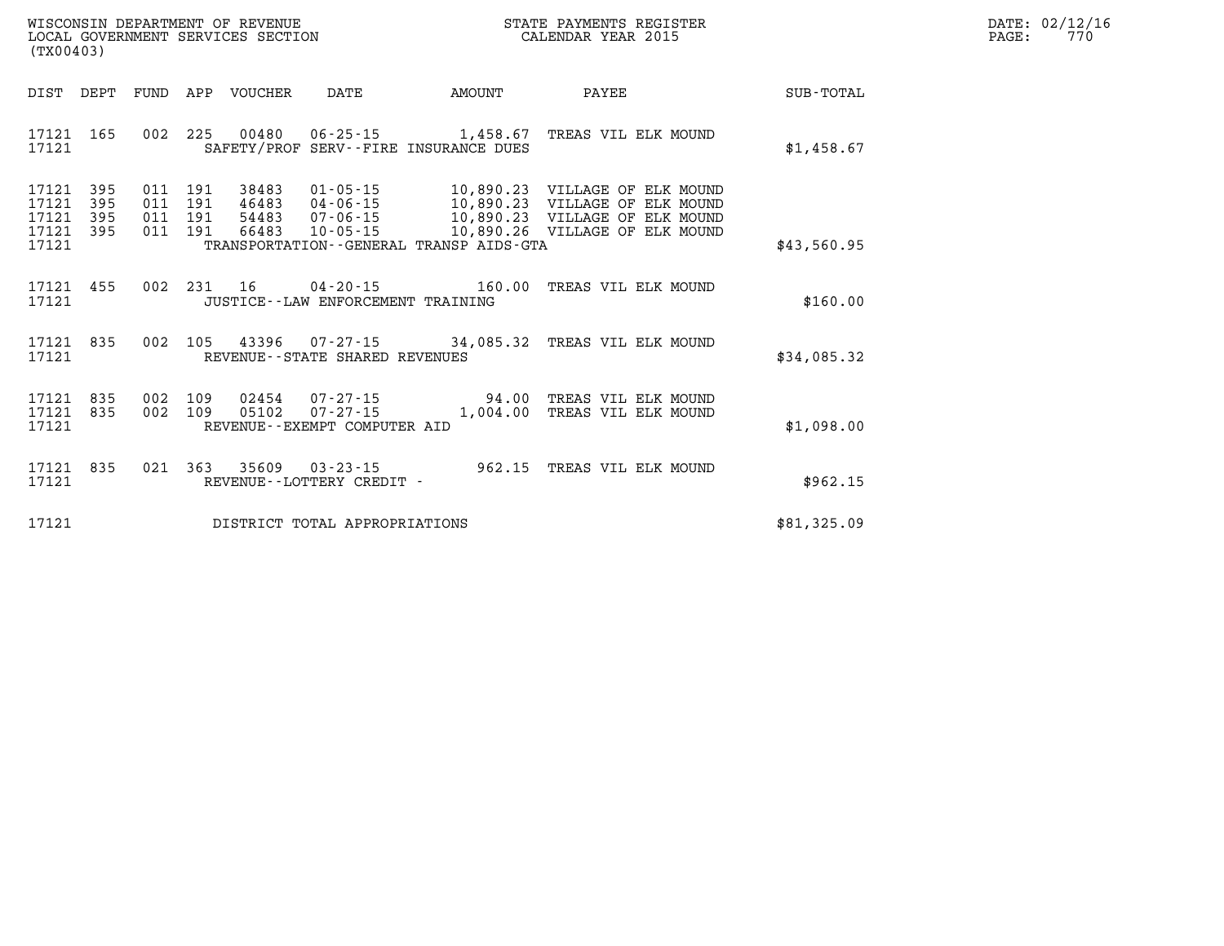| DATE: | 02/12/16 |
|-------|----------|
| PAGE: | 770      |

| (TX00403)                                                                                         |                                                                                                                                                               |                         |                                                                                                                                     |             |
|---------------------------------------------------------------------------------------------------|---------------------------------------------------------------------------------------------------------------------------------------------------------------|-------------------------|-------------------------------------------------------------------------------------------------------------------------------------|-------------|
| DIST<br>DEPT<br>FUND                                                                              | APP<br>VOUCHER<br>DATE                                                                                                                                        | AMOUNT                  | PAYEE                                                                                                                               | SUB-TOTAL   |
| 002<br>17121<br>165<br>17121                                                                      | 225<br>00480 06-25-15 1,458.67<br>SAFETY/PROF SERV--FIRE INSURANCE DUES                                                                                       |                         | TREAS VIL ELK MOUND                                                                                                                 | \$1,458.67  |
| 17121<br>395<br>011<br>395<br>011<br>17121<br>17121<br>395<br>011<br>17121<br>011<br>395<br>17121 | $01 - 05 - 15$<br>191<br>38483<br>191<br>$04 - 06 - 15$<br>46483<br>191<br>$07 - 06 - 15$<br>54483<br>191<br>66483<br>TRANSPORTATION--GENERAL TRANSP AIDS-GTA | 10,890.23               | 10,890.23 VILLAGE OF ELK MOUND<br>VILLAGE OF ELK MOUND<br>10,890.23 VILLAGE OF ELK MOUND<br>10-05-15 10,890.26 VILLAGE OF ELK MOUND | \$43,560.95 |
| 002<br>455<br>17121<br>17121                                                                      | 231<br>16<br>$04 - 20 - 15$ 160.00<br>JUSTICE -- LAW ENFORCEMENT TRAINING                                                                                     |                         | TREAS VIL ELK MOUND                                                                                                                 | \$160.00    |
| 002<br>17121<br>835<br>17121                                                                      | 105<br>REVENUE - - STATE SHARED REVENUES                                                                                                                      |                         | 43396 07-27-15 34,085.32 TREAS VIL ELK MOUND                                                                                        | \$34.085.32 |
| 17121<br>835<br>17121<br>835<br>17121                                                             | 002 109<br>02454 07-27-15<br>002 109<br>05102<br>REVENUE--EXEMPT COMPUTER AID                                                                                 | $07 - 27 - 15$ 1,004.00 | 94.00 TREAS VIL ELK MOUND<br>TREAS VIL ELK MOUND                                                                                    | \$1,098.00  |
| 17121<br>835<br>021<br>17121                                                                      | 363<br>35609 03-23-15<br>REVENUE - - LOTTERY CREDIT -                                                                                                         | 962.15                  | TREAS VIL ELK MOUND                                                                                                                 | \$962.15    |
| 17121                                                                                             | DISTRICT TOTAL APPROPRIATIONS                                                                                                                                 |                         |                                                                                                                                     | \$81,325.09 |

WISCONSIN DEPARTMENT OF REVENUE **STATE PAYMENTS REGISTER**<br>LOCAL GOVERNMENT SERVICES SECTION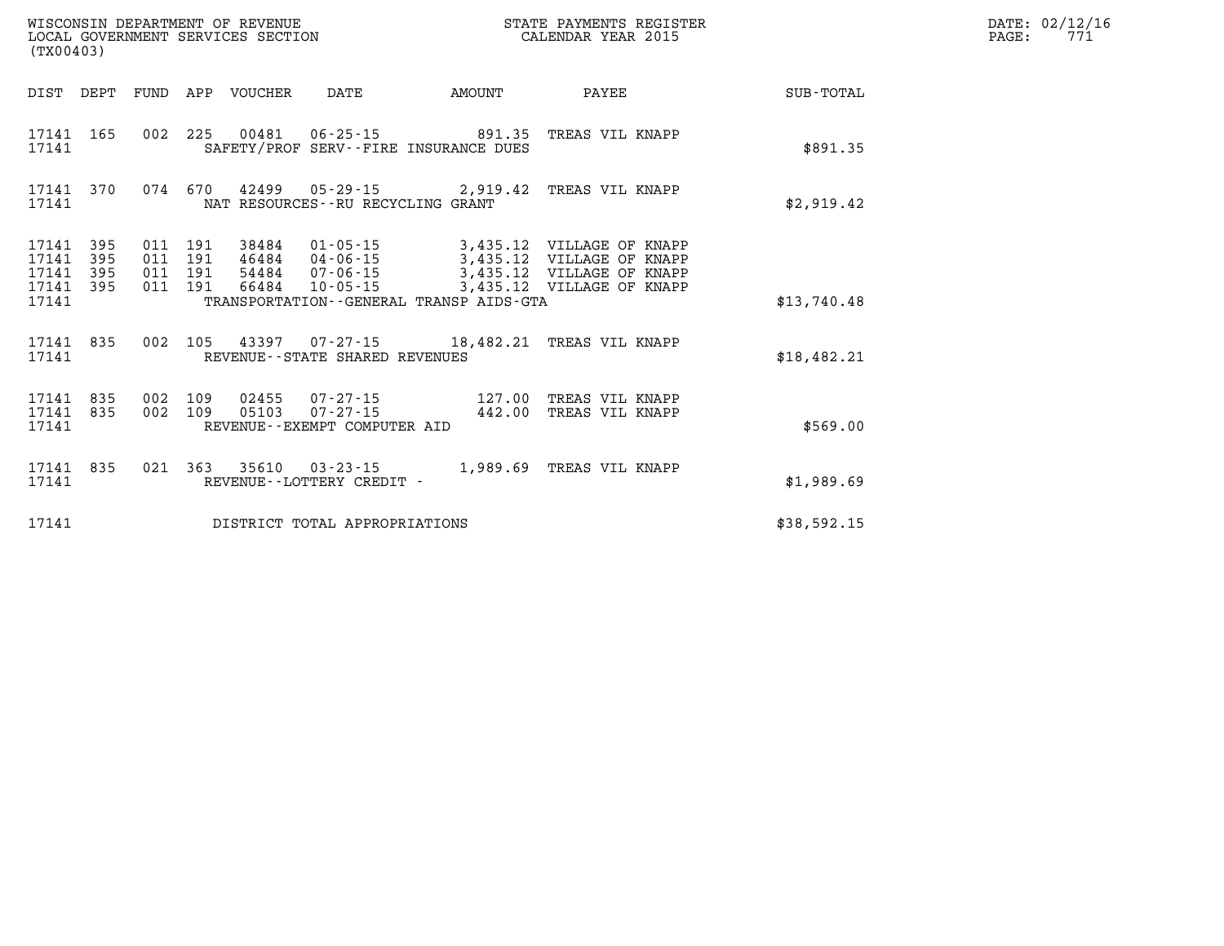| (TX00403)      |                               |                                            |     |                                   |                                              |                                                                                                                                                                                              |             |
|----------------|-------------------------------|--------------------------------------------|-----|-----------------------------------|----------------------------------------------|----------------------------------------------------------------------------------------------------------------------------------------------------------------------------------------------|-------------|
|                |                               |                                            |     |                                   |                                              | DIST DEPT FUND APP VOUCHER DATE AMOUNT PAYEE TOTAL                                                                                                                                           |             |
| 17141          |                               |                                            |     |                                   | SAFETY/PROF SERV--FIRE INSURANCE DUES        | 17141 165 002 225 00481 06-25-15 891.35 TREAS VIL KNAPP                                                                                                                                      | \$891.35    |
| 17141          |                               |                                            |     | NAT RESOURCES--RU RECYCLING GRANT |                                              | 17141 370 074 670 42499 05-29-15 2,919.42 TREAS VIL KNAPP                                                                                                                                    | \$2,919.42  |
| 17141<br>17141 | 17141 395<br>395<br>17141 395 | 011 191<br>011<br>011<br>17141 395 011 191 |     |                                   | TRANSPORTATION - - GENERAL TRANSP AIDS - GTA | 191 38484 01-05-15 3,435.12 VILLAGE OF KNAPP<br>191 46484 04-06-15 3,435.12 VILLAGE OF KNAPP<br>191 54484 07-06-15 3,435.12 VILLAGE OF KNAPP<br>191 66484 10-05-15 3,435.12 VILLAGE OF KNAPP | \$13,740.48 |
| 17141          |                               |                                            |     | REVENUE--STATE SHARED REVENUES    |                                              | 17141 835 002 105 43397 07-27-15 18,482.21 TREAS VIL KNAPP                                                                                                                                   | \$18,482.21 |
| 17141          | 17141 835<br>17141 835        | 002<br>002                                 | 109 | REVENUE--EXEMPT COMPUTER AID      | 05103 07-27-15 442.00                        | 109 02455 07-27-15 127.00 TREAS VIL KNAPP<br>TREAS VIL KNAPP                                                                                                                                 | \$569.00    |
| 17141          |                               |                                            |     | REVENUE--LOTTERY CREDIT -         |                                              | 17141 835 021 363 35610 03-23-15 1,989.69 TREAS VIL KNAPP                                                                                                                                    | \$1,989.69  |
| 17141          |                               |                                            |     | DISTRICT TOTAL APPROPRIATIONS     |                                              |                                                                                                                                                                                              | \$38,592.15 |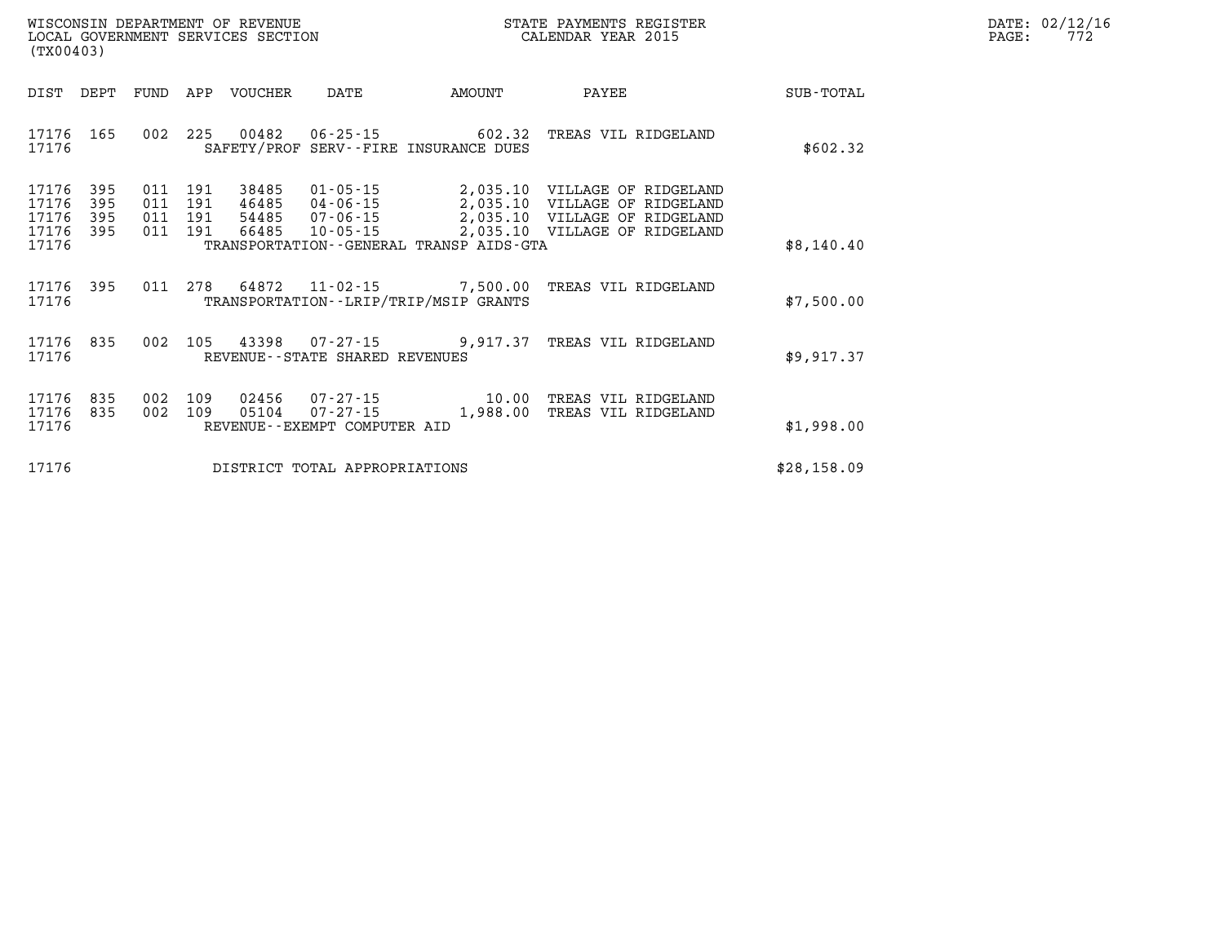| DATE: | 02/12/16 |
|-------|----------|
| PAGE: | 772      |

| WISCONSIN DEPARTMENT OF REVENUE<br>STATE PAYMENTS REGISTER<br>CALENDAR YEAR 2015<br>LOCAL GOVERNMENT SERVICES SECTION<br>(TX00403) |                          |                          |                          |                                  |                                                                      |                                                                     |                                                                                                       |                  |
|------------------------------------------------------------------------------------------------------------------------------------|--------------------------|--------------------------|--------------------------|----------------------------------|----------------------------------------------------------------------|---------------------------------------------------------------------|-------------------------------------------------------------------------------------------------------|------------------|
| DIST                                                                                                                               | DEPT                     | FUND                     | APP                      | VOUCHER                          | DATE                                                                 | AMOUNT                                                              | PAYEE                                                                                                 | <b>SUB-TOTAL</b> |
| 17176<br>17176                                                                                                                     | 165                      | 002                      | 225                      |                                  |                                                                      | $00482$ $06-25-15$ 602.32<br>SAFETY/PROF SERV--FIRE INSURANCE DUES  | TREAS VIL RIDGELAND                                                                                   | \$602.32         |
| 17176<br>17176<br>17176<br>17176                                                                                                   | 395<br>395<br>395<br>395 | 011<br>011<br>011<br>011 | 191<br>191<br>191<br>191 | 38485<br>46485<br>54485<br>66485 | $01 - 05 - 15$<br>$04 - 06 - 15$<br>$07 - 06 - 15$<br>$10 - 05 - 15$ | 2,035.10<br>2,035.10<br>2,035.10                                    | VILLAGE OF RIDGELAND<br>VILLAGE OF RIDGELAND<br>VILLAGE OF RIDGELAND<br>2,035.10 VILLAGE OF RIDGELAND |                  |
| 17176                                                                                                                              |                          |                          |                          |                                  |                                                                      | TRANSPORTATION--GENERAL TRANSP AIDS-GTA                             |                                                                                                       | \$8,140.40       |
| 17176<br>17176                                                                                                                     | 395                      | 011                      | 278                      | 64872                            |                                                                      | $11 - 02 - 15$ 7,500.00<br>TRANSPORTATION - - LRIP/TRIP/MSIP GRANTS | TREAS VIL RIDGELAND                                                                                   | \$7,500.00       |
| 17176<br>17176                                                                                                                     | 835                      | 002                      | 105                      |                                  | REVENUE - - STATE SHARED REVENUES                                    | 43398 07-27-15 9,917.37                                             | TREAS VIL RIDGELAND                                                                                   | \$9,917.37       |
| 17176<br>17176<br>17176                                                                                                            | 835<br>835               | 002<br>002               | 109<br>109               | 02456<br>05104                   | $07 - 27 - 15$<br>REVENUE--EXEMPT COMPUTER AID                       | $07 - 27 - 15$ 10.00<br>1,988.00                                    | TREAS VIL RIDGELAND<br>TREAS VIL RIDGELAND                                                            | \$1,998.00       |
| 17176                                                                                                                              |                          |                          |                          |                                  | DISTRICT TOTAL APPROPRIATIONS                                        |                                                                     |                                                                                                       | \$28,158.09      |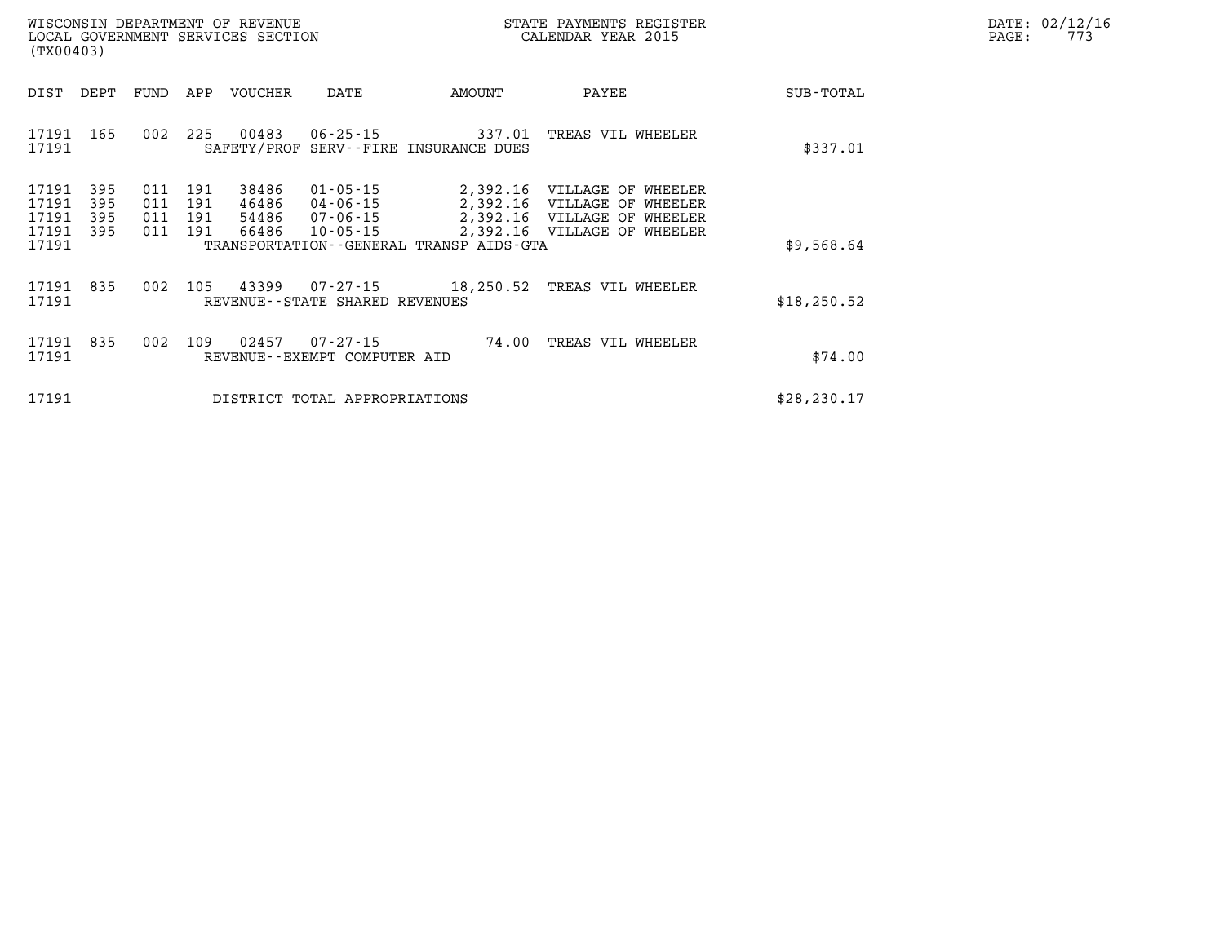|       | DATE: 02/12/16 |
|-------|----------------|
| PAGE: | 773            |

| (TX00403)                                 |                          | LOCAL GOVERNMENT SERVICES SECTION |                          |                                  |                                                          |                                                          | CALENDAR YEAR 2015                                                                                                       |              | PAGE: | 773 |
|-------------------------------------------|--------------------------|-----------------------------------|--------------------------|----------------------------------|----------------------------------------------------------|----------------------------------------------------------|--------------------------------------------------------------------------------------------------------------------------|--------------|-------|-----|
| DIST                                      | DEPT                     | FUND                              | APP                      | VOUCHER                          | DATE                                                     | AMOUNT                                                   | PAYEE                                                                                                                    | SUB-TOTAL    |       |     |
| 17191<br>17191                            | 165                      | 002                               | 225                      | 00483                            |                                                          | 06-25-15 337.01<br>SAFETY/PROF SERV--FIRE INSURANCE DUES | TREAS VIL WHEELER                                                                                                        | \$337.01     |       |     |
| 17191<br>17191<br>17191<br>17191<br>17191 | 395<br>395<br>395<br>395 | 011<br>011<br>011<br>011          | 191<br>191<br>191<br>191 | 38486<br>46486<br>54486<br>66486 | $01 - 05 - 15$<br>04-06-15<br>07-06-15<br>$10 - 05 - 15$ | TRANSPORTATION - - GENERAL TRANSP AIDS - GTA             | 2,392.16 VILLAGE OF WHEELER<br>2,392.16 VILLAGE OF WHEELER<br>2,392.16 VILLAGE OF WHEELER<br>2,392.16 VILLAGE OF WHEELER | \$9,568.64   |       |     |
| 17191                                     | 835                      | 002                               | 105                      | 43399                            |                                                          |                                                          | 07-27-15 18,250.52 TREAS VIL WHEELER                                                                                     |              |       |     |
| 17191                                     |                          |                                   |                          |                                  | REVENUE--STATE SHARED REVENUES                           |                                                          |                                                                                                                          | \$18, 250.52 |       |     |
| 17191<br>17191                            | 835                      | 002                               | 109                      | 02457                            | 07-27-15<br>REVENUE--EXEMPT COMPUTER AID                 | 74.00                                                    | TREAS VIL WHEELER                                                                                                        | \$74.00      |       |     |
| 17191                                     |                          |                                   |                          |                                  | DISTRICT TOTAL APPROPRIATIONS                            |                                                          |                                                                                                                          | \$28, 230.17 |       |     |

WISCONSIN DEPARTMENT OF REVENUE **STATE PAYMENTS REGISTER**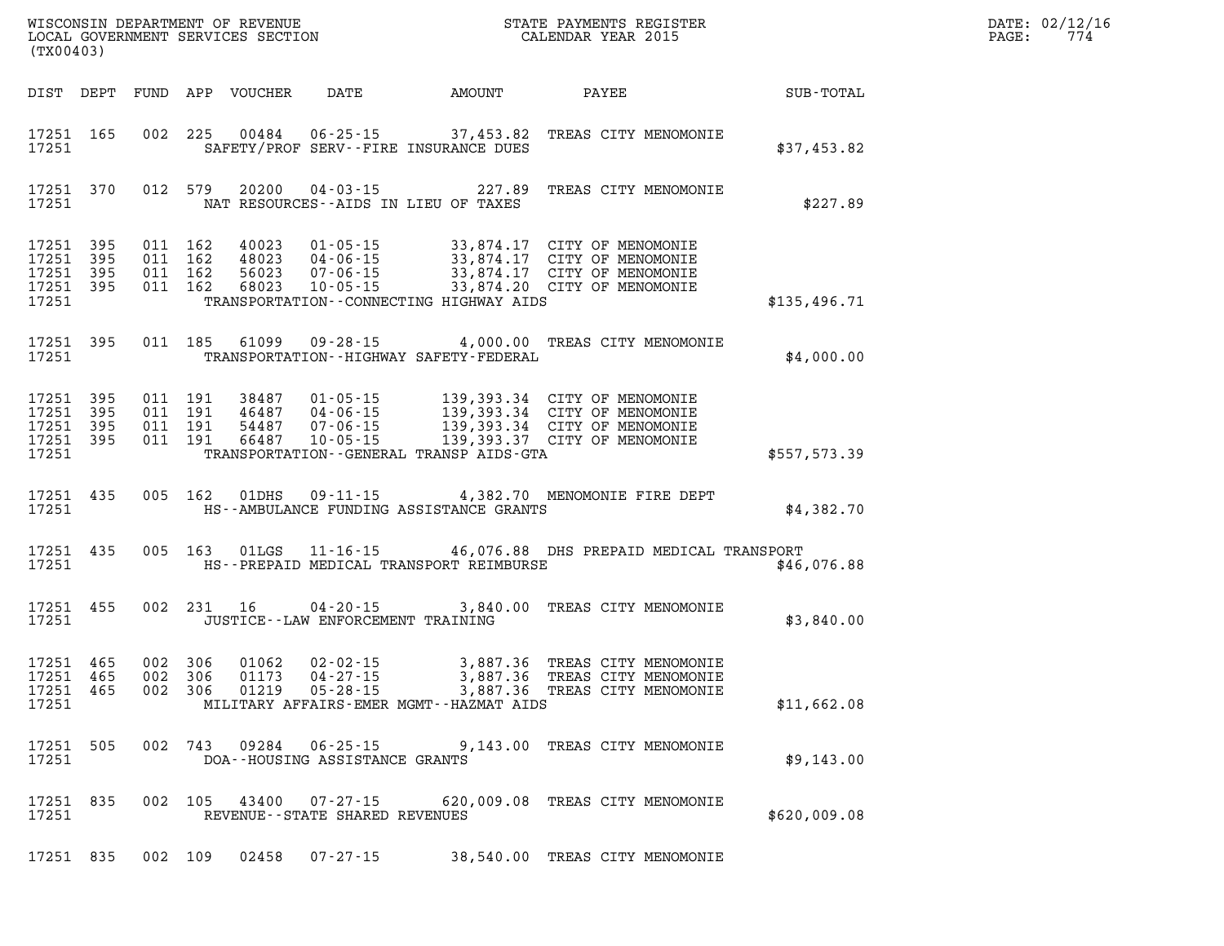| (TX00403)                                     |                          |                                          |            |                                  |                                                        |                                                                   |                                                                                                                                                                                          |              | DATE: 02/12/16<br>774<br>PAGE: |
|-----------------------------------------------|--------------------------|------------------------------------------|------------|----------------------------------|--------------------------------------------------------|-------------------------------------------------------------------|------------------------------------------------------------------------------------------------------------------------------------------------------------------------------------------|--------------|--------------------------------|
|                                               |                          |                                          |            | DIST DEPT FUND APP VOUCHER       | DATE                                                   | AMOUNT                                                            | PAYEE                                                                                                                                                                                    | SUB-TOTAL    |                                |
| 17251                                         | 17251 165                |                                          | 002 225    | 00484                            |                                                        | $06 - 25 - 15$ 37,453.82<br>SAFETY/PROF SERV--FIRE INSURANCE DUES | TREAS CITY MENOMONIE                                                                                                                                                                     | \$37,453.82  |                                |
| 17251                                         | 17251 370                |                                          | 012 579    | 20200                            |                                                        | $04 - 03 - 15$ 227.89<br>NAT RESOURCES--AIDS IN LIEU OF TAXES     | TREAS CITY MENOMONIE                                                                                                                                                                     | \$227.89     |                                |
| 17251<br>17251<br>17251<br>17251<br>17251     | 395<br>395<br>395<br>395 | 011 162<br>011 162<br>011 162<br>011 162 |            | 40023<br>48023<br>56023<br>68023 | 01-05-15<br>04-06-15<br>07-06-15<br>$10 - 05 - 15$     | 33,874.17<br>TRANSPORTATION--CONNECTING HIGHWAY AIDS              | CITY OF MENOMONIE<br>33,874.17 CITY OF MENOMONIE<br>33,874.17 CITY OF MENOMONIE<br>33,874.20 CITY OF MENOMONIE                                                                           | \$135,496.71 |                                |
|                                               |                          |                                          |            |                                  |                                                        |                                                                   |                                                                                                                                                                                          |              |                                |
| 17251 395<br>17251                            |                          |                                          | 011 185    | 61099                            | $09 - 28 - 15$                                         | TRANSPORTATION - - HIGHWAY SAFETY - FEDERAL                       | 4,000.00 TREAS CITY MENOMONIE                                                                                                                                                            | \$4,000.00   |                                |
| 17251<br>17251<br>17251<br>17251 395<br>17251 | 395<br>395<br>395        | 011 191<br>011 191<br>011 191            | 011 191    |                                  |                                                        | TRANSPORTATION--GENERAL TRANSP AIDS-GTA                           | 38487 01-05-15 139,393.34 CITY OF MENOMONIE<br>46487 04-06-15 139,393.34 CITY OF MENOMONIE<br>54487 07-06-15 139,393.34 CITY OF MENOMONIE<br>66487 10-05-15 139,393.37 CITY OF MENOMONIE | \$557,573.39 |                                |
| 17251 435<br>17251                            |                          |                                          | 005 162    | 01DHS                            | 09-11-15                                               | HS--AMBULANCE FUNDING ASSISTANCE GRANTS                           | 4,382.70 MENOMONIE FIRE DEPT                                                                                                                                                             | \$4,382.70   |                                |
| 17251 435<br>17251                            |                          |                                          | 005 163    | 01LGS                            |                                                        | HS--PREPAID MEDICAL TRANSPORT REIMBURSE                           | 11-16-15 46,076.88 DHS PREPAID MEDICAL TRANSPORT                                                                                                                                         | \$46,076.88  |                                |
| 17251 455<br>17251                            |                          |                                          | 002 231 16 |                                  | $04 - 20 - 15$<br>JUSTICE - - LAW ENFORCEMENT TRAINING |                                                                   | 3,840.00 TREAS CITY MENOMONIE                                                                                                                                                            | \$3,840.00   |                                |
| 17251<br>17251<br>17251 465<br>17251          | 465<br>465               | 002 306<br>002 306<br>002 306            |            | 01062<br>01173<br>01219          | 02-02-15<br>04-27-15<br>$05 - 28 - 15$                 | 3,887.36<br>MILITARY AFFAIRS-EMER MGMT--HAZMAT AIDS               | 3,887.36 TREAS CITY MENOMONIE<br>TREAS CITY MENOMONIE<br>3,887.36 TREAS CITY MENOMONIE                                                                                                   | \$11,662.08  |                                |
| 17251                                         | 17251 505                |                                          | 002 743    | 09284                            | 06-25-15<br>DOA--HOUSING ASSISTANCE GRANTS             |                                                                   | 9,143.00 TREAS CITY MENOMONIE                                                                                                                                                            | \$9,143.00   |                                |
| 17251 835<br>17251                            |                          |                                          | 002 105    | 43400                            | 07-27-15<br>REVENUE--STATE SHARED REVENUES             |                                                                   | 620,009.08 TREAS CITY MENOMONIE                                                                                                                                                          | \$620,009.08 |                                |
| 17251 835                                     |                          |                                          | 002 109    | 02458                            | 07-27-15                                               |                                                                   | 38,540.00 TREAS CITY MENOMONIE                                                                                                                                                           |              |                                |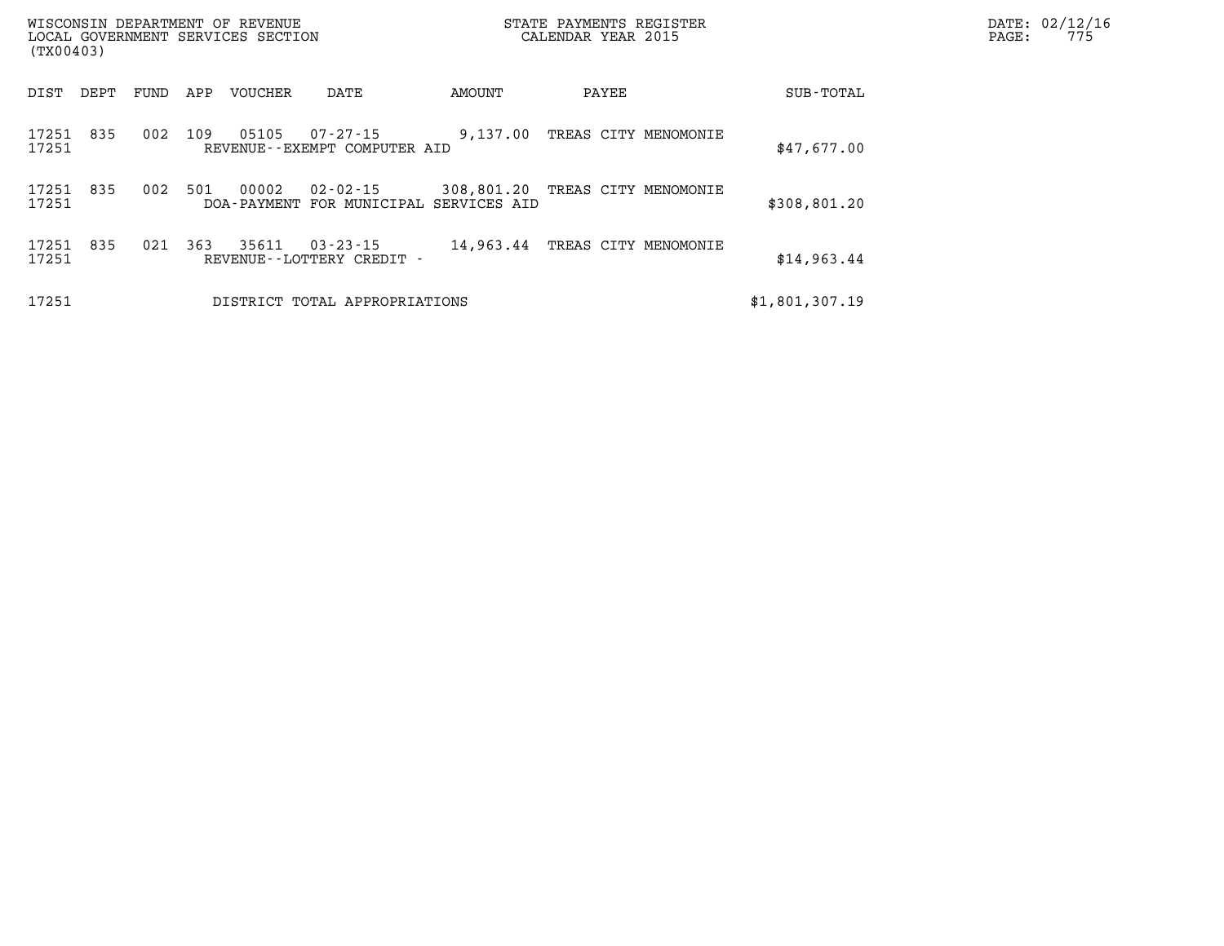| WISCONSIN DEPARTMENT OF REVENUE<br>LOCAL GOVERNMENT SERVICES SECTION<br>(TX00403) |      |      |     |                        |                                                | STATE PAYMENTS REGISTER<br>CALENDAR YEAR 2015 |                      |  |                | PAGE: | DATE: 02/12/16<br>775 |
|-----------------------------------------------------------------------------------|------|------|-----|------------------------|------------------------------------------------|-----------------------------------------------|----------------------|--|----------------|-------|-----------------------|
| DIST                                                                              | DEPT | FUND | APP | VOUCHER                | DATE                                           | AMOUNT                                        | PAYEE                |  | SUB-TOTAL      |       |                       |
| 17251<br>17251                                                                    | 835  | 002  | 109 | 05105                  | $07 - 27 - 15$<br>REVENUE--EXEMPT COMPUTER AID | 9,137.00                                      | TREAS CITY MENOMONIE |  | \$47,677.00    |       |                       |
| 17251<br>17251                                                                    | 835  | 002  | 501 | 00002<br>DOA - PAYMENT | $02 - 02 - 15$<br>FOR MUNICIPAL SERVICES AID   | 308,801.20                                    | TREAS CITY MENOMONIE |  | \$308,801.20   |       |                       |
| 17251<br>17251                                                                    | 835  | 021  | 363 | 35611                  | $03 - 23 - 15$<br>REVENUE - - LOTTERY CREDIT - | 14,963.44                                     | TREAS CITY MENOMONIE |  | \$14,963.44    |       |                       |
| 17251                                                                             |      |      |     |                        | DISTRICT TOTAL APPROPRIATIONS                  |                                               |                      |  | \$1,801,307.19 |       |                       |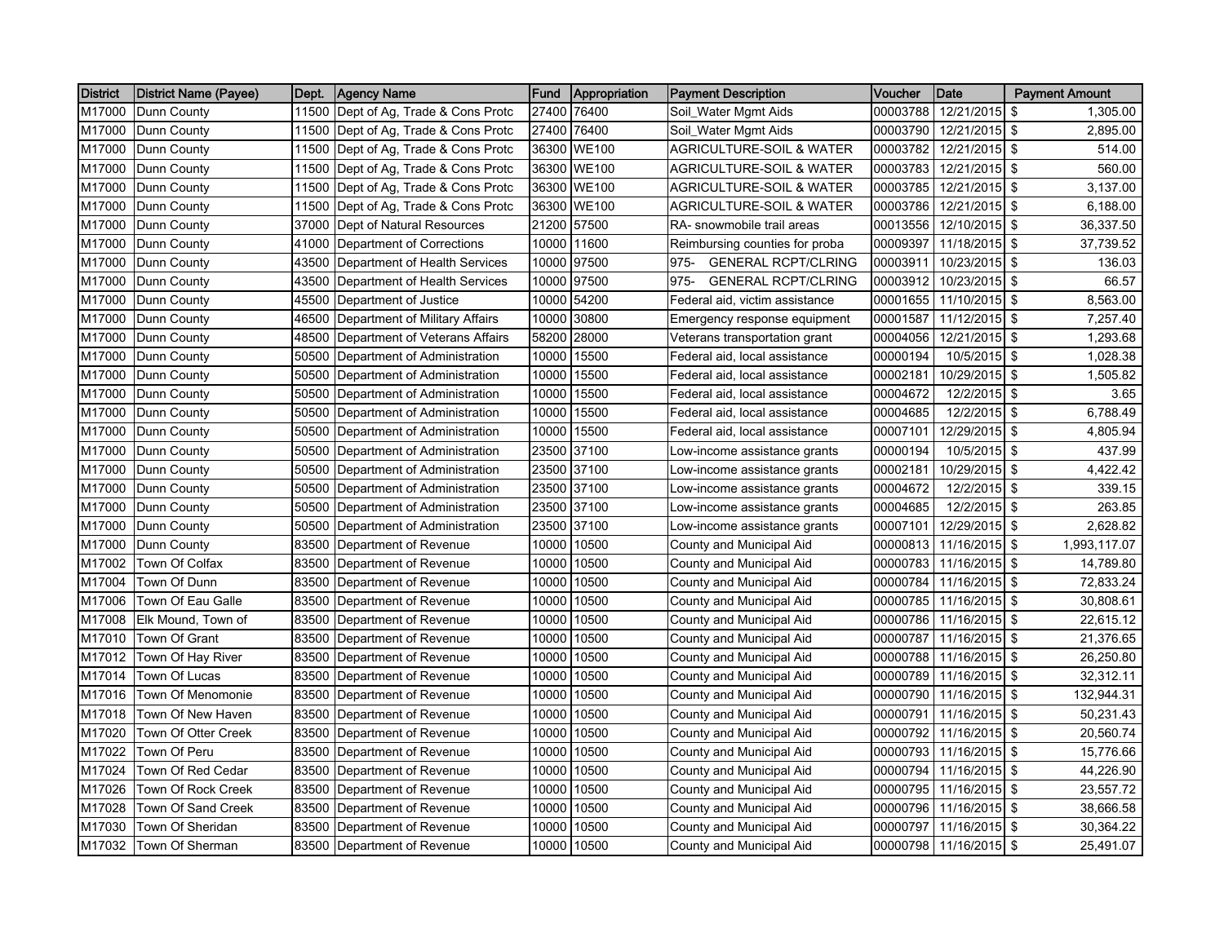| <b>District</b> | (District Name (Payee) | Dept. | <b>Agency Name</b>             | Fund  | Appropriation | <b>Payment Description</b>          | Voucher  | Date          | <b>Payment Amount</b>     |
|-----------------|------------------------|-------|--------------------------------|-------|---------------|-------------------------------------|----------|---------------|---------------------------|
| M17000          | Dunn County            | 11500 | Dept of Ag, Trade & Cons Protc | 27400 | 76400         | Soil_Water Mgmt Aids                | 00003788 | 12/21/2015    | \$<br>1.305.00            |
| M17000          | Dunn County            | 11500 | Dept of Ag, Trade & Cons Protc | 27400 | 76400         | Soil_Water Mgmt Aids                | 00003790 | 12/21/2015    | \$<br>2,895.00            |
| M17000          | Dunn County            | 11500 | Dept of Ag, Trade & Cons Protc | 36300 | <b>WE100</b>  | AGRICULTURE-SOIL & WATER            | 00003782 | 12/21/2015    | \$<br>514.00              |
| M17000          | Dunn County            | 11500 | Dept of Ag, Trade & Cons Protc | 36300 | <b>WE100</b>  | AGRICULTURE-SOIL & WATER            | 00003783 | 12/21/2015    | \$<br>560.00              |
| M17000          | Dunn County            | 11500 | Dept of Ag, Trade & Cons Protc |       | 36300 WE100   | <b>AGRICULTURE-SOIL &amp; WATER</b> | 00003785 | 12/21/2015 \$ | 3,137.00                  |
| M17000          | Dunn County            | 11500 | Dept of Ag, Trade & Cons Protc |       | 36300 WE100   | AGRICULTURE-SOIL & WATER            | 00003786 | 12/21/2015 \$ | 6,188.00                  |
| M17000          | Dunn County            | 37000 | Dept of Natural Resources      | 21200 | 57500         | RA- snowmobile trail areas          | 00013556 | 12/10/2015 \$ | 36,337.50                 |
| M17000          | Dunn County            | 41000 | Department of Corrections      | 10000 | 11600         | Reimbursing counties for proba      | 00009397 | 11/18/2015 \$ | 37,739.52                 |
| M17000          | Dunn County            | 43500 | Department of Health Services  | 10000 | 97500         | <b>GENERAL RCPT/CLRING</b><br>975-  | 00003911 | 10/23/2015    | \$<br>136.03              |
| M17000          | Dunn County            | 43500 | Department of Health Services  |       | 10000 97500   | 975-<br><b>GENERAL RCPT/CLRING</b>  | 00003912 | 10/23/2015 \$ | 66.57                     |
| M17000          | Dunn County            | 45500 | Department of Justice          |       | 10000 54200   | Federal aid, victim assistance      | 00001655 | 11/10/2015    | \$<br>8,563.00            |
| M17000          | Dunn County            | 46500 | Department of Military Affairs | 10000 | 30800         | Emergency response equipment        | 00001587 | 11/12/2015    | \$<br>7,257.40            |
| M17000          | Dunn County            | 48500 | Department of Veterans Affairs | 58200 | 28000         | Veterans transportation grant       | 00004056 | 12/21/2015    | \$<br>1,293.68            |
| M17000          | Dunn County            | 50500 | Department of Administration   | 10000 | 15500         | Federal aid, local assistance       | 00000194 | 10/5/2015 \$  | 1,028.38                  |
| M17000          | Dunn County            | 50500 | Department of Administration   | 10000 | 15500         | Federal aid, local assistance       | 00002181 | 10/29/2015    | \$<br>1,505.82            |
| M17000          | Dunn County            | 50500 | Department of Administration   | 10000 | 15500         | Federal aid, local assistance       | 00004672 | 12/2/2015 \$  | 3.65                      |
| M17000          | Dunn County            | 50500 | Department of Administration   | 10000 | 15500         | Federal aid, local assistance       | 00004685 | 12/2/2015     | $\sqrt{3}$<br>6,788.49    |
| M17000          | Dunn County            | 50500 | Department of Administration   | 10000 | 15500         | Federal aid, local assistance       | 00007101 | 12/29/2015    | \$<br>4,805.94            |
| M17000          | Dunn County            | 50500 | Department of Administration   | 23500 | 37100         | Low-income assistance grants        | 00000194 | 10/5/2015     | \$<br>437.99              |
| M17000          | Dunn County            | 50500 | Department of Administration   | 23500 | 37100         | Low-income assistance grants        | 00002181 | 10/29/2015 \$ | 4,422.42                  |
| M17000          | Dunn County            | 50500 | Department of Administration   | 23500 | 37100         | Low-income assistance grants        | 00004672 | 12/2/2015     | \$<br>339.15              |
| M17000          | Dunn County            | 50500 | Department of Administration   |       | 23500 37100   | Low-income assistance grants        | 00004685 | 12/2/2015 \$  | 263.85                    |
| M17000          | Dunn County            | 50500 | Department of Administration   | 23500 | 37100         | Low-income assistance grants        | 00007101 | 12/29/2015 \$ | 2,628.82                  |
| M17000          | Dunn County            | 83500 | Department of Revenue          | 10000 | 10500         | County and Municipal Aid            | 00000813 | 11/16/2015    | <b>\$</b><br>1,993,117.07 |
| M17002          | Town Of Colfax         | 83500 | Department of Revenue          | 10000 | 10500         | County and Municipal Aid            | 00000783 | 11/16/2015    | $\sqrt{3}$<br>14,789.80   |
| M17004          | Town Of Dunn           | 83500 | Department of Revenue          | 10000 | 10500         | County and Municipal Aid            | 00000784 | 11/16/2015    | \$<br>72,833.24           |
| M17006          | Town Of Eau Galle      | 83500 | Department of Revenue          | 10000 | 10500         | County and Municipal Aid            | 00000785 | 11/16/2015    | \$<br>30,808.61           |
| M17008          | Elk Mound, Town of     | 83500 | Department of Revenue          | 10000 | 10500         | County and Municipal Aid            | 00000786 | 11/16/2015 \$ | 22,615.12                 |
| M17010          | Town Of Grant          | 83500 | Department of Revenue          | 10000 | 10500         | County and Municipal Aid            | 00000787 | 11/16/2015    | \$<br>21,376.65           |
| M17012          | Town Of Hay River      | 83500 | Department of Revenue          | 10000 | 10500         | County and Municipal Aid            | 00000788 | 11/16/2015 \$ | 26,250.80                 |
| M17014          | Town Of Lucas          | 83500 | Department of Revenue          | 10000 | 10500         | County and Municipal Aid            | 00000789 | 11/16/2015 \$ | 32,312.11                 |
| M17016          | Town Of Menomonie      | 83500 | Department of Revenue          | 10000 | 10500         | County and Municipal Aid            | 00000790 | 11/16/2015    | \$<br>132,944.31          |
| M17018          | Town Of New Haven      | 83500 | Department of Revenue          | 10000 | 10500         | County and Municipal Aid            | 00000791 | 11/16/2015 \$ | 50,231.43                 |
| M17020          | Town Of Otter Creek    | 83500 | Department of Revenue          | 10000 | 10500         | County and Municipal Aid            | 00000792 | 11/16/2015    | $\sqrt{3}$<br>20,560.74   |
| M17022          | Town Of Peru           | 83500 | Department of Revenue          | 10000 | 10500         | County and Municipal Aid            | 00000793 | 11/16/2015    | \$<br>15,776.66           |
| M17024          | Town Of Red Cedar      | 83500 | Department of Revenue          | 10000 | 10500         | County and Municipal Aid            | 00000794 | 11/16/2015 \$ | 44,226.90                 |
| M17026          | Town Of Rock Creek     | 83500 | Department of Revenue          | 10000 | 10500         | County and Municipal Aid            | 00000795 | 11/16/2015 \$ | 23,557.72                 |
| M17028          | Town Of Sand Creek     | 83500 | Department of Revenue          | 10000 | 10500         | County and Municipal Aid            | 00000796 | 11/16/2015    | \$<br>38,666.58           |
| M17030          | Town Of Sheridan       | 83500 | Department of Revenue          | 10000 | 10500         | County and Municipal Aid            | 00000797 | 11/16/2015    | \$<br>30,364.22           |
| M17032          | Town Of Sherman        | 83500 | Department of Revenue          |       | 10000 10500   | County and Municipal Aid            | 00000798 | 11/16/2015    | \$<br>25,491.07           |